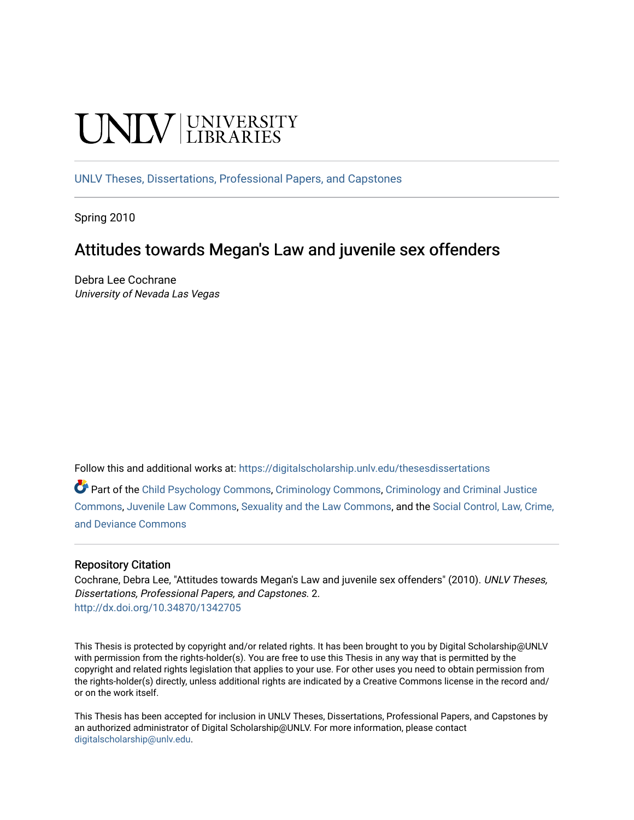# **INIVERSITY**

[UNLV Theses, Dissertations, Professional Papers, and Capstones](https://digitalscholarship.unlv.edu/thesesdissertations)

Spring 2010

## Attitudes towards Megan's Law and juvenile sex offenders

Debra Lee Cochrane University of Nevada Las Vegas

Follow this and additional works at: [https://digitalscholarship.unlv.edu/thesesdissertations](https://digitalscholarship.unlv.edu/thesesdissertations?utm_source=digitalscholarship.unlv.edu%2Fthesesdissertations%2F2&utm_medium=PDF&utm_campaign=PDFCoverPages)

Part of the [Child Psychology Commons,](http://network.bepress.com/hgg/discipline/1023?utm_source=digitalscholarship.unlv.edu%2Fthesesdissertations%2F2&utm_medium=PDF&utm_campaign=PDFCoverPages) [Criminology Commons](http://network.bepress.com/hgg/discipline/417?utm_source=digitalscholarship.unlv.edu%2Fthesesdissertations%2F2&utm_medium=PDF&utm_campaign=PDFCoverPages), [Criminology and Criminal Justice](http://network.bepress.com/hgg/discipline/367?utm_source=digitalscholarship.unlv.edu%2Fthesesdissertations%2F2&utm_medium=PDF&utm_campaign=PDFCoverPages) [Commons](http://network.bepress.com/hgg/discipline/367?utm_source=digitalscholarship.unlv.edu%2Fthesesdissertations%2F2&utm_medium=PDF&utm_campaign=PDFCoverPages), [Juvenile Law Commons,](http://network.bepress.com/hgg/discipline/851?utm_source=digitalscholarship.unlv.edu%2Fthesesdissertations%2F2&utm_medium=PDF&utm_campaign=PDFCoverPages) [Sexuality and the Law Commons](http://network.bepress.com/hgg/discipline/877?utm_source=digitalscholarship.unlv.edu%2Fthesesdissertations%2F2&utm_medium=PDF&utm_campaign=PDFCoverPages), and the [Social Control, Law, Crime,](http://network.bepress.com/hgg/discipline/429?utm_source=digitalscholarship.unlv.edu%2Fthesesdissertations%2F2&utm_medium=PDF&utm_campaign=PDFCoverPages) [and Deviance Commons](http://network.bepress.com/hgg/discipline/429?utm_source=digitalscholarship.unlv.edu%2Fthesesdissertations%2F2&utm_medium=PDF&utm_campaign=PDFCoverPages)

## Repository Citation

Cochrane, Debra Lee, "Attitudes towards Megan's Law and juvenile sex offenders" (2010). UNLV Theses, Dissertations, Professional Papers, and Capstones. 2. <http://dx.doi.org/10.34870/1342705>

This Thesis is protected by copyright and/or related rights. It has been brought to you by Digital Scholarship@UNLV with permission from the rights-holder(s). You are free to use this Thesis in any way that is permitted by the copyright and related rights legislation that applies to your use. For other uses you need to obtain permission from the rights-holder(s) directly, unless additional rights are indicated by a Creative Commons license in the record and/ or on the work itself.

This Thesis has been accepted for inclusion in UNLV Theses, Dissertations, Professional Papers, and Capstones by an authorized administrator of Digital Scholarship@UNLV. For more information, please contact [digitalscholarship@unlv.edu](mailto:digitalscholarship@unlv.edu).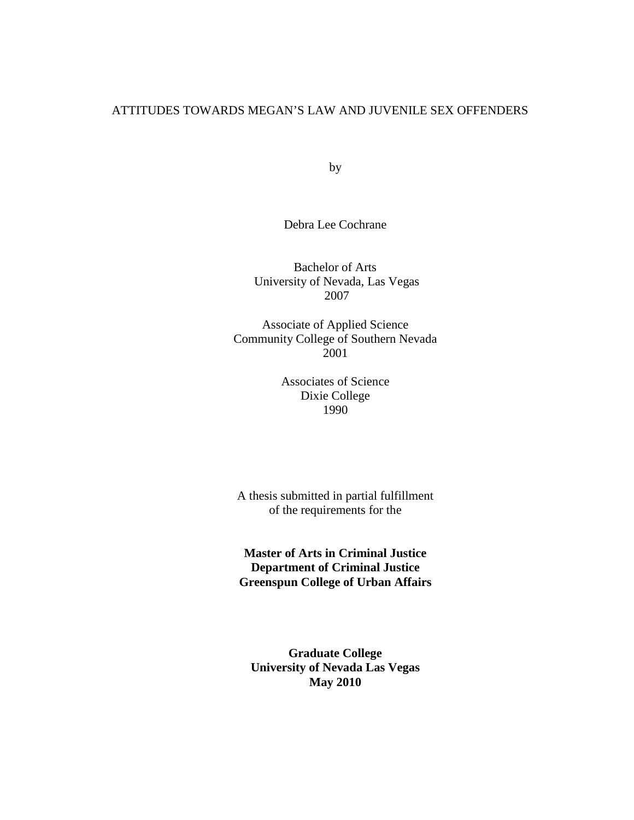## ATTITUDES TOWARDS MEGAN'S LAW AND JUVENILE SEX OFFENDERS

by

Debra Lee Cochrane

Bachelor of Arts University of Nevada, Las Vegas 2007

Associate of Applied Science Community College of Southern Nevada 2001

> Associates of Science Dixie College 1990

A thesis submitted in partial fulfillment of the requirements for the

**Master of Arts in Criminal Justice Department of Criminal Justice Greenspun College of Urban Affairs** 

**Graduate College University of Nevada Las Vegas May 2010**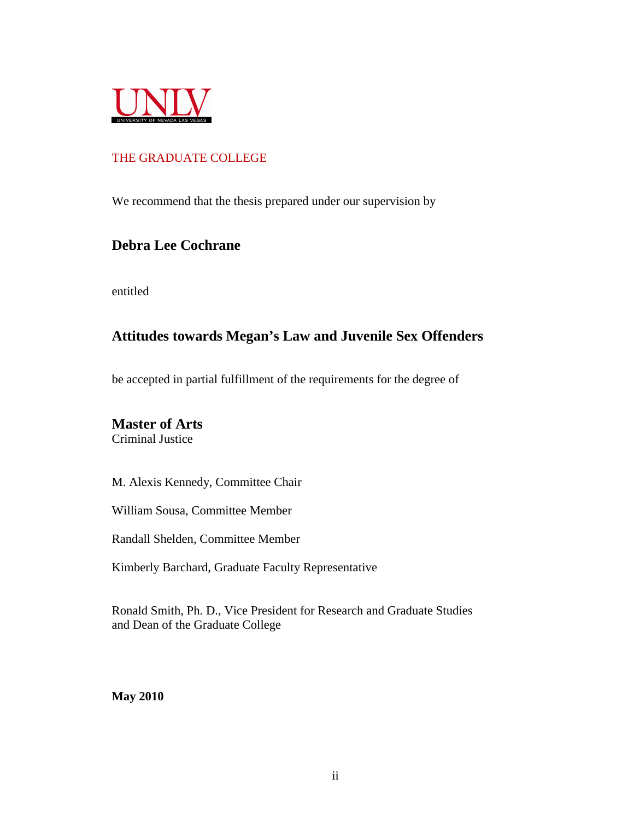

## THE GRADUATE COLLEGE

We recommend that the thesis prepared under our supervision by

## **Debra Lee Cochrane**

entitled

## **Attitudes towards Megan's Law and Juvenile Sex Offenders**

be accepted in partial fulfillment of the requirements for the degree of

## **Master of Arts**

Criminal Justice

M. Alexis Kennedy, Committee Chair

William Sousa, Committee Member

Randall Shelden, Committee Member

Kimberly Barchard, Graduate Faculty Representative

Ronald Smith, Ph. D., Vice President for Research and Graduate Studies and Dean of the Graduate College

**May 2010**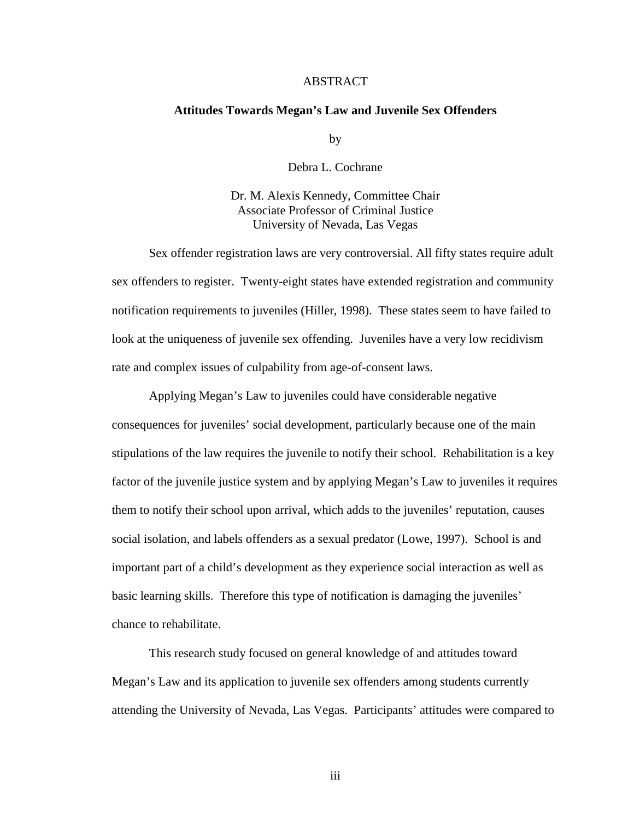## ABSTRACT

#### **Attitudes Towards Megan's Law and Juvenile Sex Offenders**

by

Debra L. Cochrane

Dr. M. Alexis Kennedy, Committee Chair Associate Professor of Criminal Justice University of Nevada, Las Vegas

Sex offender registration laws are very controversial. All fifty states require adult sex offenders to register. Twenty-eight states have extended registration and community notification requirements to juveniles (Hiller, 1998). These states seem to have failed to look at the uniqueness of juvenile sex offending. Juveniles have a very low recidivism rate and complex issues of culpability from age-of-consent laws.

Applying Megan's Law to juveniles could have considerable negative consequences for juveniles' social development, particularly because one of the main stipulations of the law requires the juvenile to notify their school. Rehabilitation is a key factor of the juvenile justice system and by applying Megan's Law to juveniles it requires them to notify their school upon arrival, which adds to the juveniles' reputation, causes social isolation, and labels offenders as a sexual predator (Lowe, 1997). School is and important part of a child's development as they experience social interaction as well as basic learning skills. Therefore this type of notification is damaging the juveniles' chance to rehabilitate.

This research study focused on general knowledge of and attitudes toward Megan's Law and its application to juvenile sex offenders among students currently attending the University of Nevada, Las Vegas. Participants' attitudes were compared to

iii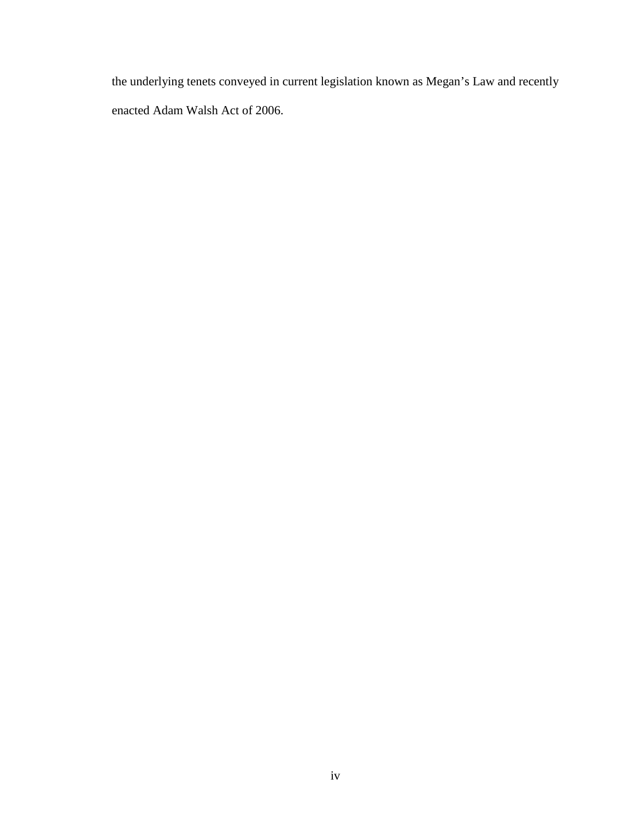the underlying tenets conveyed in current legislation known as Megan's Law and recently enacted Adam Walsh Act of 2006.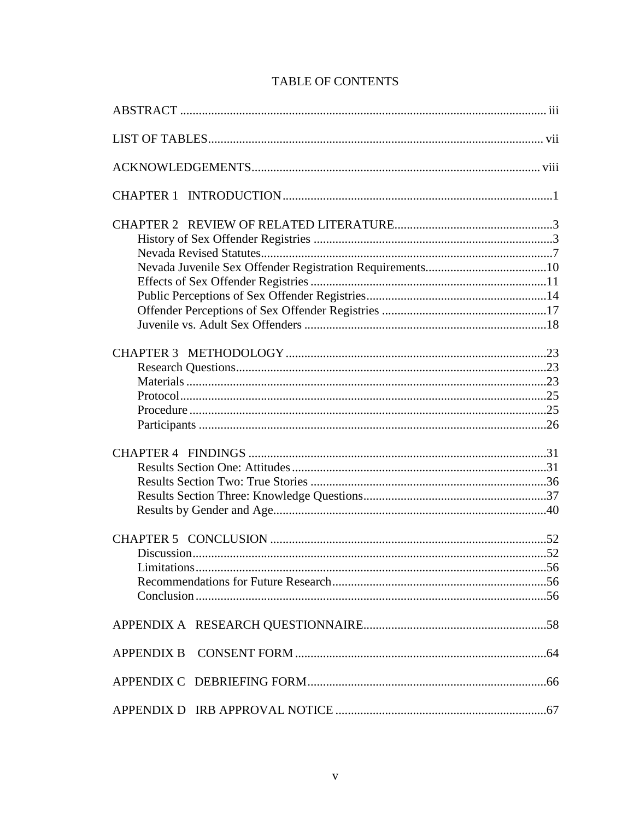## **TABLE OF CONTENTS**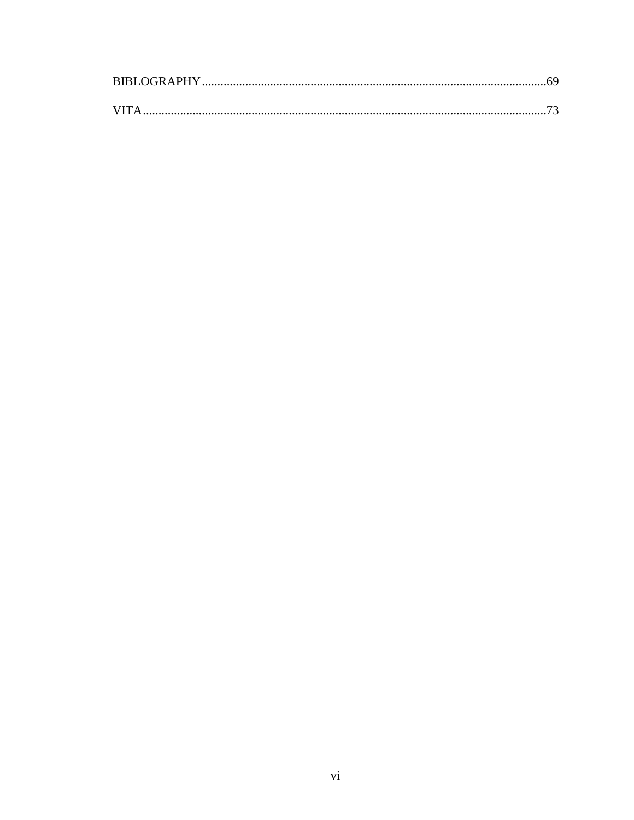| VITA |  |
|------|--|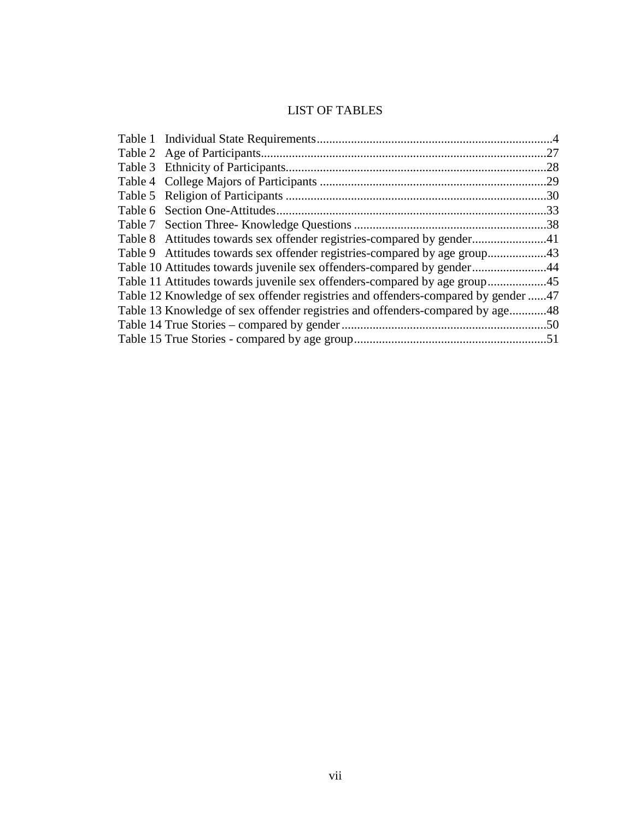## LIST OF TABLES

| .27                                                                               |
|-----------------------------------------------------------------------------------|
| .28                                                                               |
|                                                                                   |
|                                                                                   |
| 33                                                                                |
|                                                                                   |
| Table 8 Attitudes towards sex offender registries-compared by gender41            |
| Table 9 Attitudes towards sex offender registries-compared by age group43         |
| Table 10 Attitudes towards juvenile sex offenders-compared by gender44            |
| Table 11 Attitudes towards juvenile sex offenders-compared by age group45         |
| Table 12 Knowledge of sex offender registries and offenders-compared by gender 47 |
| Table 13 Knowledge of sex offender registries and offenders-compared by age48     |
|                                                                                   |
|                                                                                   |
|                                                                                   |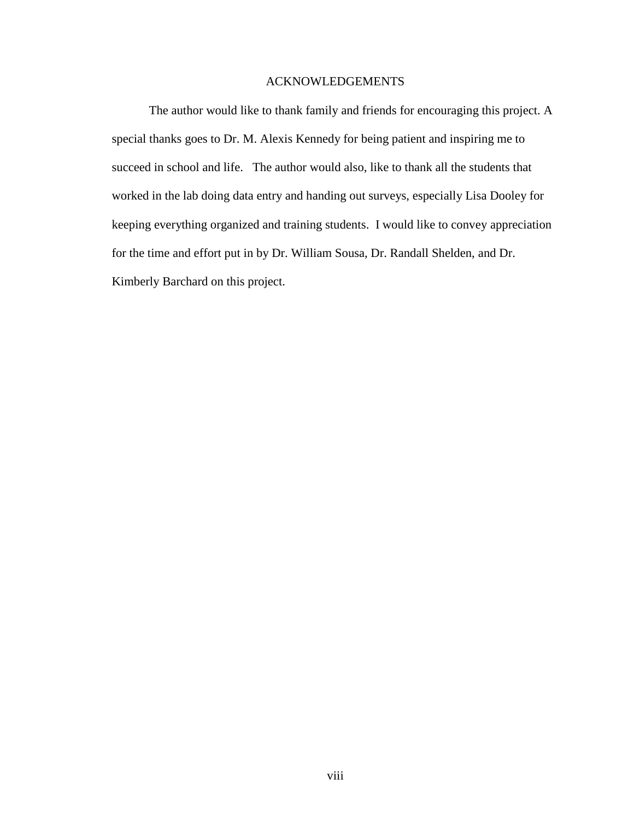## ACKNOWLEDGEMENTS

The author would like to thank family and friends for encouraging this project. A special thanks goes to Dr. M. Alexis Kennedy for being patient and inspiring me to succeed in school and life. The author would also, like to thank all the students that worked in the lab doing data entry and handing out surveys, especially Lisa Dooley for keeping everything organized and training students. I would like to convey appreciation for the time and effort put in by Dr. William Sousa, Dr. Randall Shelden, and Dr. Kimberly Barchard on this project.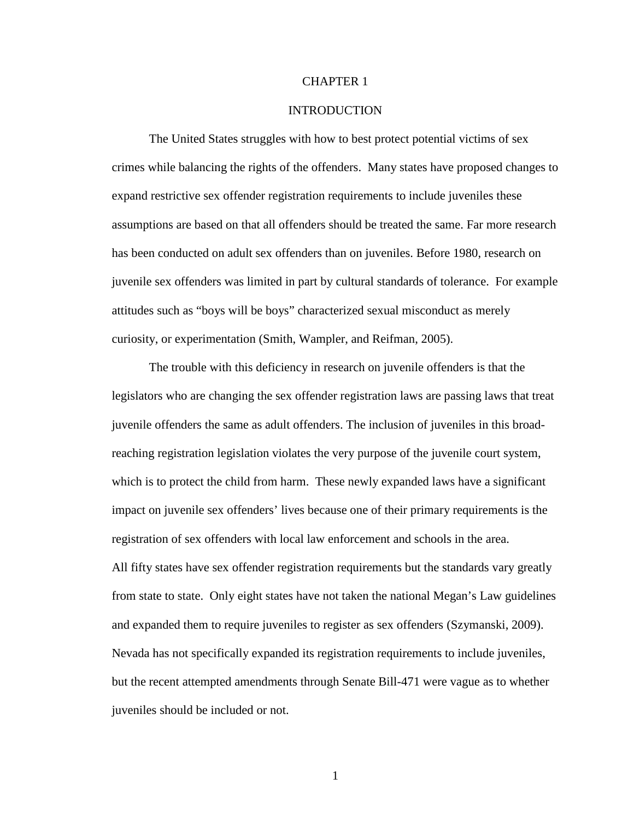## CHAPTER 1

### INTRODUCTION

The United States struggles with how to best protect potential victims of sex crimes while balancing the rights of the offenders. Many states have proposed changes to expand restrictive sex offender registration requirements to include juveniles these assumptions are based on that all offenders should be treated the same. Far more research has been conducted on adult sex offenders than on juveniles. Before 1980, research on juvenile sex offenders was limited in part by cultural standards of tolerance. For example attitudes such as "boys will be boys" characterized sexual misconduct as merely curiosity, or experimentation (Smith, Wampler, and Reifman, 2005).

The trouble with this deficiency in research on juvenile offenders is that the legislators who are changing the sex offender registration laws are passing laws that treat juvenile offenders the same as adult offenders. The inclusion of juveniles in this broadreaching registration legislation violates the very purpose of the juvenile court system, which is to protect the child from harm. These newly expanded laws have a significant impact on juvenile sex offenders' lives because one of their primary requirements is the registration of sex offenders with local law enforcement and schools in the area. All fifty states have sex offender registration requirements but the standards vary greatly from state to state. Only eight states have not taken the national Megan's Law guidelines and expanded them to require juveniles to register as sex offenders (Szymanski, 2009). Nevada has not specifically expanded its registration requirements to include juveniles, but the recent attempted amendments through Senate Bill-471 were vague as to whether juveniles should be included or not.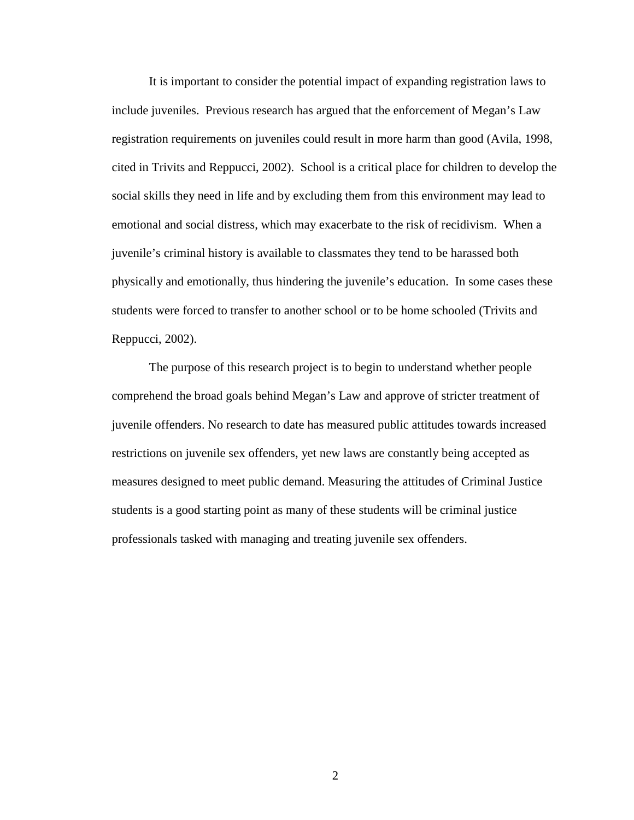It is important to consider the potential impact of expanding registration laws to include juveniles. Previous research has argued that the enforcement of Megan's Law registration requirements on juveniles could result in more harm than good (Avila, 1998, cited in Trivits and Reppucci, 2002). School is a critical place for children to develop the social skills they need in life and by excluding them from this environment may lead to emotional and social distress, which may exacerbate to the risk of recidivism. When a juvenile's criminal history is available to classmates they tend to be harassed both physically and emotionally, thus hindering the juvenile's education. In some cases these students were forced to transfer to another school or to be home schooled (Trivits and Reppucci, 2002).

The purpose of this research project is to begin to understand whether people comprehend the broad goals behind Megan's Law and approve of stricter treatment of juvenile offenders. No research to date has measured public attitudes towards increased restrictions on juvenile sex offenders, yet new laws are constantly being accepted as measures designed to meet public demand. Measuring the attitudes of Criminal Justice students is a good starting point as many of these students will be criminal justice professionals tasked with managing and treating juvenile sex offenders.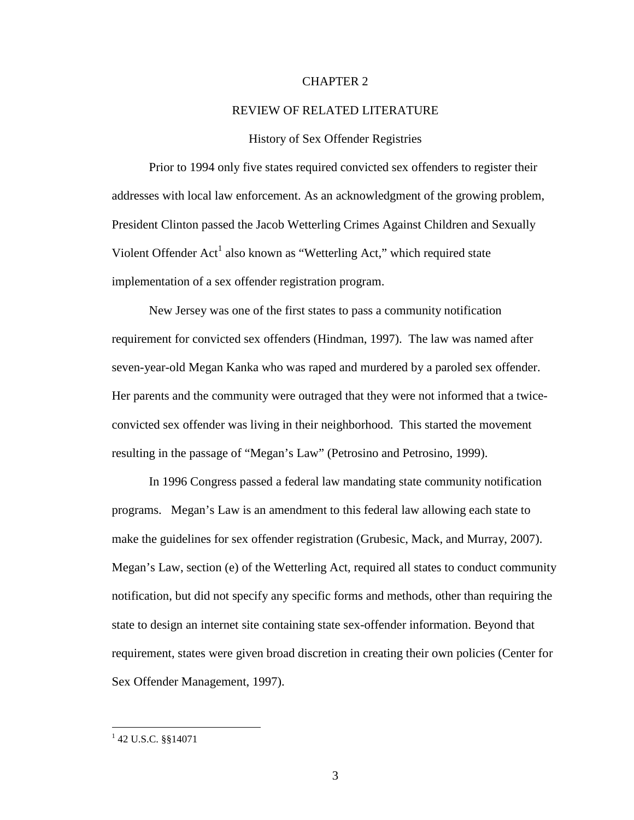## CHAPTER 2

#### REVIEW OF RELATED LITERATURE

#### History of Sex Offender Registries

Prior to 1994 only five states required convicted sex offenders to register their addresses with local law enforcement. As an acknowledgment of the growing problem, President Clinton passed the Jacob Wetterling Crimes Against Children and Sexually Violent Offender Act<sup>1</sup> also known as "Wetterling Act," which required state implementation of a sex offender registration program.

New Jersey was one of the first states to pass a community notification requirement for convicted sex offenders (Hindman, 1997). The law was named after seven-year-old Megan Kanka who was raped and murdered by a paroled sex offender. Her parents and the community were outraged that they were not informed that a twiceconvicted sex offender was living in their neighborhood. This started the movement resulting in the passage of "Megan's Law" (Petrosino and Petrosino, 1999).

In 1996 Congress passed a federal law mandating state community notification programs. Megan's Law is an amendment to this federal law allowing each state to make the guidelines for sex offender registration (Grubesic, Mack, and Murray, 2007). Megan's Law, section (e) of the Wetterling Act, required all states to conduct community notification, but did not specify any specific forms and methods, other than requiring the state to design an internet site containing state sex-offender information. Beyond that requirement, states were given broad discretion in creating their own policies (Center for Sex Offender Management, 1997).

<sup>&</sup>lt;sup>1</sup> 42 U.S.C. §§14071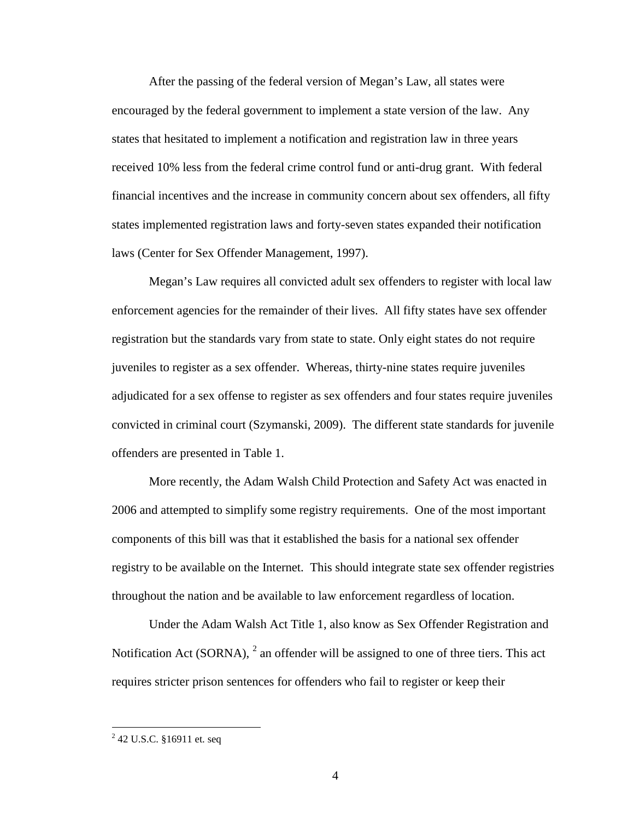After the passing of the federal version of Megan's Law, all states were encouraged by the federal government to implement a state version of the law. Any states that hesitated to implement a notification and registration law in three years received 10% less from the federal crime control fund or anti-drug grant. With federal financial incentives and the increase in community concern about sex offenders, all fifty states implemented registration laws and forty-seven states expanded their notification laws (Center for Sex Offender Management, 1997).

Megan's Law requires all convicted adult sex offenders to register with local law enforcement agencies for the remainder of their lives. All fifty states have sex offender registration but the standards vary from state to state. Only eight states do not require juveniles to register as a sex offender. Whereas, thirty-nine states require juveniles adjudicated for a sex offense to register as sex offenders and four states require juveniles convicted in criminal court (Szymanski, 2009). The different state standards for juvenile offenders are presented in Table 1.

More recently, the Adam Walsh Child Protection and Safety Act was enacted in 2006 and attempted to simplify some registry requirements. One of the most important components of this bill was that it established the basis for a national sex offender registry to be available on the Internet. This should integrate state sex offender registries throughout the nation and be available to law enforcement regardless of location.

Under the Adam Walsh Act Title 1, also know as Sex Offender Registration and Notification Act (SORNA),  $2$  an offender will be assigned to one of three tiers. This act requires stricter prison sentences for offenders who fail to register or keep their

<u>.</u>

<sup>&</sup>lt;sup>2</sup> 42 U.S.C. §16911 et. seq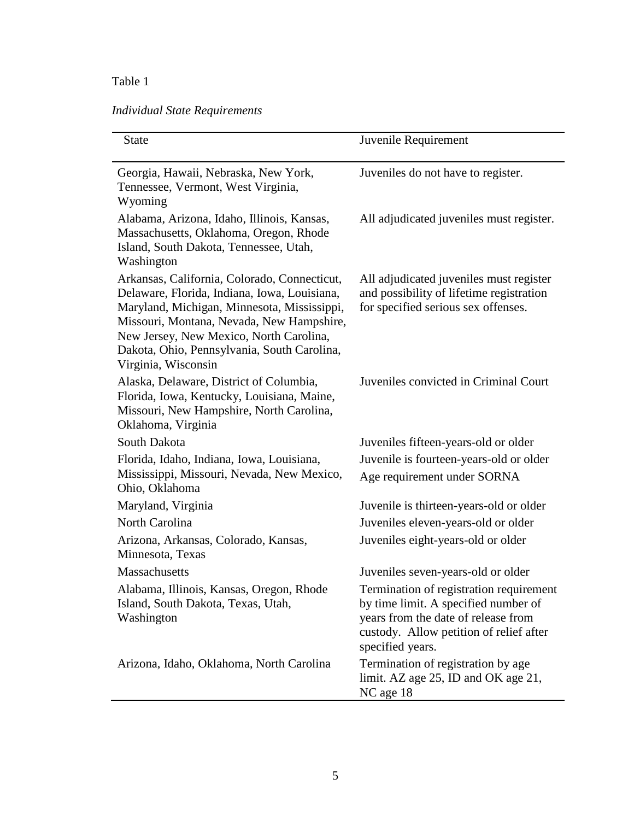## Table 1

# *Individual State Requirements*

| <b>State</b>                                                                                                                                                                                                                                                                                              | Juvenile Requirement                                                                                                                                                                  |
|-----------------------------------------------------------------------------------------------------------------------------------------------------------------------------------------------------------------------------------------------------------------------------------------------------------|---------------------------------------------------------------------------------------------------------------------------------------------------------------------------------------|
| Georgia, Hawaii, Nebraska, New York,<br>Tennessee, Vermont, West Virginia,<br>Wyoming                                                                                                                                                                                                                     | Juveniles do not have to register.                                                                                                                                                    |
| Alabama, Arizona, Idaho, Illinois, Kansas,<br>Massachusetts, Oklahoma, Oregon, Rhode<br>Island, South Dakota, Tennessee, Utah,<br>Washington                                                                                                                                                              | All adjudicated juveniles must register.                                                                                                                                              |
| Arkansas, California, Colorado, Connecticut,<br>Delaware, Florida, Indiana, Iowa, Louisiana,<br>Maryland, Michigan, Minnesota, Mississippi,<br>Missouri, Montana, Nevada, New Hampshire,<br>New Jersey, New Mexico, North Carolina,<br>Dakota, Ohio, Pennsylvania, South Carolina,<br>Virginia, Wisconsin | All adjudicated juveniles must register<br>and possibility of lifetime registration<br>for specified serious sex offenses.                                                            |
| Alaska, Delaware, District of Columbia,<br>Florida, Iowa, Kentucky, Louisiana, Maine,<br>Missouri, New Hampshire, North Carolina,<br>Oklahoma, Virginia                                                                                                                                                   | Juveniles convicted in Criminal Court                                                                                                                                                 |
| South Dakota                                                                                                                                                                                                                                                                                              | Juveniles fifteen-years-old or older                                                                                                                                                  |
| Florida, Idaho, Indiana, Iowa, Louisiana,<br>Mississippi, Missouri, Nevada, New Mexico,<br>Ohio, Oklahoma                                                                                                                                                                                                 | Juvenile is fourteen-years-old or older<br>Age requirement under SORNA                                                                                                                |
| Maryland, Virginia                                                                                                                                                                                                                                                                                        | Juvenile is thirteen-years-old or older                                                                                                                                               |
| North Carolina                                                                                                                                                                                                                                                                                            | Juveniles eleven-years-old or older                                                                                                                                                   |
| Arizona, Arkansas, Colorado, Kansas,<br>Minnesota, Texas                                                                                                                                                                                                                                                  | Juveniles eight-years-old or older                                                                                                                                                    |
| <b>Massachusetts</b>                                                                                                                                                                                                                                                                                      | Juveniles seven-years-old or older                                                                                                                                                    |
| Alabama, Illinois, Kansas, Oregon, Rhode<br>Island, South Dakota, Texas, Utah,<br>Washington                                                                                                                                                                                                              | Termination of registration requirement<br>by time limit. A specified number of<br>years from the date of release from<br>custody. Allow petition of relief after<br>specified years. |
| Arizona, Idaho, Oklahoma, North Carolina                                                                                                                                                                                                                                                                  | Termination of registration by age<br>limit. AZ age 25, ID and OK age 21,<br>NC age 18                                                                                                |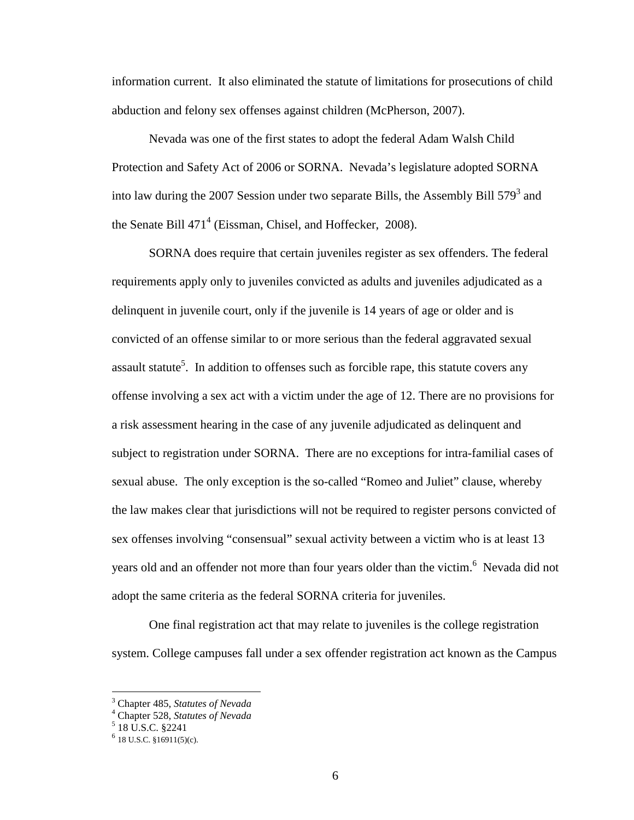information current. It also eliminated the statute of limitations for prosecutions of child abduction and felony sex offenses against children (McPherson, 2007).

Nevada was one of the first states to adopt the federal Adam Walsh Child Protection and Safety Act of 2006 or SORNA. Nevada's legislature adopted SORNA into law during the 2007 Session under two separate Bills, the Assembly Bill  $579<sup>3</sup>$  and the Senate Bill  $471^4$  (Eissman, Chisel, and Hoffecker, 2008).

SORNA does require that certain juveniles register as sex offenders. The federal requirements apply only to juveniles convicted as adults and juveniles adjudicated as a delinquent in juvenile court, only if the juvenile is 14 years of age or older and is convicted of an offense similar to or more serious than the federal aggravated sexual assault statute<sup>5</sup>. In addition to offenses such as forcible rape, this statute covers any offense involving a sex act with a victim under the age of 12. There are no provisions for a risk assessment hearing in the case of any juvenile adjudicated as delinquent and subject to registration under SORNA. There are no exceptions for intra-familial cases of sexual abuse. The only exception is the so-called "Romeo and Juliet" clause, whereby the law makes clear that jurisdictions will not be required to register persons convicted of sex offenses involving "consensual" sexual activity between a victim who is at least 13 years old and an offender not more than four years older than the victim.<sup>6</sup> Nevada did not adopt the same criteria as the federal SORNA criteria for juveniles.

One final registration act that may relate to juveniles is the college registration system. College campuses fall under a sex offender registration act known as the Campus

<u>.</u>

<sup>3</sup> Chapter 485, *Statutes of Nevada*

<sup>4</sup> Chapter 528, *Statutes of Nevada*

 $5$  18 U.S.C. §2241

 $6$  18 U.S.C. §16911(5)(c).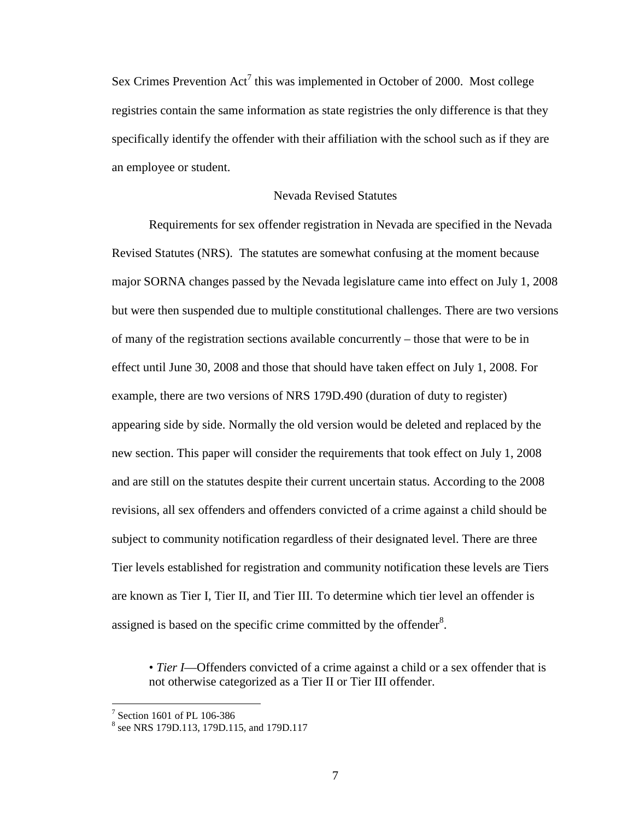Sex Crimes Prevention  $Act^7$  this was implemented in October of 2000. Most college registries contain the same information as state registries the only difference is that they specifically identify the offender with their affiliation with the school such as if they are an employee or student.

## Nevada Revised Statutes

 Requirements for sex offender registration in Nevada are specified in the Nevada Revised Statutes (NRS). The statutes are somewhat confusing at the moment because major SORNA changes passed by the Nevada legislature came into effect on July 1, 2008 but were then suspended due to multiple constitutional challenges. There are two versions of many of the registration sections available concurrently – those that were to be in effect until June 30, 2008 and those that should have taken effect on July 1, 2008. For example, there are two versions of NRS 179D.490 (duration of duty to register) appearing side by side. Normally the old version would be deleted and replaced by the new section. This paper will consider the requirements that took effect on July 1, 2008 and are still on the statutes despite their current uncertain status. According to the 2008 revisions, all sex offenders and offenders convicted of a crime against a child should be subject to community notification regardless of their designated level. There are three Tier levels established for registration and community notification these levels are Tiers are known as Tier I, Tier II, and Tier III. To determine which tier level an offender is assigned is based on the specific crime committed by the offender $8$ .

• *Tier I*—Offenders convicted of a crime against a child or a sex offender that is not otherwise categorized as a Tier II or Tier III offender.

<sup>&</sup>lt;sup>7</sup> Section 1601 of PL 106-386<br><sup>8</sup> see NRS 179D.113, 179D.115, and 179D.117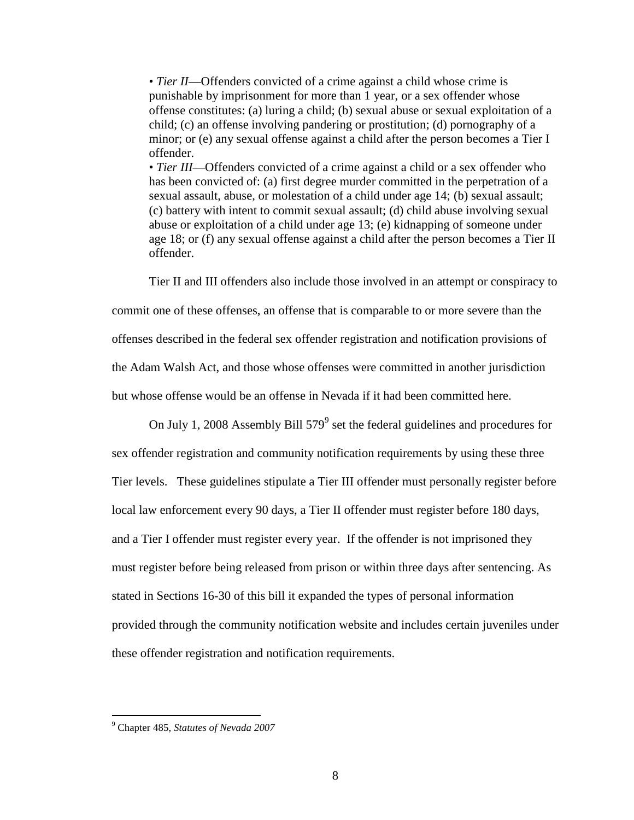• *Tier II*—Offenders convicted of a crime against a child whose crime is punishable by imprisonment for more than 1 year, or a sex offender whose offense constitutes: (a) luring a child; (b) sexual abuse or sexual exploitation of a child; (c) an offense involving pandering or prostitution; (d) pornography of a minor; or (e) any sexual offense against a child after the person becomes a Tier I offender.

• *Tier III*—Offenders convicted of a crime against a child or a sex offender who has been convicted of: (a) first degree murder committed in the perpetration of a sexual assault, abuse, or molestation of a child under age 14; (b) sexual assault; (c) battery with intent to commit sexual assault; (d) child abuse involving sexual abuse or exploitation of a child under age 13; (e) kidnapping of someone under age 18; or (f) any sexual offense against a child after the person becomes a Tier II offender.

Tier II and III offenders also include those involved in an attempt or conspiracy to commit one of these offenses, an offense that is comparable to or more severe than the offenses described in the federal sex offender registration and notification provisions of the Adam Walsh Act, and those whose offenses were committed in another jurisdiction but whose offense would be an offense in Nevada if it had been committed here.

On July 1, 2008 Assembly Bill  $579^9$  set the federal guidelines and procedures for sex offender registration and community notification requirements by using these three Tier levels. These guidelines stipulate a Tier III offender must personally register before local law enforcement every 90 days, a Tier II offender must register before 180 days, and a Tier I offender must register every year. If the offender is not imprisoned they must register before being released from prison or within three days after sentencing. As stated in Sections 16-30 of this bill it expanded the types of personal information provided through the community notification website and includes certain juveniles under these offender registration and notification requirements.

 9 Chapter 485, *Statutes of Nevada 2007*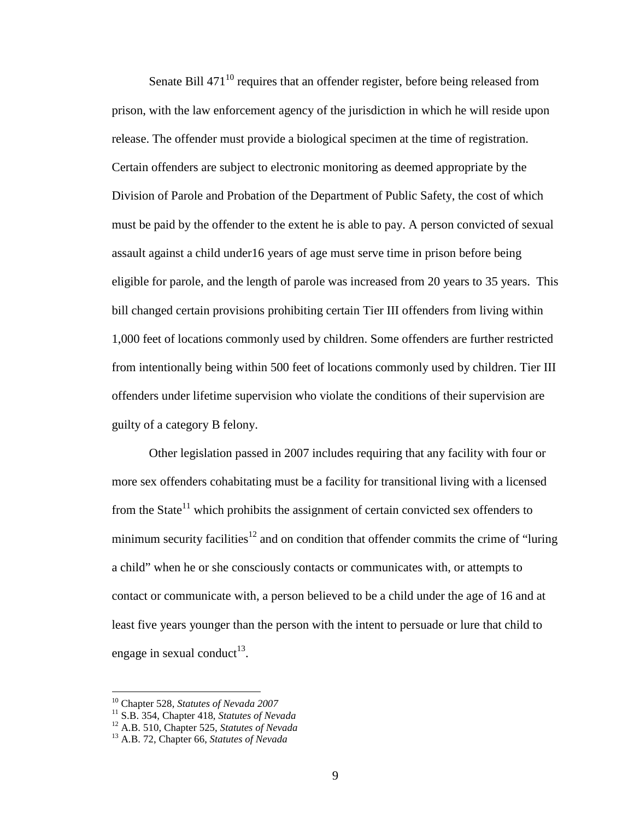Senate Bill 471<sup>10</sup> requires that an offender register, before being released from prison, with the law enforcement agency of the jurisdiction in which he will reside upon release. The offender must provide a biological specimen at the time of registration. Certain offenders are subject to electronic monitoring as deemed appropriate by the Division of Parole and Probation of the Department of Public Safety, the cost of which must be paid by the offender to the extent he is able to pay. A person convicted of sexual assault against a child under16 years of age must serve time in prison before being eligible for parole, and the length of parole was increased from 20 years to 35 years. This bill changed certain provisions prohibiting certain Tier III offenders from living within 1,000 feet of locations commonly used by children. Some offenders are further restricted from intentionally being within 500 feet of locations commonly used by children. Tier III offenders under lifetime supervision who violate the conditions of their supervision are guilty of a category B felony.

Other legislation passed in 2007 includes requiring that any facility with four or more sex offenders cohabitating must be a facility for transitional living with a licensed from the State<sup>11</sup> which prohibits the assignment of certain convicted sex offenders to minimum security facilities<sup>12</sup> and on condition that offender commits the crime of "luring" a child" when he or she consciously contacts or communicates with, or attempts to contact or communicate with, a person believed to be a child under the age of 16 and at least five years younger than the person with the intent to persuade or lure that child to engage in sexual conduct<sup>13</sup>.

 $\overline{a}$ 

<sup>10</sup> Chapter 528, *Statutes of Nevada 2007*

<sup>11</sup> S.B. 354, Chapter 418, *Statutes of Nevada*

<sup>12</sup> A.B. 510, Chapter 525, *Statutes of Nevada*

<sup>13</sup> A.B. 72, Chapter 66, *Statutes of Nevada*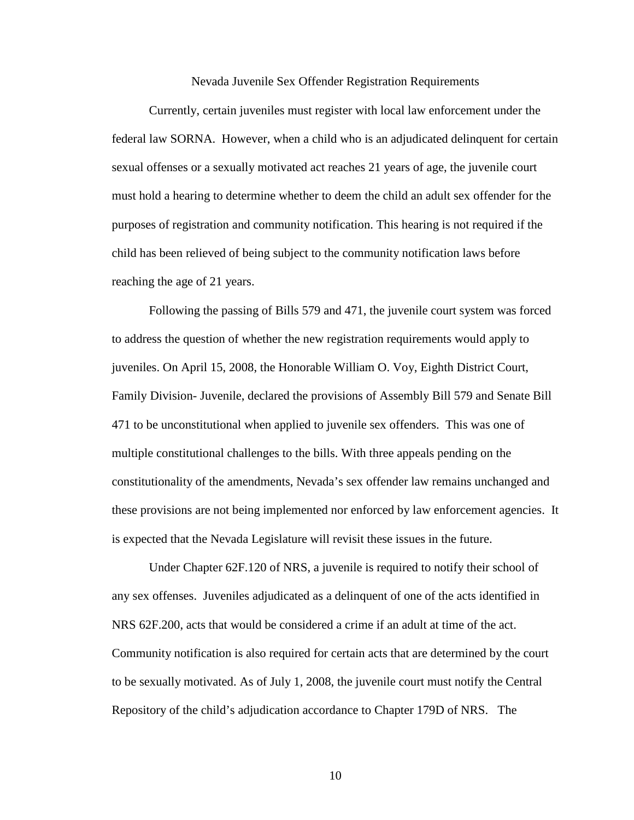Nevada Juvenile Sex Offender Registration Requirements

Currently, certain juveniles must register with local law enforcement under the federal law SORNA. However, when a child who is an adjudicated delinquent for certain sexual offenses or a sexually motivated act reaches 21 years of age, the juvenile court must hold a hearing to determine whether to deem the child an adult sex offender for the purposes of registration and community notification. This hearing is not required if the child has been relieved of being subject to the community notification laws before reaching the age of 21 years.

Following the passing of Bills 579 and 471, the juvenile court system was forced to address the question of whether the new registration requirements would apply to juveniles. On April 15, 2008, the Honorable William O. Voy, Eighth District Court, Family Division- Juvenile, declared the provisions of Assembly Bill 579 and Senate Bill 471 to be unconstitutional when applied to juvenile sex offenders. This was one of multiple constitutional challenges to the bills. With three appeals pending on the constitutionality of the amendments, Nevada's sex offender law remains unchanged and these provisions are not being implemented nor enforced by law enforcement agencies. It is expected that the Nevada Legislature will revisit these issues in the future.

Under Chapter 62F.120 of NRS, a juvenile is required to notify their school of any sex offenses. Juveniles adjudicated as a delinquent of one of the acts identified in NRS 62F.200, acts that would be considered a crime if an adult at time of the act. Community notification is also required for certain acts that are determined by the court to be sexually motivated. As of July 1, 2008, the juvenile court must notify the Central Repository of the child's adjudication accordance to Chapter 179D of NRS. The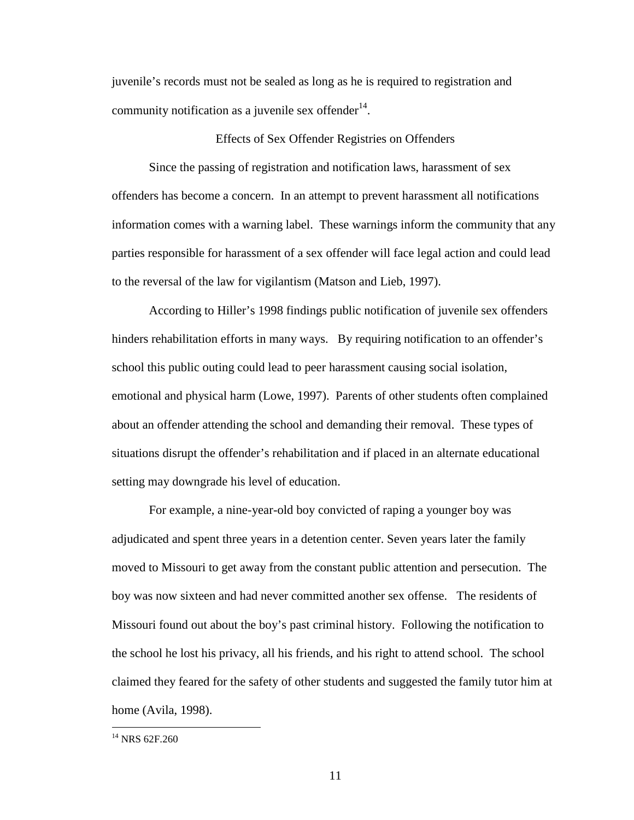juvenile's records must not be sealed as long as he is required to registration and community notification as a juvenile sex offender $14$ .

### Effects of Sex Offender Registries on Offenders

Since the passing of registration and notification laws, harassment of sex offenders has become a concern. In an attempt to prevent harassment all notifications information comes with a warning label. These warnings inform the community that any parties responsible for harassment of a sex offender will face legal action and could lead to the reversal of the law for vigilantism (Matson and Lieb, 1997).

According to Hiller's 1998 findings public notification of juvenile sex offenders hinders rehabilitation efforts in many ways. By requiring notification to an offender's school this public outing could lead to peer harassment causing social isolation, emotional and physical harm (Lowe, 1997). Parents of other students often complained about an offender attending the school and demanding their removal. These types of situations disrupt the offender's rehabilitation and if placed in an alternate educational setting may downgrade his level of education.

For example, a nine-year-old boy convicted of raping a younger boy was adjudicated and spent three years in a detention center. Seven years later the family moved to Missouri to get away from the constant public attention and persecution. The boy was now sixteen and had never committed another sex offense. The residents of Missouri found out about the boy's past criminal history. Following the notification to the school he lost his privacy, all his friends, and his right to attend school. The school claimed they feared for the safety of other students and suggested the family tutor him at home (Avila, 1998).

 $\overline{a}$ 

<sup>&</sup>lt;sup>14</sup> NRS 62F.260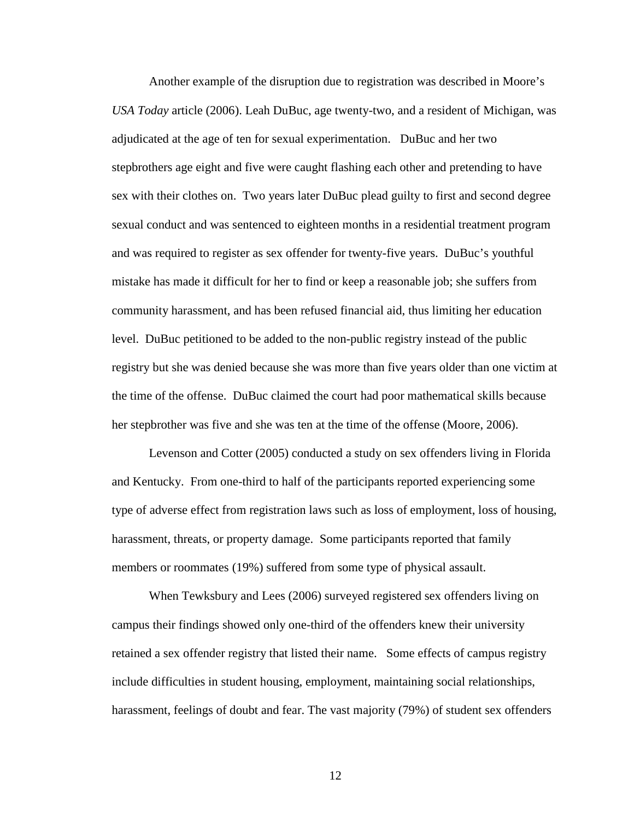Another example of the disruption due to registration was described in Moore's *USA Today* article (2006). Leah DuBuc, age twenty-two, and a resident of Michigan, was adjudicated at the age of ten for sexual experimentation. DuBuc and her two stepbrothers age eight and five were caught flashing each other and pretending to have sex with their clothes on. Two years later DuBuc plead guilty to first and second degree sexual conduct and was sentenced to eighteen months in a residential treatment program and was required to register as sex offender for twenty-five years. DuBuc's youthful mistake has made it difficult for her to find or keep a reasonable job; she suffers from community harassment, and has been refused financial aid, thus limiting her education level. DuBuc petitioned to be added to the non-public registry instead of the public registry but she was denied because she was more than five years older than one victim at the time of the offense. DuBuc claimed the court had poor mathematical skills because her stepbrother was five and she was ten at the time of the offense (Moore, 2006).

Levenson and Cotter (2005) conducted a study on sex offenders living in Florida and Kentucky. From one-third to half of the participants reported experiencing some type of adverse effect from registration laws such as loss of employment, loss of housing, harassment, threats, or property damage. Some participants reported that family members or roommates (19%) suffered from some type of physical assault.

When Tewksbury and Lees (2006) surveyed registered sex offenders living on campus their findings showed only one-third of the offenders knew their university retained a sex offender registry that listed their name. Some effects of campus registry include difficulties in student housing, employment, maintaining social relationships, harassment, feelings of doubt and fear. The vast majority (79%) of student sex offenders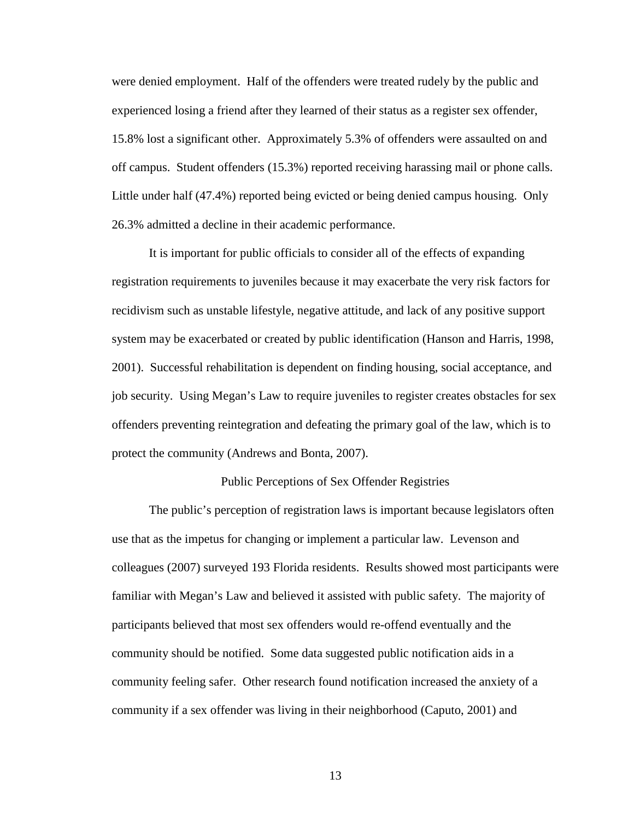were denied employment. Half of the offenders were treated rudely by the public and experienced losing a friend after they learned of their status as a register sex offender, 15.8% lost a significant other. Approximately 5.3% of offenders were assaulted on and off campus. Student offenders (15.3%) reported receiving harassing mail or phone calls. Little under half (47.4%) reported being evicted or being denied campus housing. Only 26.3% admitted a decline in their academic performance.

It is important for public officials to consider all of the effects of expanding registration requirements to juveniles because it may exacerbate the very risk factors for recidivism such as unstable lifestyle, negative attitude, and lack of any positive support system may be exacerbated or created by public identification (Hanson and Harris, 1998, 2001). Successful rehabilitation is dependent on finding housing, social acceptance, and job security. Using Megan's Law to require juveniles to register creates obstacles for sex offenders preventing reintegration and defeating the primary goal of the law, which is to protect the community (Andrews and Bonta, 2007).

### Public Perceptions of Sex Offender Registries

 The public's perception of registration laws is important because legislators often use that as the impetus for changing or implement a particular law. Levenson and colleagues (2007) surveyed 193 Florida residents. Results showed most participants were familiar with Megan's Law and believed it assisted with public safety. The majority of participants believed that most sex offenders would re-offend eventually and the community should be notified. Some data suggested public notification aids in a community feeling safer. Other research found notification increased the anxiety of a community if a sex offender was living in their neighborhood (Caputo, 2001) and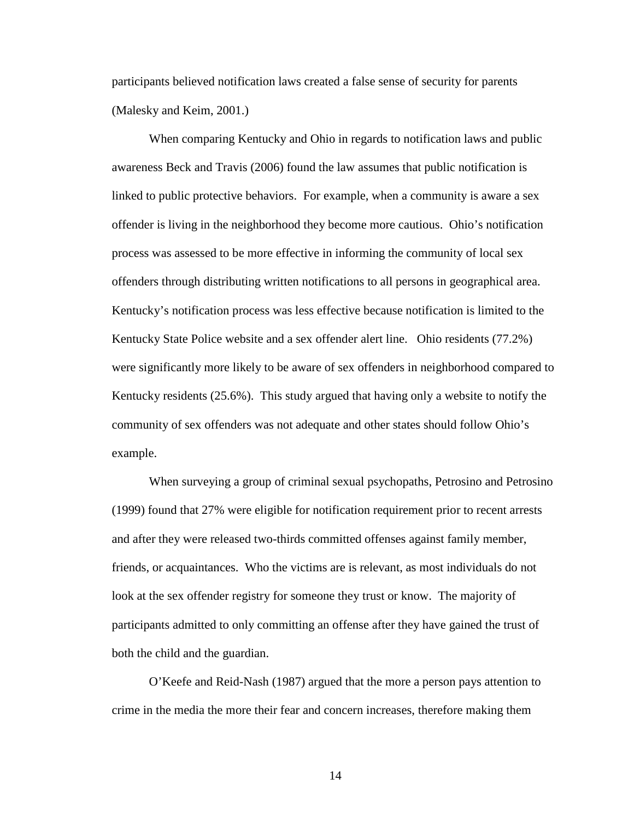participants believed notification laws created a false sense of security for parents (Malesky and Keim, 2001.)

When comparing Kentucky and Ohio in regards to notification laws and public awareness Beck and Travis (2006) found the law assumes that public notification is linked to public protective behaviors. For example, when a community is aware a sex offender is living in the neighborhood they become more cautious. Ohio's notification process was assessed to be more effective in informing the community of local sex offenders through distributing written notifications to all persons in geographical area. Kentucky's notification process was less effective because notification is limited to the Kentucky State Police website and a sex offender alert line. Ohio residents (77.2%) were significantly more likely to be aware of sex offenders in neighborhood compared to Kentucky residents (25.6%). This study argued that having only a website to notify the community of sex offenders was not adequate and other states should follow Ohio's example.

When surveying a group of criminal sexual psychopaths, Petrosino and Petrosino (1999) found that 27% were eligible for notification requirement prior to recent arrests and after they were released two-thirds committed offenses against family member, friends, or acquaintances. Who the victims are is relevant, as most individuals do not look at the sex offender registry for someone they trust or know. The majority of participants admitted to only committing an offense after they have gained the trust of both the child and the guardian.

O'Keefe and Reid-Nash (1987) argued that the more a person pays attention to crime in the media the more their fear and concern increases, therefore making them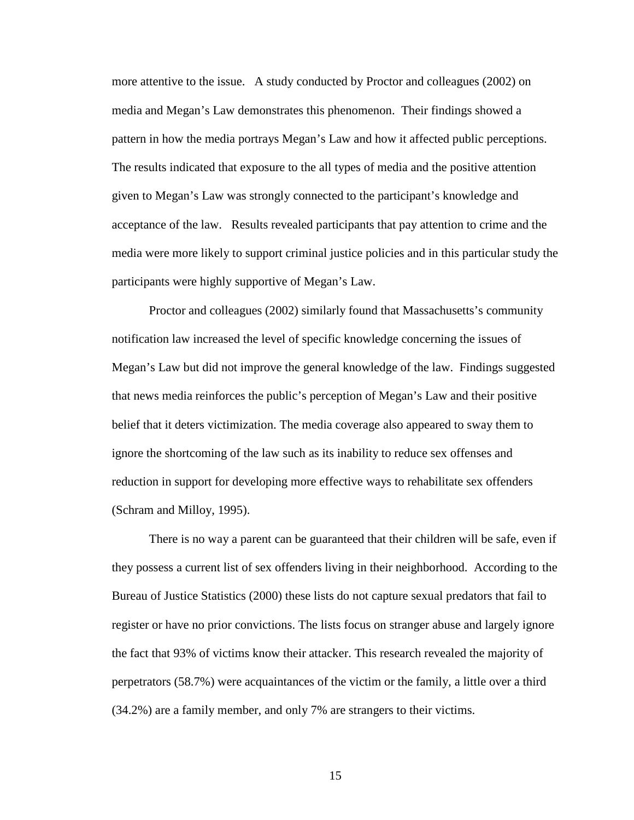more attentive to the issue. A study conducted by Proctor and colleagues (2002) on media and Megan's Law demonstrates this phenomenon. Their findings showed a pattern in how the media portrays Megan's Law and how it affected public perceptions. The results indicated that exposure to the all types of media and the positive attention given to Megan's Law was strongly connected to the participant's knowledge and acceptance of the law. Results revealed participants that pay attention to crime and the media were more likely to support criminal justice policies and in this particular study the participants were highly supportive of Megan's Law.

Proctor and colleagues (2002) similarly found that Massachusetts's community notification law increased the level of specific knowledge concerning the issues of Megan's Law but did not improve the general knowledge of the law. Findings suggested that news media reinforces the public's perception of Megan's Law and their positive belief that it deters victimization. The media coverage also appeared to sway them to ignore the shortcoming of the law such as its inability to reduce sex offenses and reduction in support for developing more effective ways to rehabilitate sex offenders (Schram and Milloy, 1995).

There is no way a parent can be guaranteed that their children will be safe, even if they possess a current list of sex offenders living in their neighborhood. According to the Bureau of Justice Statistics (2000) these lists do not capture sexual predators that fail to register or have no prior convictions. The lists focus on stranger abuse and largely ignore the fact that 93% of victims know their attacker. This research revealed the majority of perpetrators (58.7%) were acquaintances of the victim or the family, a little over a third (34.2%) are a family member, and only 7% are strangers to their victims.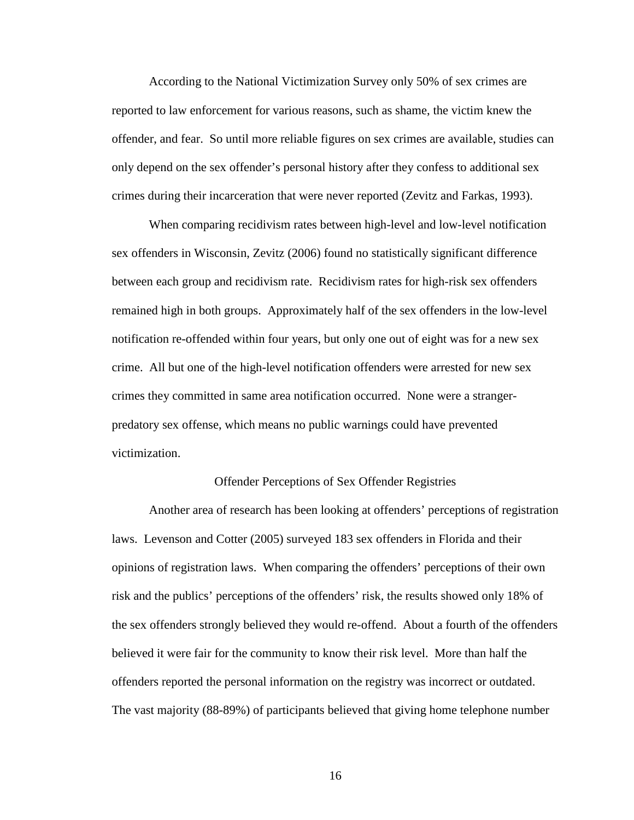According to the National Victimization Survey only 50% of sex crimes are reported to law enforcement for various reasons, such as shame, the victim knew the offender, and fear. So until more reliable figures on sex crimes are available, studies can only depend on the sex offender's personal history after they confess to additional sex crimes during their incarceration that were never reported (Zevitz and Farkas, 1993).

 When comparing recidivism rates between high-level and low-level notification sex offenders in Wisconsin, Zevitz (2006) found no statistically significant difference between each group and recidivism rate. Recidivism rates for high-risk sex offenders remained high in both groups. Approximately half of the sex offenders in the low-level notification re-offended within four years, but only one out of eight was for a new sex crime. All but one of the high-level notification offenders were arrested for new sex crimes they committed in same area notification occurred. None were a strangerpredatory sex offense, which means no public warnings could have prevented victimization.

### Offender Perceptions of Sex Offender Registries

Another area of research has been looking at offenders' perceptions of registration laws. Levenson and Cotter (2005) surveyed 183 sex offenders in Florida and their opinions of registration laws. When comparing the offenders' perceptions of their own risk and the publics' perceptions of the offenders' risk, the results showed only 18% of the sex offenders strongly believed they would re-offend. About a fourth of the offenders believed it were fair for the community to know their risk level. More than half the offenders reported the personal information on the registry was incorrect or outdated. The vast majority (88-89%) of participants believed that giving home telephone number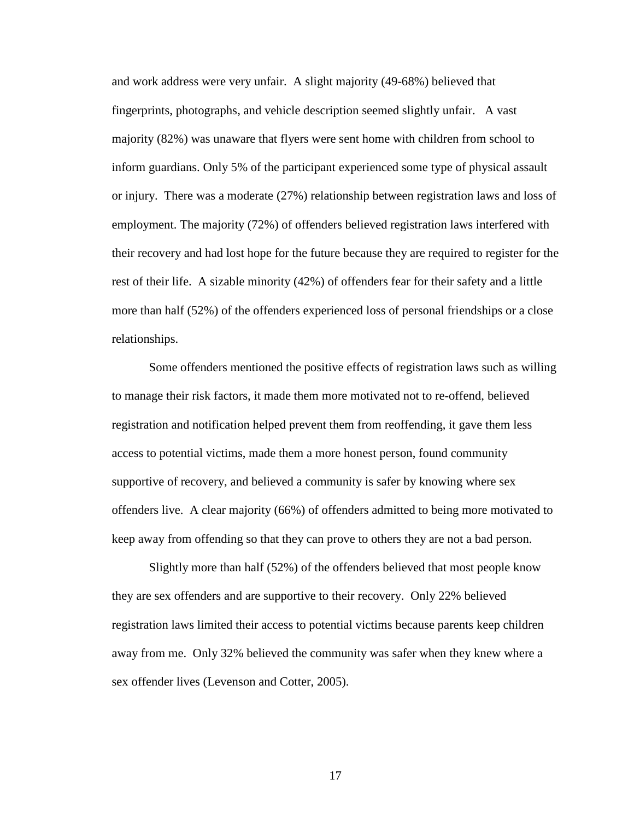and work address were very unfair. A slight majority (49-68%) believed that fingerprints, photographs, and vehicle description seemed slightly unfair. A vast majority (82%) was unaware that flyers were sent home with children from school to inform guardians. Only 5% of the participant experienced some type of physical assault or injury. There was a moderate (27%) relationship between registration laws and loss of employment. The majority (72%) of offenders believed registration laws interfered with their recovery and had lost hope for the future because they are required to register for the rest of their life. A sizable minority (42%) of offenders fear for their safety and a little more than half (52%) of the offenders experienced loss of personal friendships or a close relationships.

Some offenders mentioned the positive effects of registration laws such as willing to manage their risk factors, it made them more motivated not to re-offend, believed registration and notification helped prevent them from reoffending, it gave them less access to potential victims, made them a more honest person, found community supportive of recovery, and believed a community is safer by knowing where sex offenders live. A clear majority (66%) of offenders admitted to being more motivated to keep away from offending so that they can prove to others they are not a bad person.

Slightly more than half (52%) of the offenders believed that most people know they are sex offenders and are supportive to their recovery. Only 22% believed registration laws limited their access to potential victims because parents keep children away from me. Only 32% believed the community was safer when they knew where a sex offender lives (Levenson and Cotter, 2005).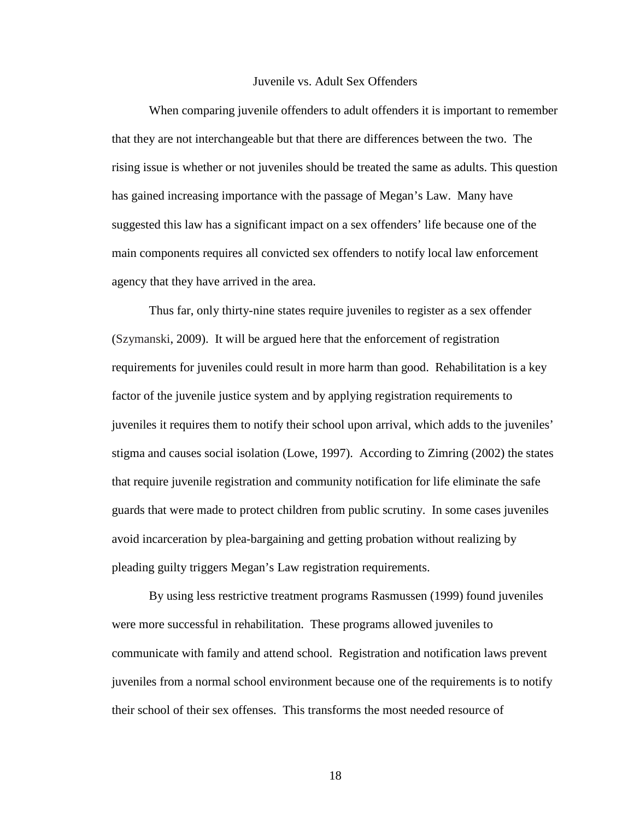#### Juvenile vs. Adult Sex Offenders

When comparing juvenile offenders to adult offenders it is important to remember that they are not interchangeable but that there are differences between the two. The rising issue is whether or not juveniles should be treated the same as adults. This question has gained increasing importance with the passage of Megan's Law. Many have suggested this law has a significant impact on a sex offenders' life because one of the main components requires all convicted sex offenders to notify local law enforcement agency that they have arrived in the area.

Thus far, only thirty-nine states require juveniles to register as a sex offender (Szymanski, 2009). It will be argued here that the enforcement of registration requirements for juveniles could result in more harm than good. Rehabilitation is a key factor of the juvenile justice system and by applying registration requirements to juveniles it requires them to notify their school upon arrival, which adds to the juveniles' stigma and causes social isolation (Lowe, 1997). According to Zimring (2002) the states that require juvenile registration and community notification for life eliminate the safe guards that were made to protect children from public scrutiny. In some cases juveniles avoid incarceration by plea-bargaining and getting probation without realizing by pleading guilty triggers Megan's Law registration requirements.

By using less restrictive treatment programs Rasmussen (1999) found juveniles were more successful in rehabilitation. These programs allowed juveniles to communicate with family and attend school. Registration and notification laws prevent juveniles from a normal school environment because one of the requirements is to notify their school of their sex offenses. This transforms the most needed resource of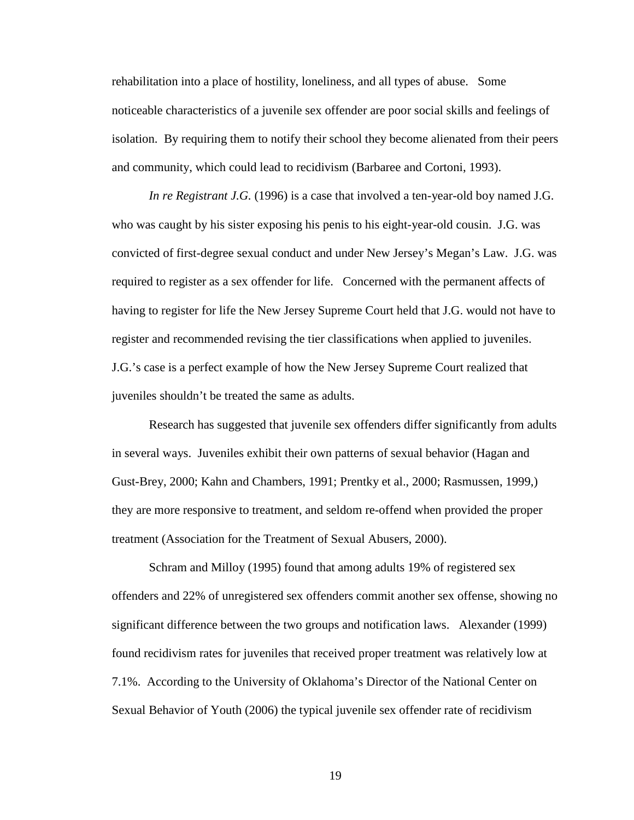rehabilitation into a place of hostility, loneliness, and all types of abuse. Some noticeable characteristics of a juvenile sex offender are poor social skills and feelings of isolation. By requiring them to notify their school they become alienated from their peers and community, which could lead to recidivism (Barbaree and Cortoni, 1993).

*In re Registrant J.G.* (1996) is a case that involved a ten-year-old boy named J.G. who was caught by his sister exposing his penis to his eight-year-old cousin. J.G. was convicted of first-degree sexual conduct and under New Jersey's Megan's Law. J.G. was required to register as a sex offender for life. Concerned with the permanent affects of having to register for life the New Jersey Supreme Court held that J.G. would not have to register and recommended revising the tier classifications when applied to juveniles. J.G.'s case is a perfect example of how the New Jersey Supreme Court realized that juveniles shouldn't be treated the same as adults.

Research has suggested that juvenile sex offenders differ significantly from adults in several ways. Juveniles exhibit their own patterns of sexual behavior (Hagan and Gust-Brey, 2000; Kahn and Chambers, 1991; Prentky et al., 2000; Rasmussen, 1999,) they are more responsive to treatment, and seldom re-offend when provided the proper treatment (Association for the Treatment of Sexual Abusers, 2000).

Schram and Milloy (1995) found that among adults 19% of registered sex offenders and 22% of unregistered sex offenders commit another sex offense, showing no significant difference between the two groups and notification laws. Alexander (1999) found recidivism rates for juveniles that received proper treatment was relatively low at 7.1%. According to the University of Oklahoma's Director of the National Center on Sexual Behavior of Youth (2006) the typical juvenile sex offender rate of recidivism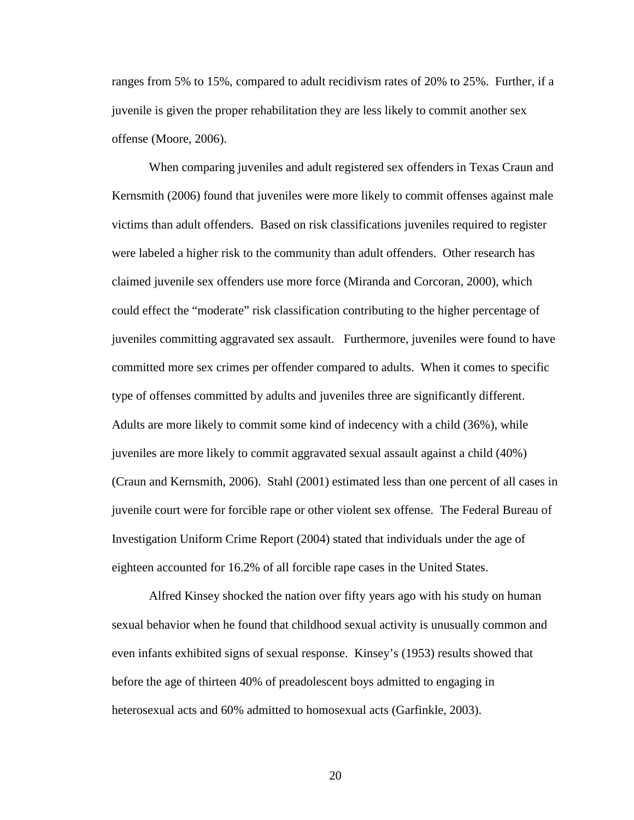ranges from 5% to 15%, compared to adult recidivism rates of 20% to 25%. Further, if a juvenile is given the proper rehabilitation they are less likely to commit another sex offense (Moore, 2006).

When comparing juveniles and adult registered sex offenders in Texas Craun and Kernsmith (2006) found that juveniles were more likely to commit offenses against male victims than adult offenders. Based on risk classifications juveniles required to register were labeled a higher risk to the community than adult offenders. Other research has claimed juvenile sex offenders use more force (Miranda and Corcoran, 2000), which could effect the "moderate" risk classification contributing to the higher percentage of juveniles committing aggravated sex assault. Furthermore, juveniles were found to have committed more sex crimes per offender compared to adults. When it comes to specific type of offenses committed by adults and juveniles three are significantly different. Adults are more likely to commit some kind of indecency with a child (36%), while juveniles are more likely to commit aggravated sexual assault against a child (40%) (Craun and Kernsmith, 2006). Stahl (2001) estimated less than one percent of all cases in juvenile court were for forcible rape or other violent sex offense. The Federal Bureau of Investigation Uniform Crime Report (2004) stated that individuals under the age of eighteen accounted for 16.2% of all forcible rape cases in the United States.

Alfred Kinsey shocked the nation over fifty years ago with his study on human sexual behavior when he found that childhood sexual activity is unusually common and even infants exhibited signs of sexual response. Kinsey's (1953) results showed that before the age of thirteen 40% of preadolescent boys admitted to engaging in heterosexual acts and 60% admitted to homosexual acts (Garfinkle, 2003).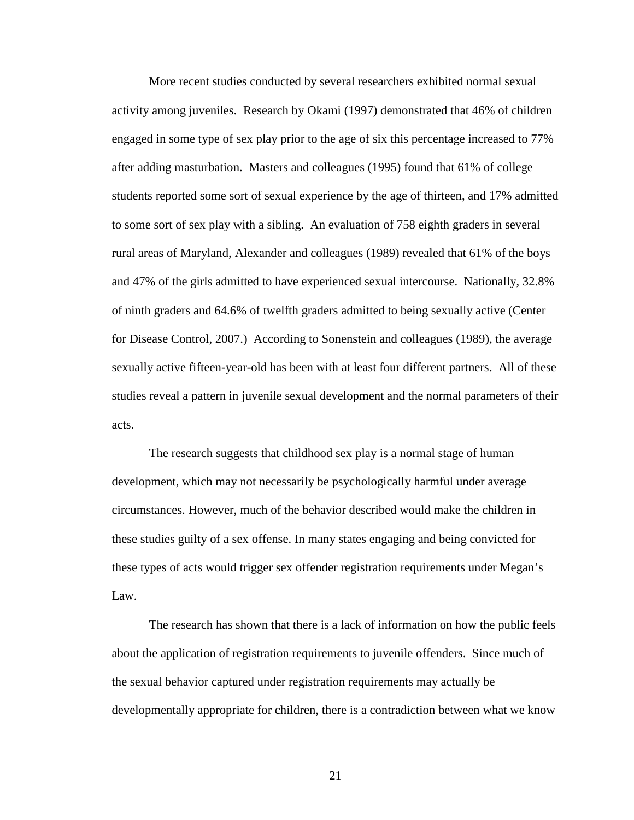More recent studies conducted by several researchers exhibited normal sexual activity among juveniles. Research by Okami (1997) demonstrated that 46% of children engaged in some type of sex play prior to the age of six this percentage increased to 77% after adding masturbation. Masters and colleagues (1995) found that 61% of college students reported some sort of sexual experience by the age of thirteen, and 17% admitted to some sort of sex play with a sibling. An evaluation of 758 eighth graders in several rural areas of Maryland, Alexander and colleagues (1989) revealed that 61% of the boys and 47% of the girls admitted to have experienced sexual intercourse. Nationally, 32.8% of ninth graders and 64.6% of twelfth graders admitted to being sexually active (Center for Disease Control, 2007.) According to Sonenstein and colleagues (1989), the average sexually active fifteen-year-old has been with at least four different partners. All of these studies reveal a pattern in juvenile sexual development and the normal parameters of their acts.

 The research suggests that childhood sex play is a normal stage of human development, which may not necessarily be psychologically harmful under average circumstances. However, much of the behavior described would make the children in these studies guilty of a sex offense. In many states engaging and being convicted for these types of acts would trigger sex offender registration requirements under Megan's Law.

The research has shown that there is a lack of information on how the public feels about the application of registration requirements to juvenile offenders. Since much of the sexual behavior captured under registration requirements may actually be developmentally appropriate for children, there is a contradiction between what we know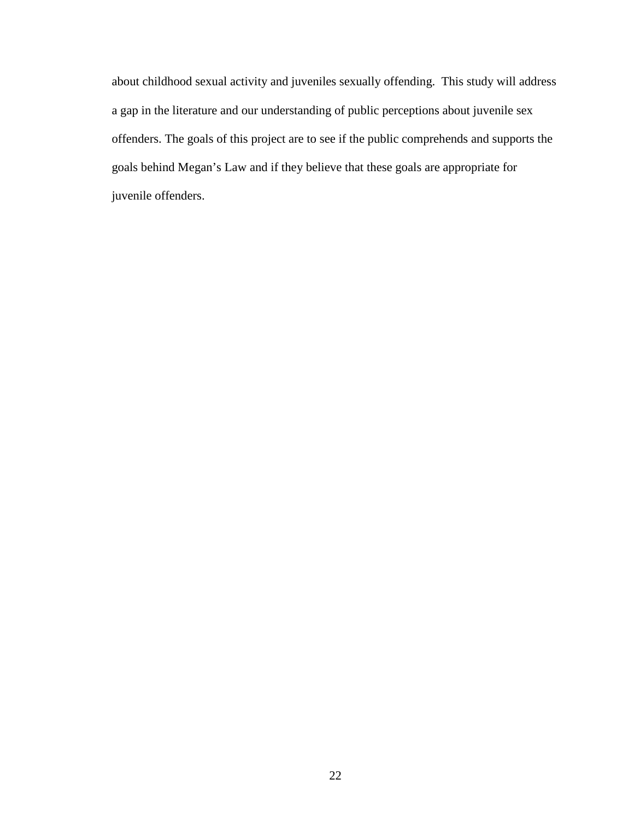about childhood sexual activity and juveniles sexually offending. This study will address a gap in the literature and our understanding of public perceptions about juvenile sex offenders. The goals of this project are to see if the public comprehends and supports the goals behind Megan's Law and if they believe that these goals are appropriate for juvenile offenders.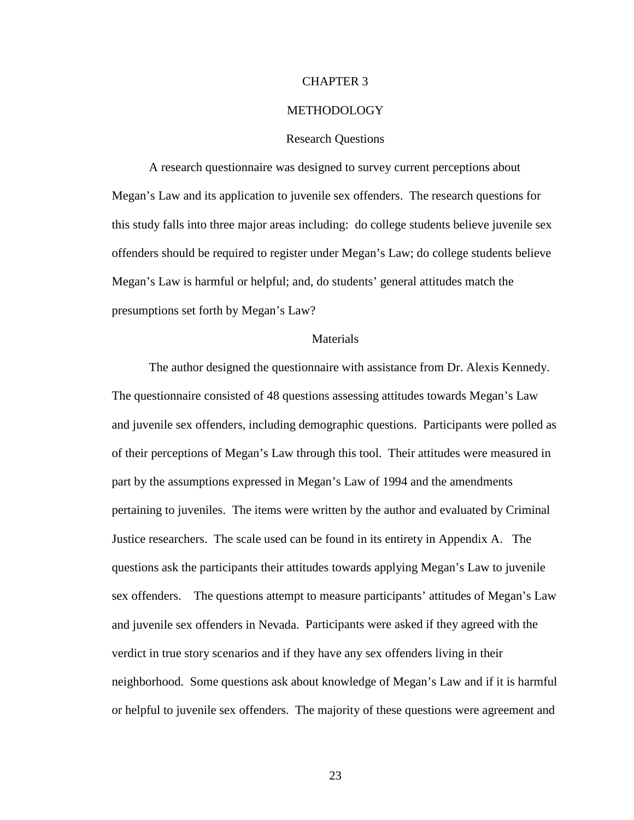## CHAPTER 3

#### METHODOLOGY

#### Research Questions

 A research questionnaire was designed to survey current perceptions about Megan's Law and its application to juvenile sex offenders. The research questions for this study falls into three major areas including: do college students believe juvenile sex offenders should be required to register under Megan's Law; do college students believe Megan's Law is harmful or helpful; and, do students' general attitudes match the presumptions set forth by Megan's Law?

## Materials

The author designed the questionnaire with assistance from Dr. Alexis Kennedy. The questionnaire consisted of 48 questions assessing attitudes towards Megan's Law and juvenile sex offenders, including demographic questions. Participants were polled as of their perceptions of Megan's Law through this tool. Their attitudes were measured in part by the assumptions expressed in Megan's Law of 1994 and the amendments pertaining to juveniles. The items were written by the author and evaluated by Criminal Justice researchers. The scale used can be found in its entirety in Appendix A. The questions ask the participants their attitudes towards applying Megan's Law to juvenile sex offenders. The questions attempt to measure participants' attitudes of Megan's Law and juvenile sex offenders in Nevada. Participants were asked if they agreed with the verdict in true story scenarios and if they have any sex offenders living in their neighborhood. Some questions ask about knowledge of Megan's Law and if it is harmful or helpful to juvenile sex offenders. The majority of these questions were agreement and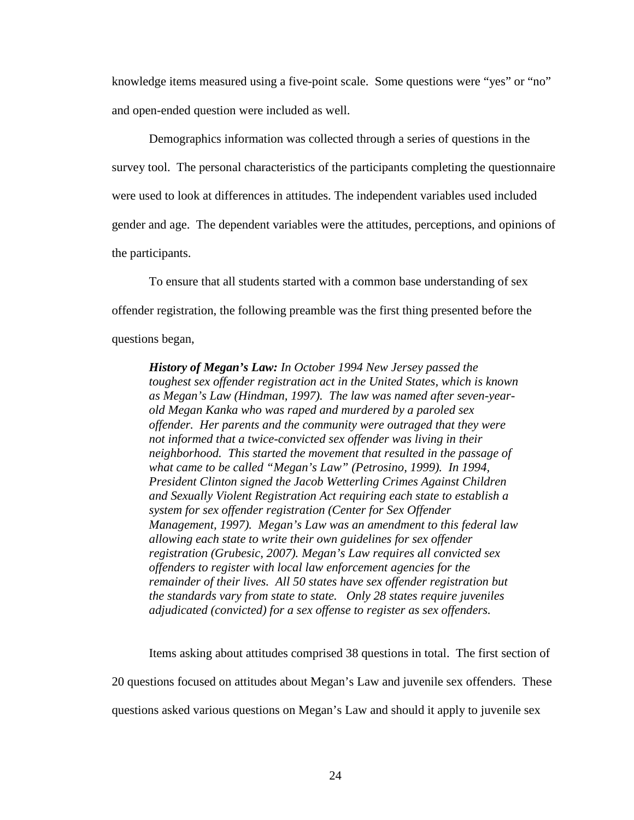knowledge items measured using a five-point scale. Some questions were "yes" or "no" and open-ended question were included as well.

Demographics information was collected through a series of questions in the survey tool. The personal characteristics of the participants completing the questionnaire were used to look at differences in attitudes. The independent variables used included gender and age. The dependent variables were the attitudes, perceptions, and opinions of the participants.

 To ensure that all students started with a common base understanding of sex offender registration, the following preamble was the first thing presented before the questions began,

*History of Megan's Law: In October 1994 New Jersey passed the toughest sex offender registration act in the United States, which is known as Megan's Law (Hindman, 1997). The law was named after seven-yearold Megan Kanka who was raped and murdered by a paroled sex offender. Her parents and the community were outraged that they were not informed that a twice-convicted sex offender was living in their neighborhood. This started the movement that resulted in the passage of what came to be called "Megan's Law" (Petrosino, 1999). In 1994, President Clinton signed the Jacob Wetterling Crimes Against Children and Sexually Violent Registration Act requiring each state to establish a system for sex offender registration (Center for Sex Offender Management, 1997). Megan's Law was an amendment to this federal law allowing each state to write their own guidelines for sex offender registration (Grubesic, 2007). Megan's Law requires all convicted sex offenders to register with local law enforcement agencies for the remainder of their lives. All 50 states have sex offender registration but the standards vary from state to state. Only 28 states require juveniles adjudicated (convicted) for a sex offense to register as sex offenders.* 

 Items asking about attitudes comprised 38 questions in total. The first section of 20 questions focused on attitudes about Megan's Law and juvenile sex offenders. These questions asked various questions on Megan's Law and should it apply to juvenile sex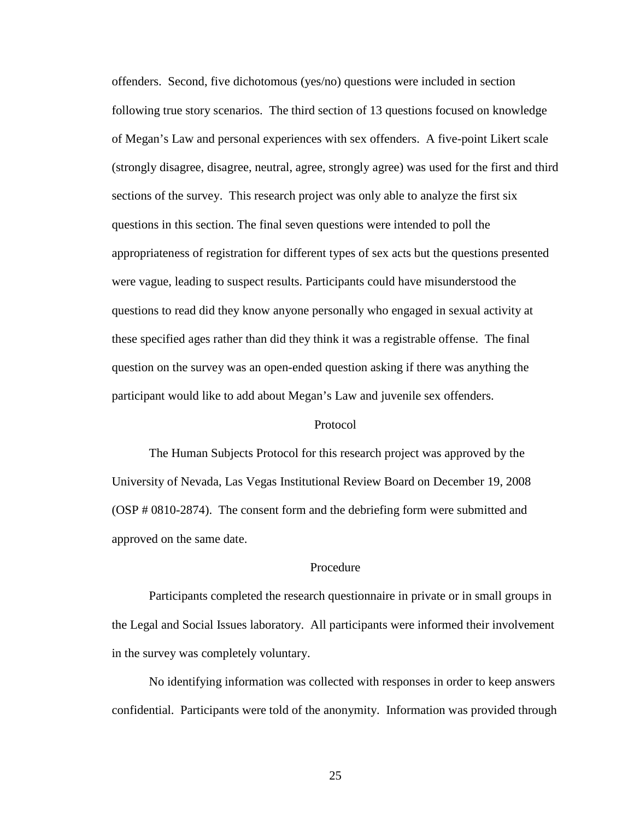offenders. Second, five dichotomous (yes/no) questions were included in section following true story scenarios. The third section of 13 questions focused on knowledge of Megan's Law and personal experiences with sex offenders. A five-point Likert scale (strongly disagree, disagree, neutral, agree, strongly agree) was used for the first and third sections of the survey. This research project was only able to analyze the first six questions in this section. The final seven questions were intended to poll the appropriateness of registration for different types of sex acts but the questions presented were vague, leading to suspect results. Participants could have misunderstood the questions to read did they know anyone personally who engaged in sexual activity at these specified ages rather than did they think it was a registrable offense. The final question on the survey was an open-ended question asking if there was anything the participant would like to add about Megan's Law and juvenile sex offenders.

#### Protocol

The Human Subjects Protocol for this research project was approved by the University of Nevada, Las Vegas Institutional Review Board on December 19, 2008 (OSP # 0810-2874). The consent form and the debriefing form were submitted and approved on the same date.

## Procedure

 Participants completed the research questionnaire in private or in small groups in the Legal and Social Issues laboratory. All participants were informed their involvement in the survey was completely voluntary.

 No identifying information was collected with responses in order to keep answers confidential. Participants were told of the anonymity. Information was provided through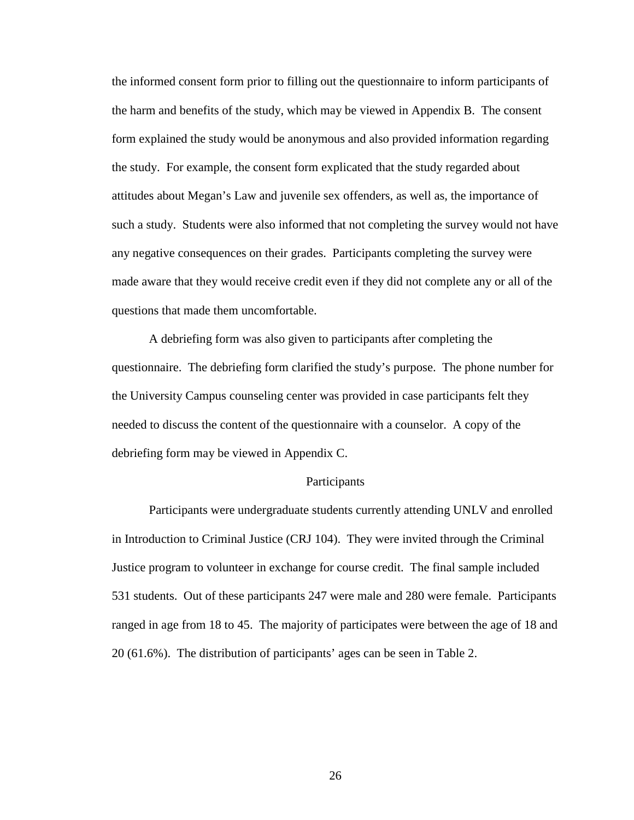the informed consent form prior to filling out the questionnaire to inform participants of the harm and benefits of the study, which may be viewed in Appendix B. The consent form explained the study would be anonymous and also provided information regarding the study. For example, the consent form explicated that the study regarded about attitudes about Megan's Law and juvenile sex offenders, as well as, the importance of such a study. Students were also informed that not completing the survey would not have any negative consequences on their grades. Participants completing the survey were made aware that they would receive credit even if they did not complete any or all of the questions that made them uncomfortable.

 A debriefing form was also given to participants after completing the questionnaire. The debriefing form clarified the study's purpose. The phone number for the University Campus counseling center was provided in case participants felt they needed to discuss the content of the questionnaire with a counselor. A copy of the debriefing form may be viewed in Appendix C.

## Participants

 Participants were undergraduate students currently attending UNLV and enrolled in Introduction to Criminal Justice (CRJ 104). They were invited through the Criminal Justice program to volunteer in exchange for course credit. The final sample included 531 students. Out of these participants 247 were male and 280 were female. Participants ranged in age from 18 to 45. The majority of participates were between the age of 18 and 20 (61.6%). The distribution of participants' ages can be seen in Table 2.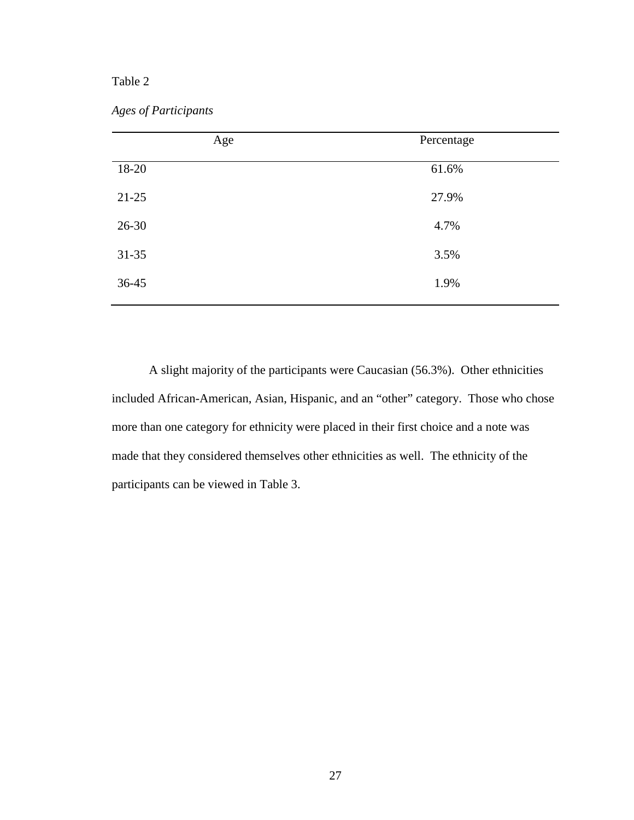## Table 2

| <b>Ages of Participants</b> |
|-----------------------------|

| Age       | Percentage |
|-----------|------------|
| 18-20     | 61.6%      |
| $21 - 25$ | 27.9%      |
| $26 - 30$ | 4.7%       |
| $31 - 35$ | 3.5%       |
| $36 - 45$ | 1.9%       |

 A slight majority of the participants were Caucasian (56.3%). Other ethnicities included African-American, Asian, Hispanic, and an "other" category. Those who chose more than one category for ethnicity were placed in their first choice and a note was made that they considered themselves other ethnicities as well. The ethnicity of the participants can be viewed in Table 3.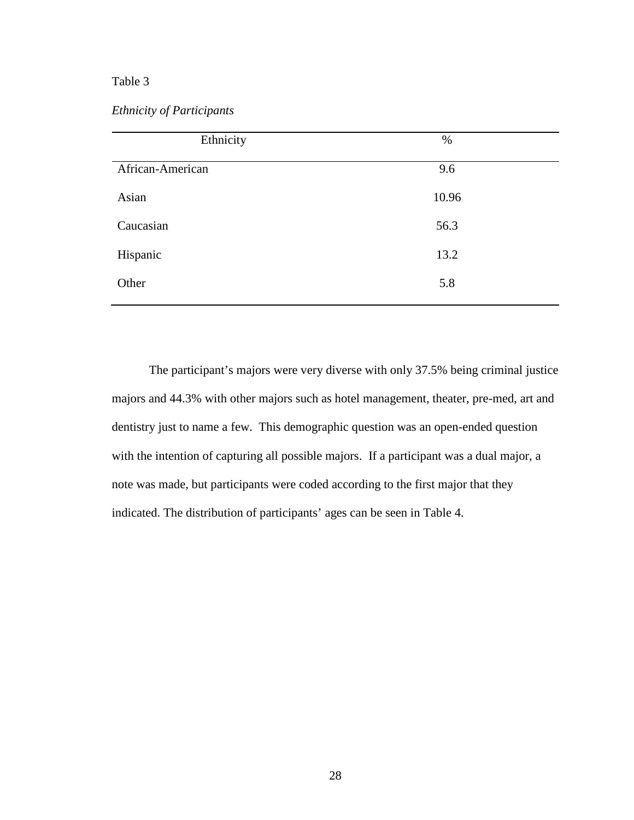*Ethnicity of Participants* 

| Ethnicity        | $\%$  |
|------------------|-------|
| African-American | 9.6   |
| Asian            | 10.96 |
| Caucasian        | 56.3  |
| Hispanic         | 13.2  |
| Other            | 5.8   |
|                  |       |

The participant's majors were very diverse with only 37.5% being criminal justice majors and 44.3% with other majors such as hotel management, theater, pre-med, art and dentistry just to name a few. This demographic question was an open-ended question with the intention of capturing all possible majors. If a participant was a dual major, a note was made, but participants were coded according to the first major that they indicated. The distribution of participants' ages can be seen in Table 4.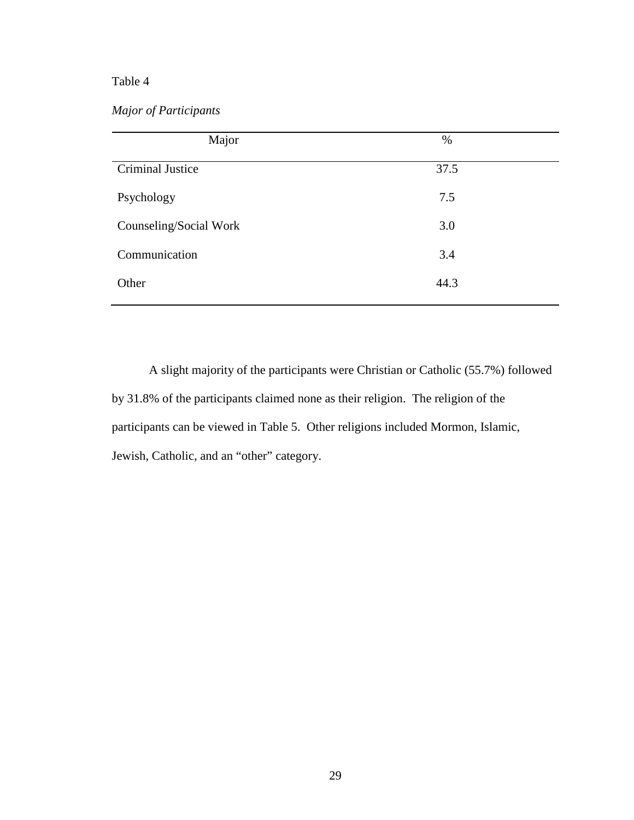*Major of Participants* 

| Major                  | $\%$ |  |
|------------------------|------|--|
| Criminal Justice       | 37.5 |  |
| Psychology             | 7.5  |  |
| Counseling/Social Work | 3.0  |  |
| Communication          | 3.4  |  |
| Other                  | 44.3 |  |

 A slight majority of the participants were Christian or Catholic (55.7%) followed by 31.8% of the participants claimed none as their religion. The religion of the participants can be viewed in Table 5. Other religions included Mormon, Islamic, Jewish, Catholic, and an "other" category.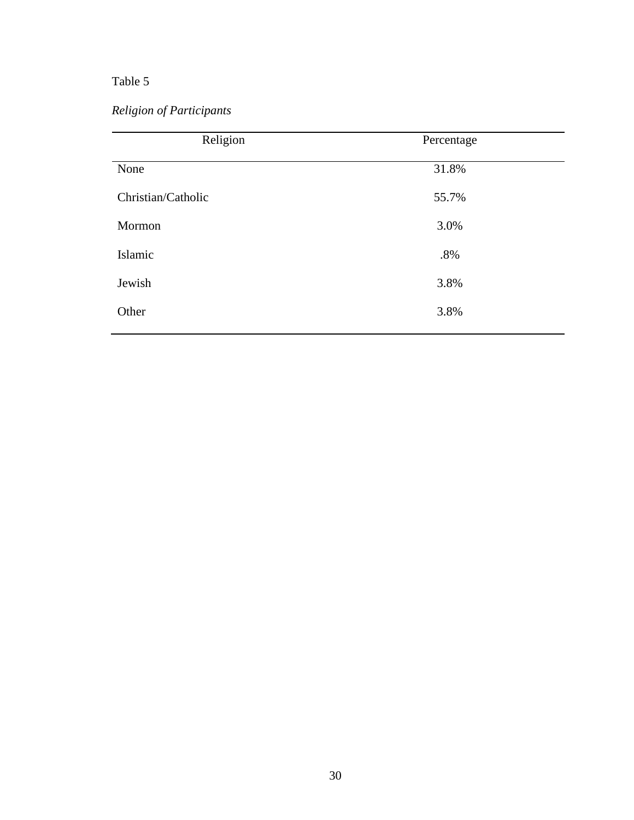*Religion of Participants* 

| Religion           | Percentage |
|--------------------|------------|
| None               | 31.8%      |
| Christian/Catholic | 55.7%      |
| Mormon             | 3.0%       |
| Islamic            | $.8\%$     |
| Jewish             | 3.8%       |
| Other              | 3.8%       |
|                    |            |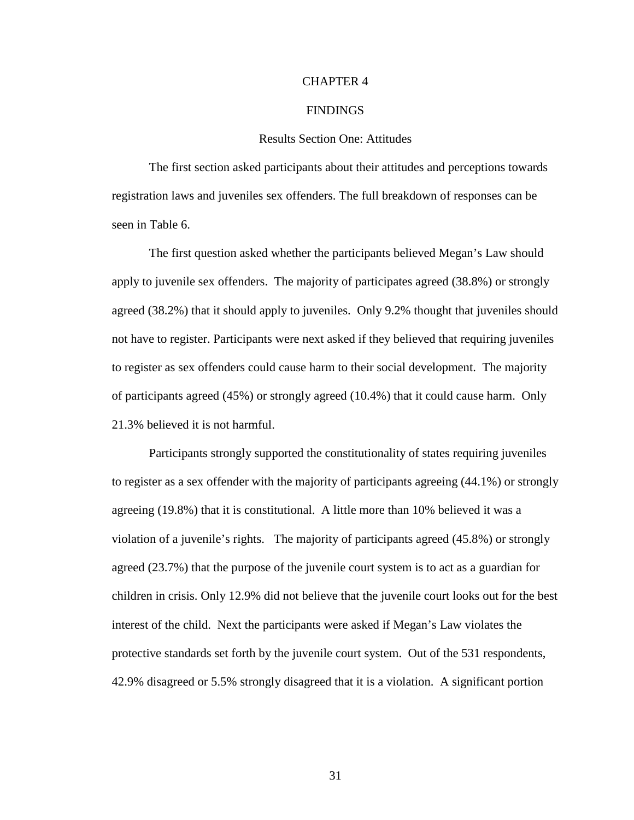#### CHAPTER 4

#### FINDINGS

#### Results Section One: Attitudes

The first section asked participants about their attitudes and perceptions towards registration laws and juveniles sex offenders. The full breakdown of responses can be seen in Table 6.

The first question asked whether the participants believed Megan's Law should apply to juvenile sex offenders. The majority of participates agreed (38.8%) or strongly agreed (38.2%) that it should apply to juveniles. Only 9.2% thought that juveniles should not have to register. Participants were next asked if they believed that requiring juveniles to register as sex offenders could cause harm to their social development. The majority of participants agreed (45%) or strongly agreed (10.4%) that it could cause harm. Only 21.3% believed it is not harmful.

Participants strongly supported the constitutionality of states requiring juveniles to register as a sex offender with the majority of participants agreeing (44.1%) or strongly agreeing (19.8%) that it is constitutional. A little more than 10% believed it was a violation of a juvenile's rights. The majority of participants agreed (45.8%) or strongly agreed (23.7%) that the purpose of the juvenile court system is to act as a guardian for children in crisis. Only 12.9% did not believe that the juvenile court looks out for the best interest of the child. Next the participants were asked if Megan's Law violates the protective standards set forth by the juvenile court system. Out of the 531 respondents, 42.9% disagreed or 5.5% strongly disagreed that it is a violation. A significant portion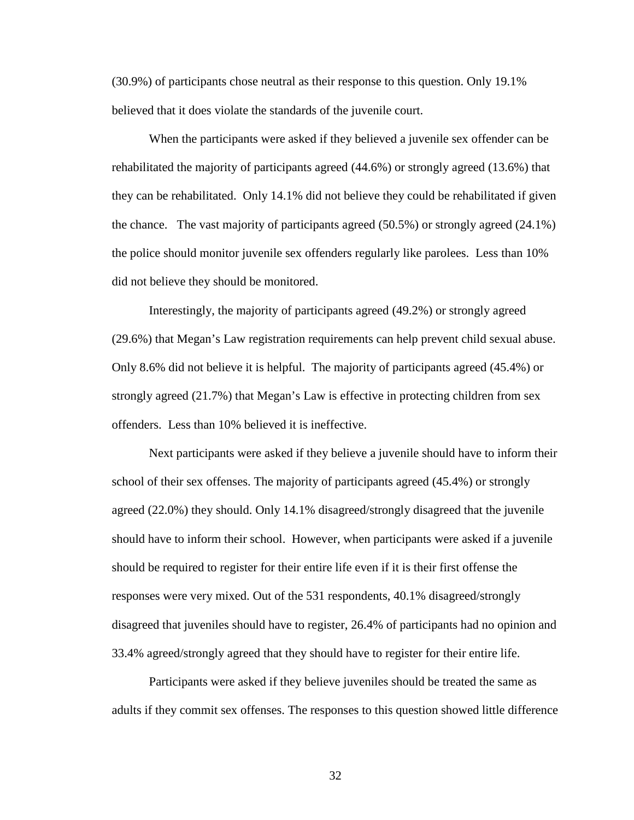(30.9%) of participants chose neutral as their response to this question. Only 19.1% believed that it does violate the standards of the juvenile court.

When the participants were asked if they believed a juvenile sex offender can be rehabilitated the majority of participants agreed (44.6%) or strongly agreed (13.6%) that they can be rehabilitated. Only 14.1% did not believe they could be rehabilitated if given the chance. The vast majority of participants agreed (50.5%) or strongly agreed (24.1%) the police should monitor juvenile sex offenders regularly like parolees. Less than 10% did not believe they should be monitored.

Interestingly, the majority of participants agreed (49.2%) or strongly agreed (29.6%) that Megan's Law registration requirements can help prevent child sexual abuse. Only 8.6% did not believe it is helpful. The majority of participants agreed (45.4%) or strongly agreed (21.7%) that Megan's Law is effective in protecting children from sex offenders. Less than 10% believed it is ineffective.

Next participants were asked if they believe a juvenile should have to inform their school of their sex offenses. The majority of participants agreed (45.4%) or strongly agreed (22.0%) they should. Only 14.1% disagreed/strongly disagreed that the juvenile should have to inform their school. However, when participants were asked if a juvenile should be required to register for their entire life even if it is their first offense the responses were very mixed. Out of the 531 respondents, 40.1% disagreed/strongly disagreed that juveniles should have to register, 26.4% of participants had no opinion and 33.4% agreed/strongly agreed that they should have to register for their entire life.

Participants were asked if they believe juveniles should be treated the same as adults if they commit sex offenses. The responses to this question showed little difference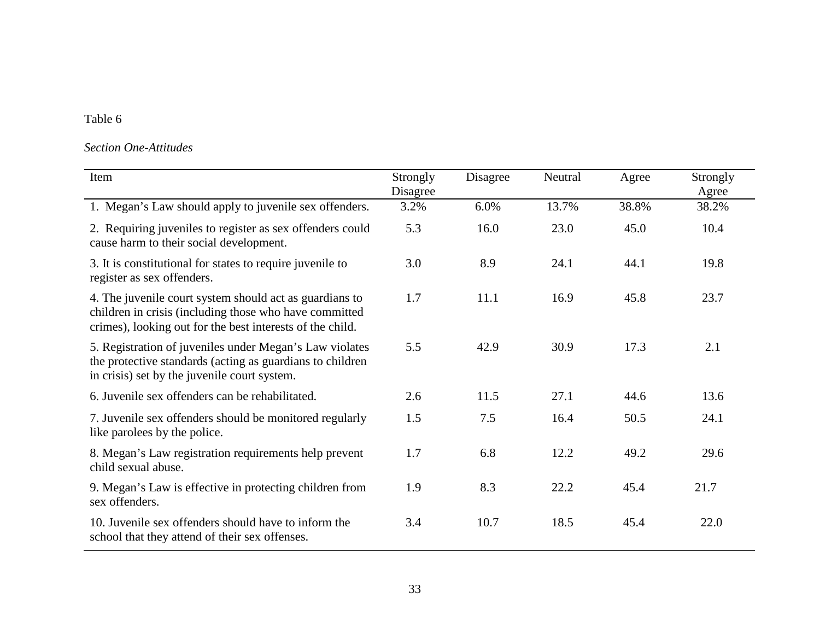# *Section One-Attitudes*

| Item                                                                                                                                                                           | Strongly<br>Disagree | Disagree | Neutral | Agree | Strongly<br>Agree |
|--------------------------------------------------------------------------------------------------------------------------------------------------------------------------------|----------------------|----------|---------|-------|-------------------|
| 1. Megan's Law should apply to juvenile sex offenders.                                                                                                                         | 3.2%                 | 6.0%     | 13.7%   | 38.8% | 38.2%             |
| 2. Requiring juveniles to register as sex offenders could<br>cause harm to their social development.                                                                           | 5.3                  | 16.0     | 23.0    | 45.0  | 10.4              |
| 3. It is constitutional for states to require juvenile to<br>register as sex offenders.                                                                                        | 3.0                  | 8.9      | 24.1    | 44.1  | 19.8              |
| 4. The juvenile court system should act as guardians to<br>children in crisis (including those who have committed<br>crimes), looking out for the best interests of the child. | 1.7                  | 11.1     | 16.9    | 45.8  | 23.7              |
| 5. Registration of juveniles under Megan's Law violates<br>the protective standards (acting as guardians to children<br>in crisis) set by the juvenile court system.           | 5.5                  | 42.9     | 30.9    | 17.3  | 2.1               |
| 6. Juvenile sex offenders can be rehabilitated.                                                                                                                                | 2.6                  | 11.5     | 27.1    | 44.6  | 13.6              |
| 7. Juvenile sex offenders should be monitored regularly<br>like parolees by the police.                                                                                        | 1.5                  | 7.5      | 16.4    | 50.5  | 24.1              |
| 8. Megan's Law registration requirements help prevent<br>child sexual abuse.                                                                                                   | 1.7                  | 6.8      | 12.2    | 49.2  | 29.6              |
| 9. Megan's Law is effective in protecting children from<br>sex offenders.                                                                                                      | 1.9                  | 8.3      | 22.2    | 45.4  | 21.7              |
| 10. Juvenile sex offenders should have to inform the<br>school that they attend of their sex offenses.                                                                         | 3.4                  | 10.7     | 18.5    | 45.4  | 22.0              |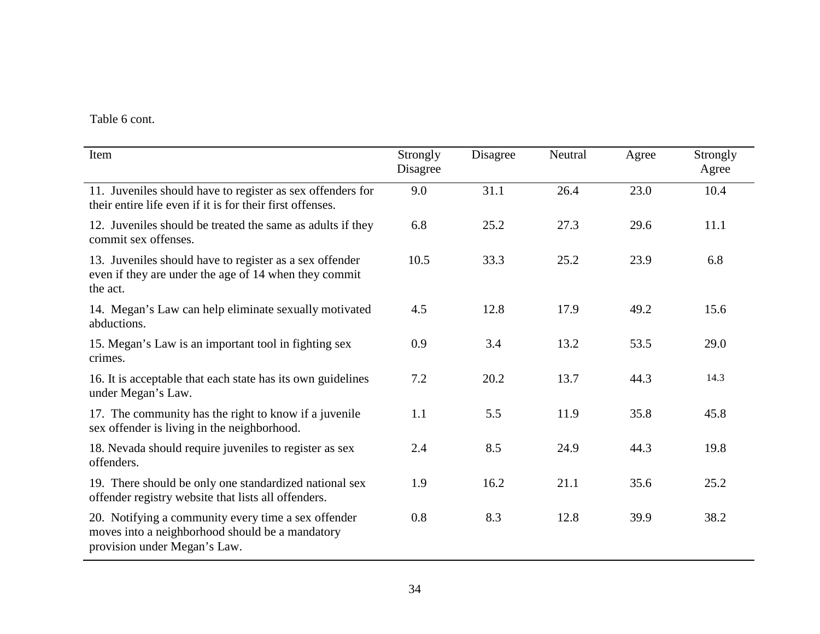Table 6 cont.

| Item                                                                                                                                   | Strongly<br>Disagree | Disagree | Neutral | Agree | Strongly<br>Agree |
|----------------------------------------------------------------------------------------------------------------------------------------|----------------------|----------|---------|-------|-------------------|
| 11. Juveniles should have to register as sex offenders for<br>their entire life even if it is for their first offenses.                | 9.0                  | 31.1     | 26.4    | 23.0  | 10.4              |
| 12. Juveniles should be treated the same as adults if they<br>commit sex offenses.                                                     | 6.8                  | 25.2     | 27.3    | 29.6  | 11.1              |
| 13. Juveniles should have to register as a sex offender<br>even if they are under the age of 14 when they commit<br>the act.           | 10.5                 | 33.3     | 25.2    | 23.9  | 6.8               |
| 14. Megan's Law can help eliminate sexually motivated<br>abductions.                                                                   | 4.5                  | 12.8     | 17.9    | 49.2  | 15.6              |
| 15. Megan's Law is an important tool in fighting sex<br>crimes.                                                                        | 0.9                  | 3.4      | 13.2    | 53.5  | 29.0              |
| 16. It is acceptable that each state has its own guidelines<br>under Megan's Law.                                                      | 7.2                  | 20.2     | 13.7    | 44.3  | 14.3              |
| 17. The community has the right to know if a juvenile<br>sex offender is living in the neighborhood.                                   | 1.1                  | 5.5      | 11.9    | 35.8  | 45.8              |
| 18. Nevada should require juveniles to register as sex<br>offenders.                                                                   | 2.4                  | 8.5      | 24.9    | 44.3  | 19.8              |
| 19. There should be only one standardized national sex<br>offender registry website that lists all offenders.                          | 1.9                  | 16.2     | 21.1    | 35.6  | 25.2              |
| 20. Notifying a community every time a sex offender<br>moves into a neighborhood should be a mandatory<br>provision under Megan's Law. | 0.8                  | 8.3      | 12.8    | 39.9  | 38.2              |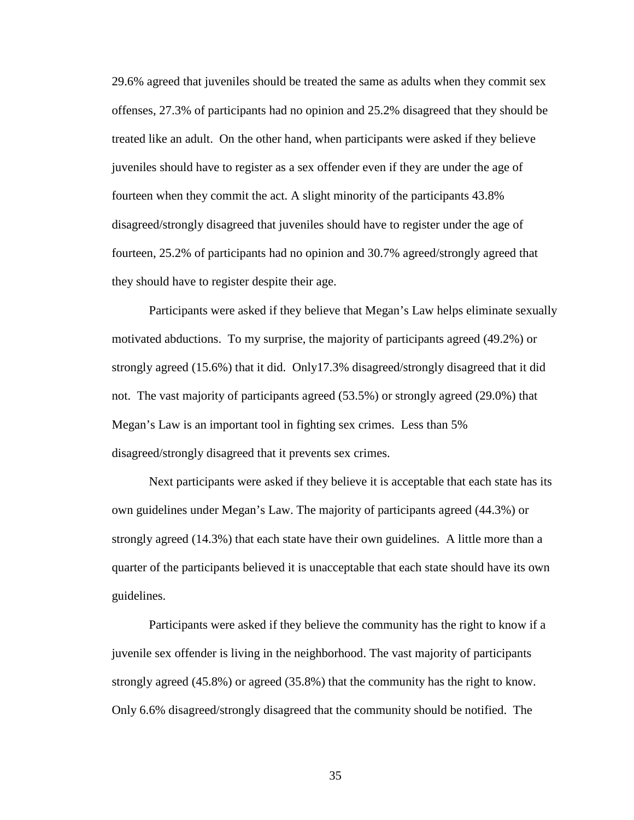29.6% agreed that juveniles should be treated the same as adults when they commit sex offenses, 27.3% of participants had no opinion and 25.2% disagreed that they should be treated like an adult. On the other hand, when participants were asked if they believe juveniles should have to register as a sex offender even if they are under the age of fourteen when they commit the act. A slight minority of the participants 43.8% disagreed/strongly disagreed that juveniles should have to register under the age of fourteen, 25.2% of participants had no opinion and 30.7% agreed/strongly agreed that they should have to register despite their age.

Participants were asked if they believe that Megan's Law helps eliminate sexually motivated abductions. To my surprise, the majority of participants agreed (49.2%) or strongly agreed (15.6%) that it did. Only17.3% disagreed/strongly disagreed that it did not. The vast majority of participants agreed (53.5%) or strongly agreed (29.0%) that Megan's Law is an important tool in fighting sex crimes. Less than 5% disagreed/strongly disagreed that it prevents sex crimes.

Next participants were asked if they believe it is acceptable that each state has its own guidelines under Megan's Law. The majority of participants agreed (44.3%) or strongly agreed (14.3%) that each state have their own guidelines. A little more than a quarter of the participants believed it is unacceptable that each state should have its own guidelines.

Participants were asked if they believe the community has the right to know if a juvenile sex offender is living in the neighborhood. The vast majority of participants strongly agreed (45.8%) or agreed (35.8%) that the community has the right to know. Only 6.6% disagreed/strongly disagreed that the community should be notified. The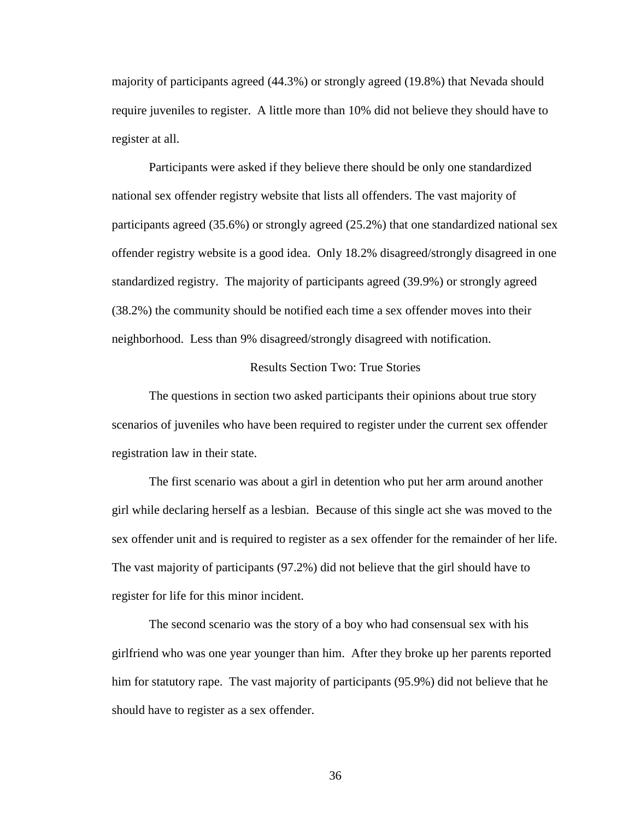majority of participants agreed (44.3%) or strongly agreed (19.8%) that Nevada should require juveniles to register. A little more than 10% did not believe they should have to register at all.

Participants were asked if they believe there should be only one standardized national sex offender registry website that lists all offenders. The vast majority of participants agreed (35.6%) or strongly agreed (25.2%) that one standardized national sex offender registry website is a good idea. Only 18.2% disagreed/strongly disagreed in one standardized registry. The majority of participants agreed (39.9%) or strongly agreed (38.2%) the community should be notified each time a sex offender moves into their neighborhood. Less than 9% disagreed/strongly disagreed with notification.

#### Results Section Two: True Stories

 The questions in section two asked participants their opinions about true story scenarios of juveniles who have been required to register under the current sex offender registration law in their state.

The first scenario was about a girl in detention who put her arm around another girl while declaring herself as a lesbian. Because of this single act she was moved to the sex offender unit and is required to register as a sex offender for the remainder of her life. The vast majority of participants (97.2%) did not believe that the girl should have to register for life for this minor incident.

The second scenario was the story of a boy who had consensual sex with his girlfriend who was one year younger than him. After they broke up her parents reported him for statutory rape. The vast majority of participants (95.9%) did not believe that he should have to register as a sex offender.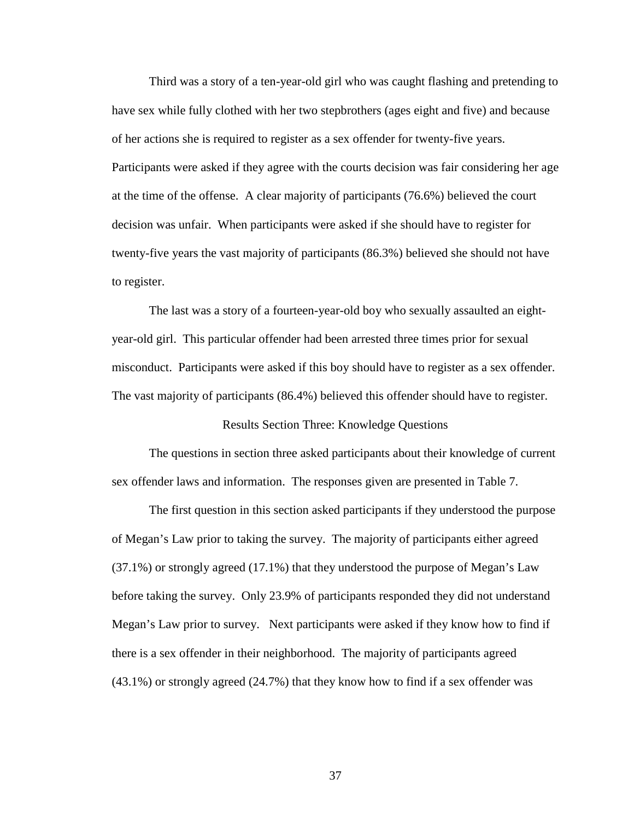Third was a story of a ten-year-old girl who was caught flashing and pretending to have sex while fully clothed with her two stepbrothers (ages eight and five) and because of her actions she is required to register as a sex offender for twenty-five years. Participants were asked if they agree with the courts decision was fair considering her age at the time of the offense. A clear majority of participants (76.6%) believed the court decision was unfair. When participants were asked if she should have to register for twenty-five years the vast majority of participants (86.3%) believed she should not have to register.

The last was a story of a fourteen-year-old boy who sexually assaulted an eightyear-old girl. This particular offender had been arrested three times prior for sexual misconduct. Participants were asked if this boy should have to register as a sex offender. The vast majority of participants (86.4%) believed this offender should have to register.

Results Section Three: Knowledge Questions

The questions in section three asked participants about their knowledge of current sex offender laws and information. The responses given are presented in Table 7.

The first question in this section asked participants if they understood the purpose of Megan's Law prior to taking the survey. The majority of participants either agreed (37.1%) or strongly agreed (17.1%) that they understood the purpose of Megan's Law before taking the survey. Only 23.9% of participants responded they did not understand Megan's Law prior to survey. Next participants were asked if they know how to find if there is a sex offender in their neighborhood. The majority of participants agreed (43.1%) or strongly agreed (24.7%) that they know how to find if a sex offender was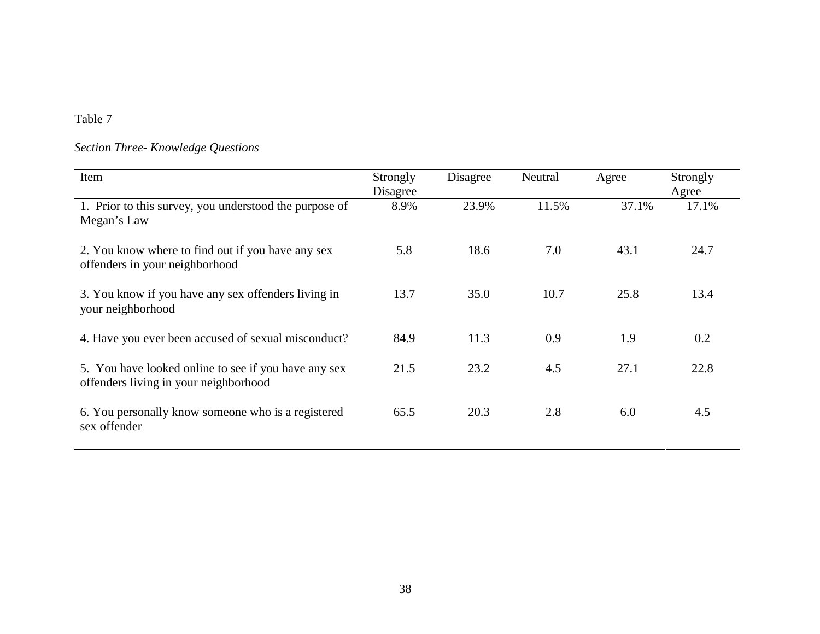# *Section Three- Knowledge Questions*

| Item                                                                                          | Strongly<br>Disagree | Disagree | Neutral | Agree | Strongly<br>Agree |
|-----------------------------------------------------------------------------------------------|----------------------|----------|---------|-------|-------------------|
| 1. Prior to this survey, you understood the purpose of<br>Megan's Law                         | 8.9%                 | 23.9%    | 11.5%   | 37.1% | 17.1%             |
| 2. You know where to find out if you have any sex<br>offenders in your neighborhood           | 5.8                  | 18.6     | 7.0     | 43.1  | 24.7              |
| 3. You know if you have any sex offenders living in<br>your neighborhood                      | 13.7                 | 35.0     | 10.7    | 25.8  | 13.4              |
| 4. Have you ever been accused of sexual misconduct?                                           | 84.9                 | 11.3     | 0.9     | 1.9   | 0.2               |
| 5. You have looked online to see if you have any sex<br>offenders living in your neighborhood | 21.5                 | 23.2     | 4.5     | 27.1  | 22.8              |
| 6. You personally know someone who is a registered<br>sex offender                            | 65.5                 | 20.3     | 2.8     | 6.0   | 4.5               |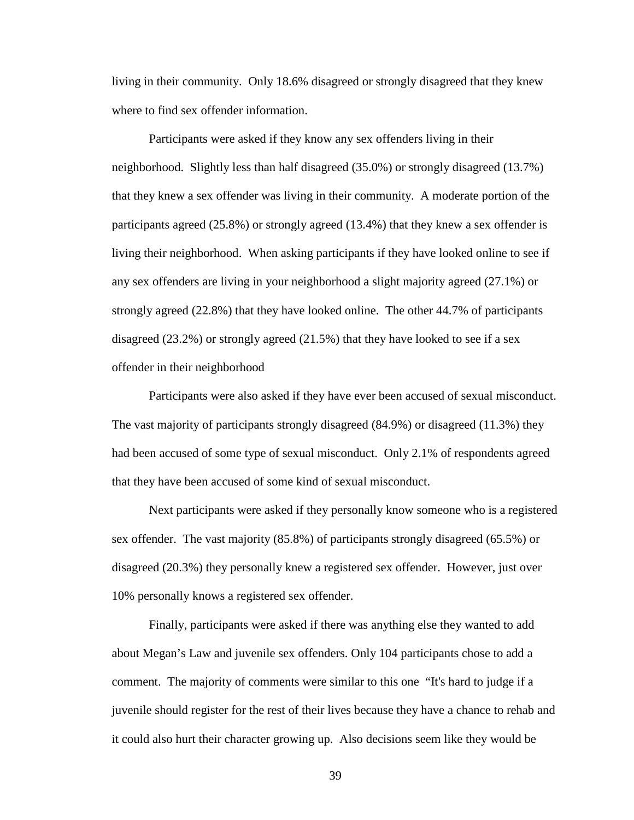living in their community. Only 18.6% disagreed or strongly disagreed that they knew where to find sex offender information.

Participants were asked if they know any sex offenders living in their neighborhood. Slightly less than half disagreed (35.0%) or strongly disagreed (13.7%) that they knew a sex offender was living in their community. A moderate portion of the participants agreed (25.8%) or strongly agreed (13.4%) that they knew a sex offender is living their neighborhood. When asking participants if they have looked online to see if any sex offenders are living in your neighborhood a slight majority agreed (27.1%) or strongly agreed (22.8%) that they have looked online. The other 44.7% of participants disagreed (23.2%) or strongly agreed (21.5%) that they have looked to see if a sex offender in their neighborhood

Participants were also asked if they have ever been accused of sexual misconduct. The vast majority of participants strongly disagreed (84.9%) or disagreed (11.3%) they had been accused of some type of sexual misconduct. Only 2.1% of respondents agreed that they have been accused of some kind of sexual misconduct.

Next participants were asked if they personally know someone who is a registered sex offender. The vast majority (85.8%) of participants strongly disagreed (65.5%) or disagreed (20.3%) they personally knew a registered sex offender. However, just over 10% personally knows a registered sex offender.

Finally, participants were asked if there was anything else they wanted to add about Megan's Law and juvenile sex offenders. Only 104 participants chose to add a comment. The majority of comments were similar to this one "It's hard to judge if a juvenile should register for the rest of their lives because they have a chance to rehab and it could also hurt their character growing up. Also decisions seem like they would be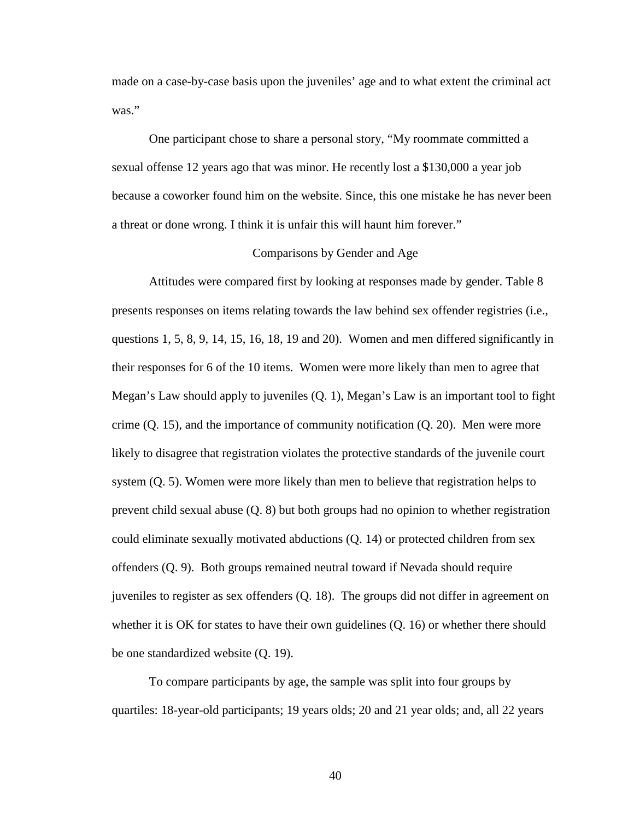made on a case-by-case basis upon the juveniles' age and to what extent the criminal act was."

One participant chose to share a personal story, "My roommate committed a sexual offense 12 years ago that was minor. He recently lost a \$130,000 a year job because a coworker found him on the website. Since, this one mistake he has never been a threat or done wrong. I think it is unfair this will haunt him forever."

#### Comparisons by Gender and Age

 Attitudes were compared first by looking at responses made by gender. Table 8 presents responses on items relating towards the law behind sex offender registries (i.e., questions 1, 5, 8, 9, 14, 15, 16, 18, 19 and 20). Women and men differed significantly in their responses for 6 of the 10 items. Women were more likely than men to agree that Megan's Law should apply to juveniles (Q. 1), Megan's Law is an important tool to fight crime  $(Q. 15)$ , and the importance of community notification  $(Q. 20)$ . Men were more likely to disagree that registration violates the protective standards of the juvenile court system (Q. 5). Women were more likely than men to believe that registration helps to prevent child sexual abuse (Q. 8) but both groups had no opinion to whether registration could eliminate sexually motivated abductions (Q. 14) or protected children from sex offenders (Q. 9). Both groups remained neutral toward if Nevada should require juveniles to register as sex offenders (Q. 18). The groups did not differ in agreement on whether it is OK for states to have their own guidelines (Q. 16) or whether there should be one standardized website (Q. 19).

To compare participants by age, the sample was split into four groups by quartiles: 18-year-old participants; 19 years olds; 20 and 21 year olds; and, all 22 years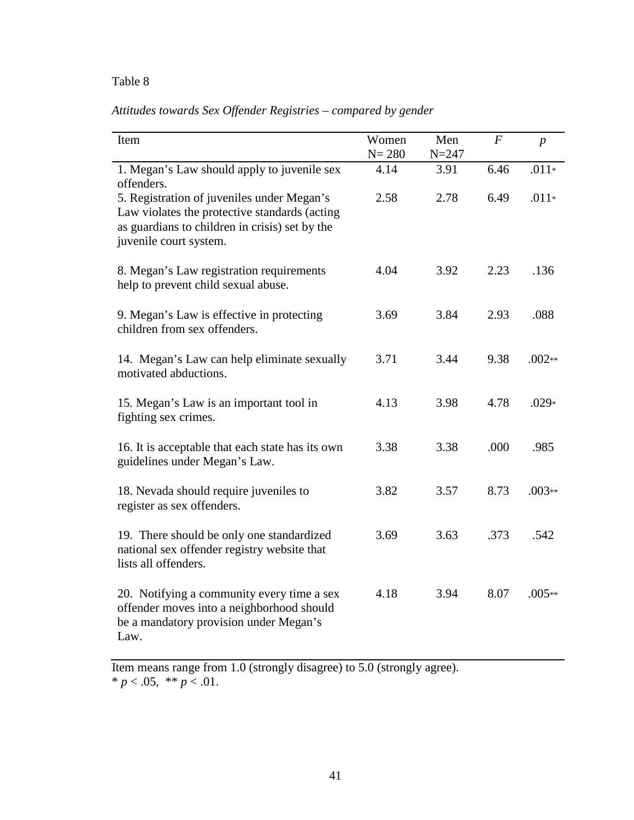| Item                                                                                                                                                                    | Women<br>$N = 280$ | Men<br>$N = 247$ | $\overline{F}$ | $\boldsymbol{p}$ |
|-------------------------------------------------------------------------------------------------------------------------------------------------------------------------|--------------------|------------------|----------------|------------------|
| 1. Megan's Law should apply to juvenile sex<br>offenders.                                                                                                               | 4.14               | 3.91             | 6.46           | $.011*$          |
| 5. Registration of juveniles under Megan's<br>Law violates the protective standards (acting<br>as guardians to children in crisis) set by the<br>juvenile court system. | 2.58               | 2.78             | 6.49           | $.011*$          |
| 8. Megan's Law registration requirements<br>help to prevent child sexual abuse.                                                                                         | 4.04               | 3.92             | 2.23           | .136             |
| 9. Megan's Law is effective in protecting<br>children from sex offenders.                                                                                               | 3.69               | 3.84             | 2.93           | .088             |
| 14. Megan's Law can help eliminate sexually<br>motivated abductions.                                                                                                    | 3.71               | 3.44             | 9.38           | $.002**$         |
| 15. Megan's Law is an important tool in<br>fighting sex crimes.                                                                                                         | 4.13               | 3.98             | 4.78           | $.029*$          |
| 16. It is acceptable that each state has its own<br>guidelines under Megan's Law.                                                                                       | 3.38               | 3.38             | .000           | .985             |
| 18. Nevada should require juveniles to<br>register as sex offenders.                                                                                                    | 3.82               | 3.57             | 8.73           | $.003**$         |
| 19. There should be only one standardized<br>national sex offender registry website that<br>lists all offenders.                                                        | 3.69               | 3.63             | .373           | .542             |
| 20. Notifying a community every time a sex<br>offender moves into a neighborhood should<br>be a mandatory provision under Megan's<br>Law.                               | 4.18               | 3.94             | 8.07           | $.005**$         |

Item means range from 1.0 (strongly disagree) to 5.0 (strongly agree).  $* p < .05, ** p < .01.$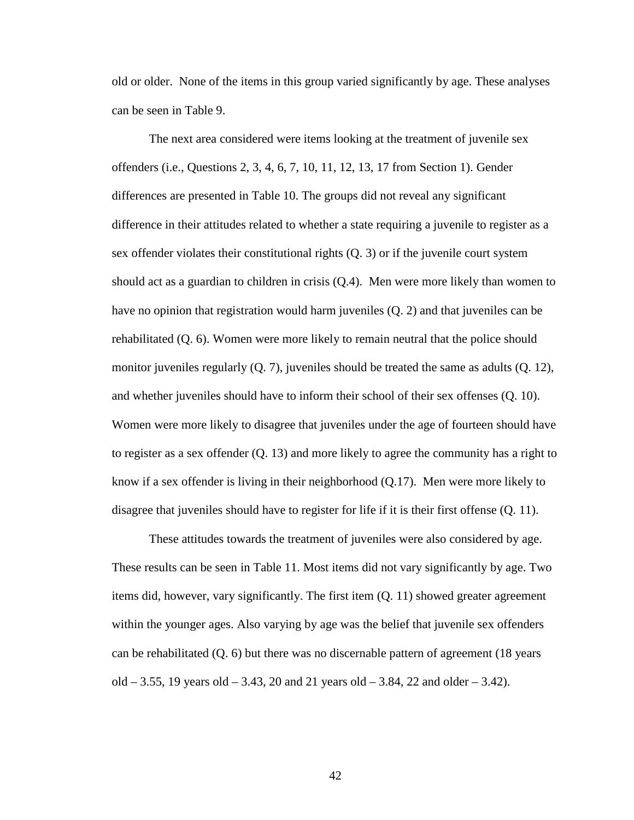old or older. None of the items in this group varied significantly by age. These analyses can be seen in Table 9.

The next area considered were items looking at the treatment of juvenile sex offenders (i.e., Questions 2, 3, 4, 6, 7, 10, 11, 12, 13, 17 from Section 1). Gender differences are presented in Table 10. The groups did not reveal any significant difference in their attitudes related to whether a state requiring a juvenile to register as a sex offender violates their constitutional rights (Q. 3) or if the juvenile court system should act as a guardian to children in crisis (Q.4). Men were more likely than women to have no opinion that registration would harm juveniles (Q. 2) and that juveniles can be rehabilitated (Q. 6). Women were more likely to remain neutral that the police should monitor juveniles regularly (Q. 7), juveniles should be treated the same as adults (Q. 12), and whether juveniles should have to inform their school of their sex offenses (Q. 10). Women were more likely to disagree that juveniles under the age of fourteen should have to register as a sex offender (Q. 13) and more likely to agree the community has a right to know if a sex offender is living in their neighborhood (Q.17). Men were more likely to disagree that juveniles should have to register for life if it is their first offense (Q. 11).

These attitudes towards the treatment of juveniles were also considered by age. These results can be seen in Table 11. Most items did not vary significantly by age. Two items did, however, vary significantly. The first item (Q. 11) showed greater agreement within the younger ages. Also varying by age was the belief that juvenile sex offenders can be rehabilitated (Q. 6) but there was no discernable pattern of agreement (18 years old  $-3.55$ , 19 years old  $-3.43$ , 20 and 21 years old  $-3.84$ , 22 and older  $-3.42$ ).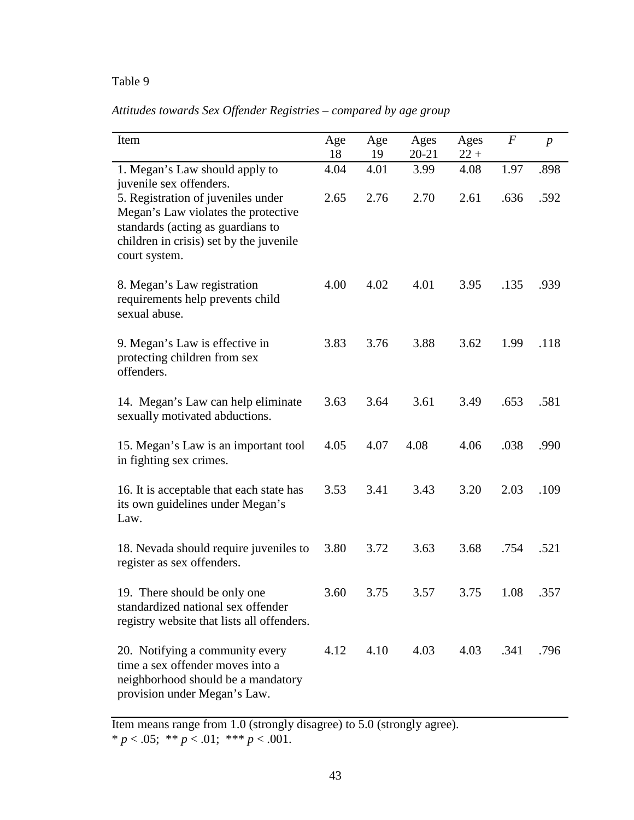*Attitudes towards Sex Offender Registries – compared by age group* 

| Item                                                                                                                                                                       | Age<br>18 | Age<br>19 | Ages<br>20-21 | Ages<br>$22 +$ | $\boldsymbol{F}$ | $\boldsymbol{p}$ |
|----------------------------------------------------------------------------------------------------------------------------------------------------------------------------|-----------|-----------|---------------|----------------|------------------|------------------|
| 1. Megan's Law should apply to<br>juvenile sex offenders.                                                                                                                  | 4.04      | 4.01      | 3.99          | 4.08           | 1.97             | .898             |
| 5. Registration of juveniles under<br>Megan's Law violates the protective<br>standards (acting as guardians to<br>children in crisis) set by the juvenile<br>court system. | 2.65      | 2.76      | 2.70          | 2.61           | .636             | .592             |
| 8. Megan's Law registration<br>requirements help prevents child<br>sexual abuse.                                                                                           | 4.00      | 4.02      | 4.01          | 3.95           | .135             | .939             |
| 9. Megan's Law is effective in<br>protecting children from sex<br>offenders.                                                                                               | 3.83      | 3.76      | 3.88          | 3.62           | 1.99             | .118             |
| 14. Megan's Law can help eliminate<br>sexually motivated abductions.                                                                                                       | 3.63      | 3.64      | 3.61          | 3.49           | .653             | .581             |
| 15. Megan's Law is an important tool<br>in fighting sex crimes.                                                                                                            | 4.05      | 4.07      | 4.08          | 4.06           | .038             | .990             |
| 16. It is acceptable that each state has<br>its own guidelines under Megan's<br>Law.                                                                                       | 3.53      | 3.41      | 3.43          | 3.20           | 2.03             | .109             |
| 18. Nevada should require juveniles to<br>register as sex offenders.                                                                                                       | 3.80      | 3.72      | 3.63          | 3.68           | .754             | .521             |
| 19. There should be only one<br>standardized national sex offender<br>registry website that lists all offenders.                                                           | 3.60      | 3.75      | 3.57          | 3.75           | 1.08             | .357             |
| 20. Notifying a community every<br>time a sex offender moves into a<br>neighborhood should be a mandatory<br>provision under Megan's Law.                                  | 4.12      | 4.10      | 4.03          | 4.03           | .341             | .796             |

Item means range from 1.0 (strongly disagree) to 5.0 (strongly agree). \*  $p < .05$ ; \*\*  $p < .01$ ; \*\*\*  $p < .001$ .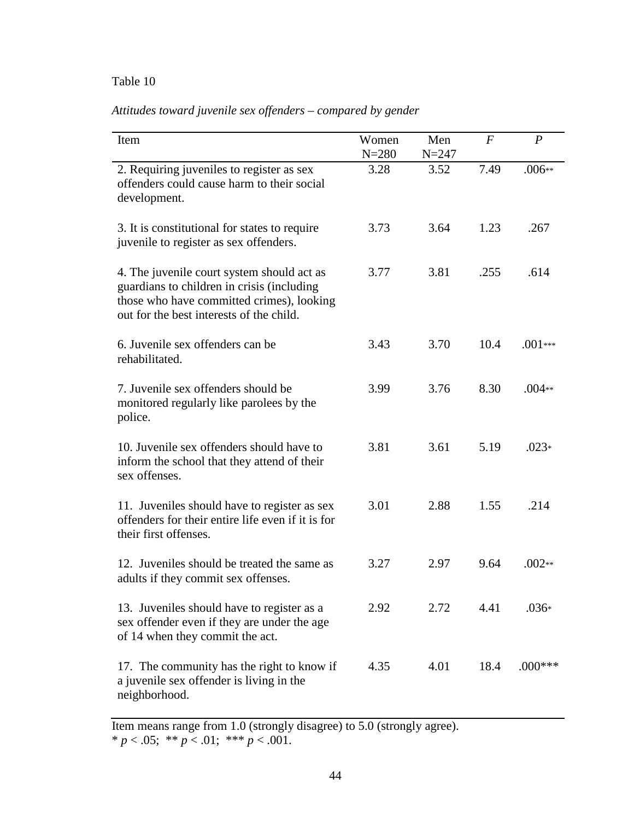| Attitudes toward juvenile sex offenders – compared by gender |  |  |  |  |
|--------------------------------------------------------------|--|--|--|--|
|--------------------------------------------------------------|--|--|--|--|

| Item                                                                                                                                                                              | Women<br>$N = 280$ | Men<br>$N = 247$ | $\overline{F}$ | $\boldsymbol{P}$ |
|-----------------------------------------------------------------------------------------------------------------------------------------------------------------------------------|--------------------|------------------|----------------|------------------|
| 2. Requiring juveniles to register as sex<br>offenders could cause harm to their social<br>development.                                                                           | 3.28               | 3.52             | 7.49           | $.006**$         |
| 3. It is constitutional for states to require<br>juvenile to register as sex offenders.                                                                                           | 3.73               | 3.64             | 1.23           | .267             |
| 4. The juvenile court system should act as<br>guardians to children in crisis (including<br>those who have committed crimes), looking<br>out for the best interests of the child. | 3.77               | 3.81             | .255           | .614             |
| 6. Juvenile sex offenders can be<br>rehabilitated.                                                                                                                                | 3.43               | 3.70             | 10.4           | $.001***$        |
| 7. Juvenile sex offenders should be<br>monitored regularly like parolees by the<br>police.                                                                                        | 3.99               | 3.76             | 8.30           | $.004**$         |
| 10. Juvenile sex offenders should have to<br>inform the school that they attend of their<br>sex offenses.                                                                         | 3.81               | 3.61             | 5.19           | $.023*$          |
| 11. Juveniles should have to register as sex<br>offenders for their entire life even if it is for<br>their first offenses.                                                        | 3.01               | 2.88             | 1.55           | .214             |
| 12. Juveniles should be treated the same as<br>adults if they commit sex offenses.                                                                                                | 3.27               | 2.97             | 9.64           | $.002**$         |
| 13. Juveniles should have to register as a<br>sex offender even if they are under the age<br>of 14 when they commit the act.                                                      | 2.92               | 2.72             | 4.41           | $.036*$          |
| 17. The community has the right to know if<br>a juvenile sex offender is living in the<br>neighborhood.                                                                           | 4.35               | 4.01             | 18.4           | $.000***$        |

Item means range from 1.0 (strongly disagree) to 5.0 (strongly agree).  $* p < .05;$  \*\*  $p < .01;$  \*\*\*  $p < .001$ .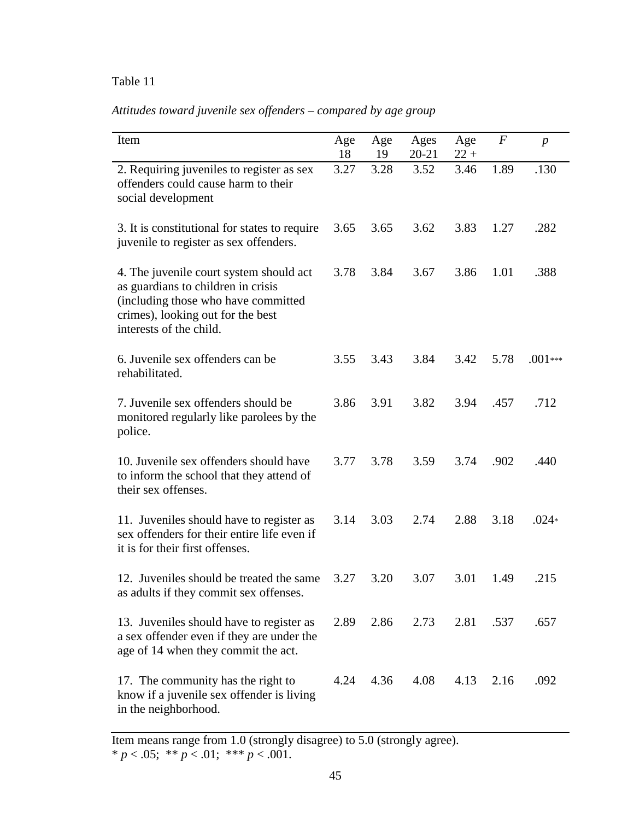# *Attitudes toward juvenile sex offenders – compared by age group*

| Item                                                                                                                                                                                 | Age<br>18 | Age<br>19 | Ages<br>20-21 | Age<br>$22 +$ | $\boldsymbol{F}$ | $\boldsymbol{p}$ |
|--------------------------------------------------------------------------------------------------------------------------------------------------------------------------------------|-----------|-----------|---------------|---------------|------------------|------------------|
| 2. Requiring juveniles to register as sex<br>offenders could cause harm to their<br>social development                                                                               | 3.27      | 3.28      | 3.52          | 3.46          | 1.89             | .130             |
| 3. It is constitutional for states to require<br>juvenile to register as sex offenders.                                                                                              | 3.65      | 3.65      | 3.62          | 3.83          | 1.27             | .282             |
| 4. The juvenile court system should act<br>as guardians to children in crisis<br>(including those who have committed<br>crimes), looking out for the best<br>interests of the child. | 3.78      | 3.84      | 3.67          | 3.86          | 1.01             | .388             |
| 6. Juvenile sex offenders can be<br>rehabilitated.                                                                                                                                   | 3.55      | 3.43      | 3.84          | 3.42          | 5.78             | $.001***$        |
| 7. Juvenile sex offenders should be<br>monitored regularly like parolees by the<br>police.                                                                                           | 3.86      | 3.91      | 3.82          | 3.94          | .457             | .712             |
| 10. Juvenile sex offenders should have<br>to inform the school that they attend of<br>their sex offenses.                                                                            | 3.77      | 3.78      | 3.59          | 3.74          | .902             | .440             |
| 11. Juveniles should have to register as<br>sex offenders for their entire life even if<br>it is for their first offenses.                                                           | 3.14      | 3.03      | 2.74          | 2.88          | 3.18             | $.024*$          |
| 12. Juveniles should be treated the same<br>as adults if they commit sex offenses.                                                                                                   | 3.27      | 3.20      | 3.07          | 3.01          | 1.49             | .215             |
| 13. Juveniles should have to register as<br>a sex offender even if they are under the<br>age of 14 when they commit the act.                                                         | 2.89      | 2.86      | 2.73          | 2.81          | .537             | .657             |
| 17. The community has the right to<br>know if a juvenile sex offender is living<br>in the neighborhood.                                                                              | 4.24      | 4.36      | 4.08          | 4.13          | 2.16             | .092             |

Item means range from 1.0 (strongly disagree) to 5.0 (strongly agree). \* *p* < .05; \*\* *p* < .01; \*\*\* *p* < .001.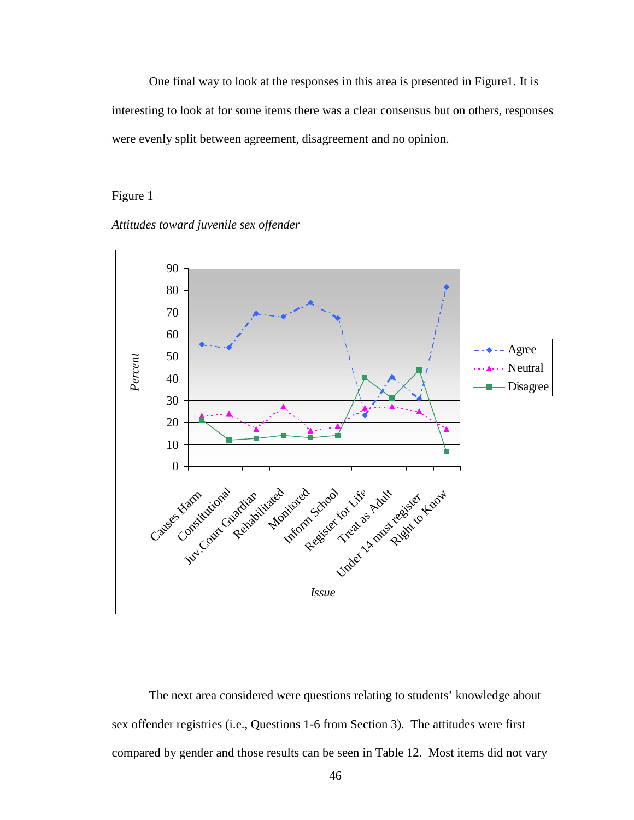One final way to look at the responses in this area is presented in Figure1. It is interesting to look at for some items there was a clear consensus but on others, responses were evenly split between agreement, disagreement and no opinion.

## Figure 1

*Attitudes toward juvenile sex offender* 



The next area considered were questions relating to students' knowledge about sex offender registries (i.e., Questions 1-6 from Section 3). The attitudes were first compared by gender and those results can be seen in Table 12. Most items did not vary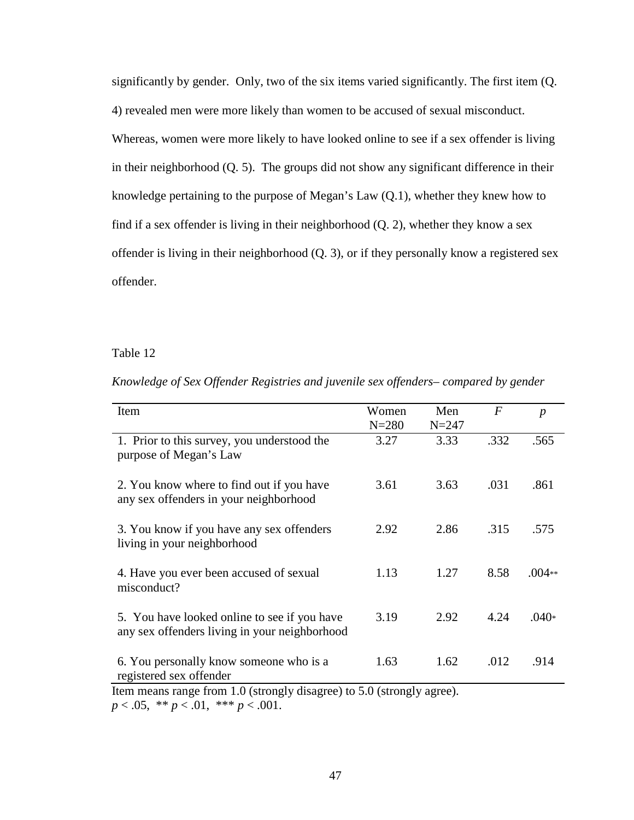significantly by gender. Only, two of the six items varied significantly. The first item (Q. 4) revealed men were more likely than women to be accused of sexual misconduct. Whereas, women were more likely to have looked online to see if a sex offender is living in their neighborhood (Q. 5). The groups did not show any significant difference in their knowledge pertaining to the purpose of Megan's Law (Q.1), whether they knew how to find if a sex offender is living in their neighborhood (Q. 2), whether they know a sex offender is living in their neighborhood (Q. 3), or if they personally know a registered sex offender.

#### Table 12

| Item                                                                                          | Women<br>$N = 280$ | Men<br>$N = 247$ | $\bm{F}$ | $\boldsymbol{p}$ |
|-----------------------------------------------------------------------------------------------|--------------------|------------------|----------|------------------|
| 1. Prior to this survey, you understood the<br>purpose of Megan's Law                         | 3.27               | 3.33             | .332     | .565             |
| 2. You know where to find out if you have<br>any sex offenders in your neighborhood           | 3.61               | 3.63             | .031     | .861             |
| 3. You know if you have any sex offenders<br>living in your neighborhood                      | 2.92               | 2.86             | .315     | .575             |
| 4. Have you ever been accused of sexual<br>misconduct?                                        | 1.13               | 1.27             | 8.58     | $.004**$         |
| 5. You have looked online to see if you have<br>any sex offenders living in your neighborhood | 3.19               | 2.92             | 4.24     | $.040*$          |
| 6. You personally know someone who is a<br>registered sex offender                            | 1.63               | 1.62             | .012     | .914             |

*Knowledge of Sex Offender Registries and juvenile sex offenders– compared by gender*

Item means range from 1.0 (strongly disagree) to 5.0 (strongly agree). *p* < .05, \*\* *p* < .01, \*\*\* *p* < .001.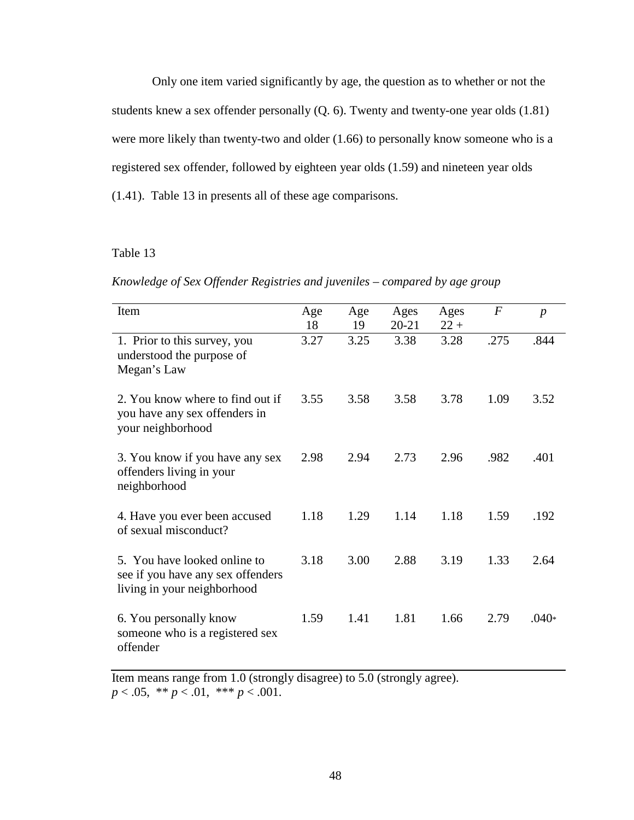Only one item varied significantly by age, the question as to whether or not the students knew a sex offender personally (Q. 6). Twenty and twenty-one year olds (1.81) were more likely than twenty-two and older (1.66) to personally know someone who is a registered sex offender, followed by eighteen year olds (1.59) and nineteen year olds (1.41). Table 13 in presents all of these age comparisons.

## Table 13

*Knowledge of Sex Offender Registries and juveniles – compared by age group* 

| Item                                                                                             | Age<br>18 | Age<br>19 | Ages<br>$20 - 21$ | Ages<br>$22 +$ | $\boldsymbol{F}$ | $\boldsymbol{p}$ |
|--------------------------------------------------------------------------------------------------|-----------|-----------|-------------------|----------------|------------------|------------------|
| 1. Prior to this survey, you<br>understood the purpose of<br>Megan's Law                         | 3.27      | 3.25      | 3.38              | 3.28           | .275             | .844             |
| 2. You know where to find out if<br>you have any sex offenders in<br>your neighborhood           | 3.55      | 3.58      | 3.58              | 3.78           | 1.09             | 3.52             |
| 3. You know if you have any sex<br>offenders living in your<br>neighborhood                      | 2.98      | 2.94      | 2.73              | 2.96           | .982             | .401             |
| 4. Have you ever been accused<br>of sexual misconduct?                                           | 1.18      | 1.29      | 1.14              | 1.18           | 1.59             | .192             |
| 5. You have looked online to<br>see if you have any sex offenders<br>living in your neighborhood | 3.18      | 3.00      | 2.88              | 3.19           | 1.33             | 2.64             |
| 6. You personally know<br>someone who is a registered sex<br>offender                            | 1.59      | 1.41      | 1.81              | 1.66           | 2.79             | $.040*$          |

Item means range from 1.0 (strongly disagree) to 5.0 (strongly agree). *p* < .05, \*\* *p* < .01, \*\*\* *p* < .001.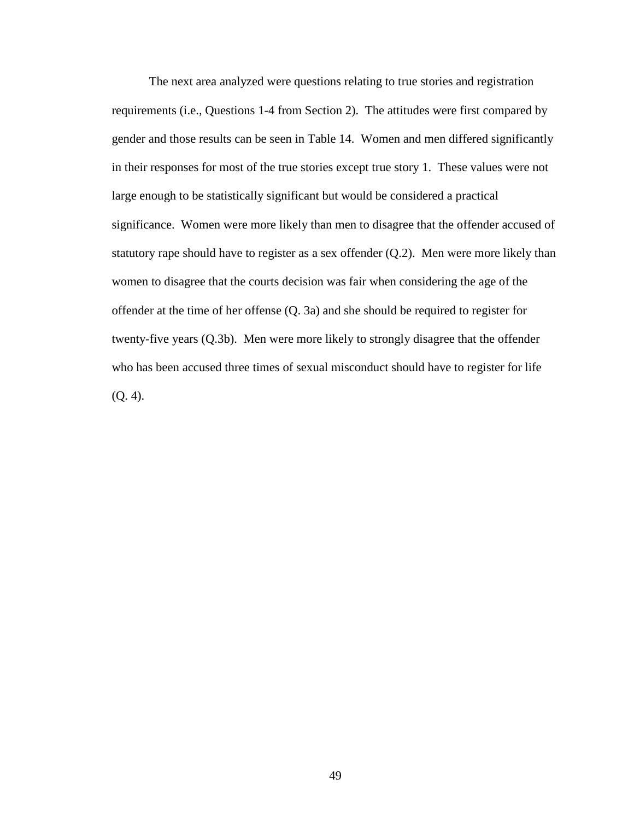The next area analyzed were questions relating to true stories and registration requirements (i.e., Questions 1-4 from Section 2). The attitudes were first compared by gender and those results can be seen in Table 14. Women and men differed significantly in their responses for most of the true stories except true story 1. These values were not large enough to be statistically significant but would be considered a practical significance. Women were more likely than men to disagree that the offender accused of statutory rape should have to register as a sex offender  $(Q.2)$ . Men were more likely than women to disagree that the courts decision was fair when considering the age of the offender at the time of her offense (Q. 3a) and she should be required to register for twenty-five years (Q.3b). Men were more likely to strongly disagree that the offender who has been accused three times of sexual misconduct should have to register for life (Q. 4).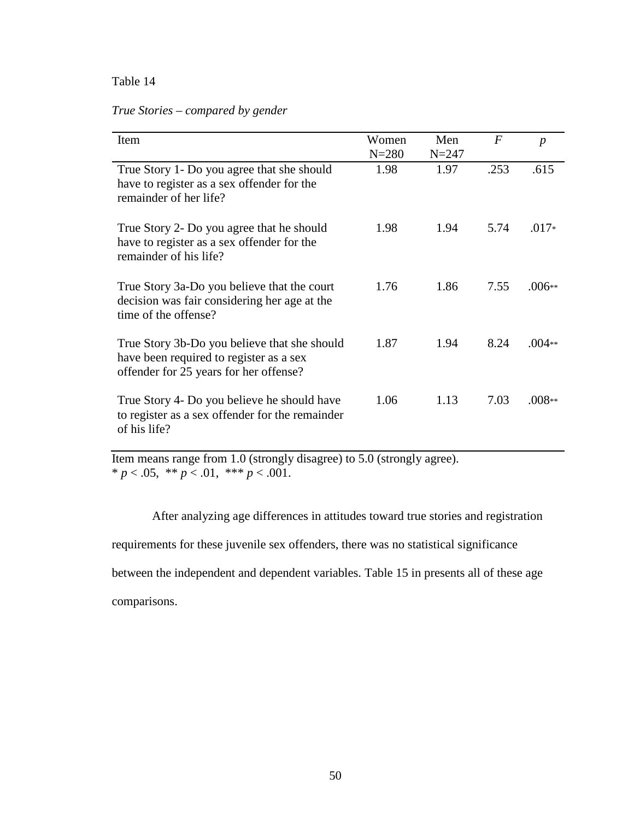| True Stories – compared by gender |  |
|-----------------------------------|--|
|-----------------------------------|--|

| Item                                                                                                                              | Women     | Men       | $\overline{F}$ |                  |
|-----------------------------------------------------------------------------------------------------------------------------------|-----------|-----------|----------------|------------------|
|                                                                                                                                   | $N = 280$ | $N = 247$ |                | $\boldsymbol{p}$ |
| True Story 1- Do you agree that she should<br>have to register as a sex offender for the<br>remainder of her life?                | 1.98      | 1.97      | .253           | .615             |
| True Story 2- Do you agree that he should<br>have to register as a sex offender for the<br>remainder of his life?                 | 1.98      | 1.94      | 5.74           | $.017*$          |
| True Story 3a-Do you believe that the court<br>decision was fair considering her age at the<br>time of the offense?               | 1.76      | 1.86      | 7.55           | $.006**$         |
| True Story 3b-Do you believe that she should<br>have been required to register as a sex<br>offender for 25 years for her offense? | 1.87      | 1.94      | 8.24           | $.004**$         |
| True Story 4- Do you believe he should have<br>to register as a sex offender for the remainder<br>of his life?                    | 1.06      | 1.13      | 7.03           | $.008**$         |

Item means range from 1.0 (strongly disagree) to 5.0 (strongly agree). \*  $p < .05$ , \*\*  $p < .01$ , \*\*\*  $p < .001$ .

 After analyzing age differences in attitudes toward true stories and registration requirements for these juvenile sex offenders, there was no statistical significance between the independent and dependent variables. Table 15 in presents all of these age comparisons.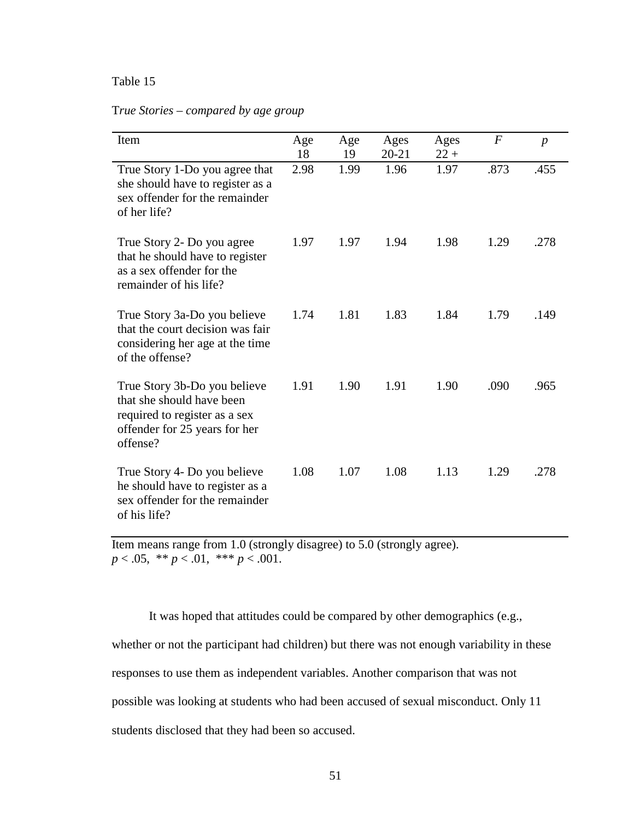| Item                                                                                                                                    | Age<br>18 | Age<br>19 | Ages<br>$20 - 21$ | Ages<br>$22 +$ | $\boldsymbol{F}$ | $\boldsymbol{p}$ |
|-----------------------------------------------------------------------------------------------------------------------------------------|-----------|-----------|-------------------|----------------|------------------|------------------|
| True Story 1-Do you agree that<br>she should have to register as a<br>sex offender for the remainder<br>of her life?                    | 2.98      | 1.99      | 1.96              | 1.97           | .873             | .455             |
| True Story 2- Do you agree<br>that he should have to register<br>as a sex offender for the<br>remainder of his life?                    | 1.97      | 1.97      | 1.94              | 1.98           | 1.29             | .278             |
| True Story 3a-Do you believe<br>that the court decision was fair<br>considering her age at the time<br>of the offense?                  | 1.74      | 1.81      | 1.83              | 1.84           | 1.79             | .149             |
| True Story 3b-Do you believe<br>that she should have been<br>required to register as a sex<br>offender for 25 years for her<br>offense? | 1.91      | 1.90      | 1.91              | 1.90           | .090             | .965             |
| True Story 4- Do you believe<br>he should have to register as a<br>sex offender for the remainder<br>of his life?                       | 1.08      | 1.07      | 1.08              | 1.13           | 1.29             | .278             |

## T*rue Stories – compared by age group*

Item means range from 1.0 (strongly disagree) to 5.0 (strongly agree). *p* < .05, \*\* *p* < .01, \*\*\* *p* < .001.

 It was hoped that attitudes could be compared by other demographics (e.g., whether or not the participant had children) but there was not enough variability in these responses to use them as independent variables. Another comparison that was not possible was looking at students who had been accused of sexual misconduct. Only 11 students disclosed that they had been so accused.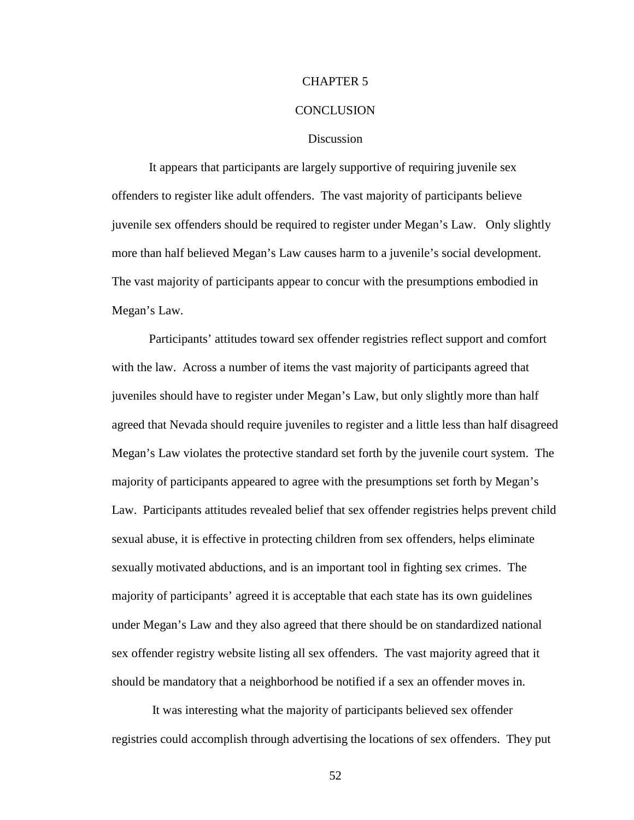#### CHAPTER 5

#### **CONCLUSION**

#### **Discussion**

 It appears that participants are largely supportive of requiring juvenile sex offenders to register like adult offenders. The vast majority of participants believe juvenile sex offenders should be required to register under Megan's Law. Only slightly more than half believed Megan's Law causes harm to a juvenile's social development. The vast majority of participants appear to concur with the presumptions embodied in Megan's Law.

Participants' attitudes toward sex offender registries reflect support and comfort with the law. Across a number of items the vast majority of participants agreed that juveniles should have to register under Megan's Law, but only slightly more than half agreed that Nevada should require juveniles to register and a little less than half disagreed Megan's Law violates the protective standard set forth by the juvenile court system. The majority of participants appeared to agree with the presumptions set forth by Megan's Law. Participants attitudes revealed belief that sex offender registries helps prevent child sexual abuse, it is effective in protecting children from sex offenders, helps eliminate sexually motivated abductions, and is an important tool in fighting sex crimes. The majority of participants' agreed it is acceptable that each state has its own guidelines under Megan's Law and they also agreed that there should be on standardized national sex offender registry website listing all sex offenders. The vast majority agreed that it should be mandatory that a neighborhood be notified if a sex an offender moves in.

 It was interesting what the majority of participants believed sex offender registries could accomplish through advertising the locations of sex offenders. They put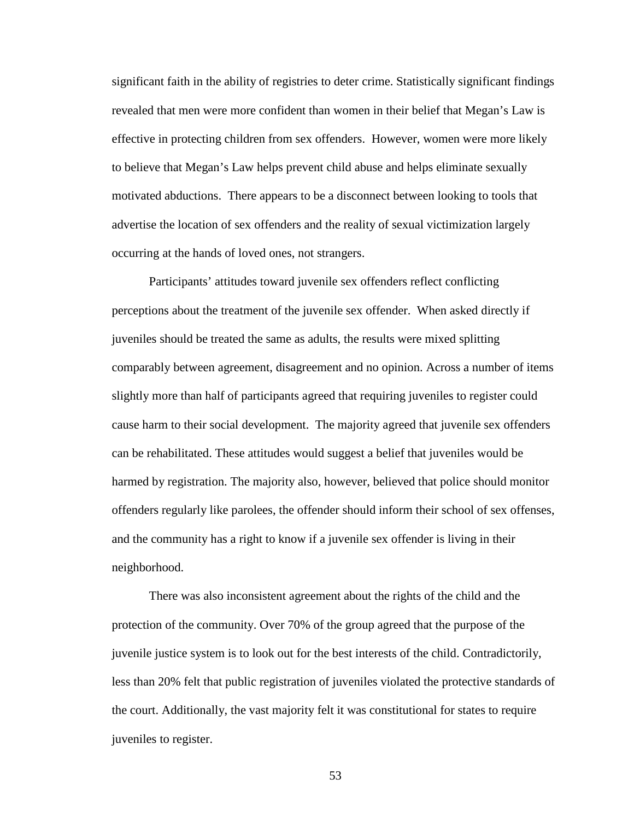significant faith in the ability of registries to deter crime. Statistically significant findings revealed that men were more confident than women in their belief that Megan's Law is effective in protecting children from sex offenders. However, women were more likely to believe that Megan's Law helps prevent child abuse and helps eliminate sexually motivated abductions. There appears to be a disconnect between looking to tools that advertise the location of sex offenders and the reality of sexual victimization largely occurring at the hands of loved ones, not strangers.

Participants' attitudes toward juvenile sex offenders reflect conflicting perceptions about the treatment of the juvenile sex offender. When asked directly if juveniles should be treated the same as adults, the results were mixed splitting comparably between agreement, disagreement and no opinion. Across a number of items slightly more than half of participants agreed that requiring juveniles to register could cause harm to their social development. The majority agreed that juvenile sex offenders can be rehabilitated. These attitudes would suggest a belief that juveniles would be harmed by registration. The majority also, however, believed that police should monitor offenders regularly like parolees, the offender should inform their school of sex offenses, and the community has a right to know if a juvenile sex offender is living in their neighborhood.

There was also inconsistent agreement about the rights of the child and the protection of the community. Over 70% of the group agreed that the purpose of the juvenile justice system is to look out for the best interests of the child. Contradictorily, less than 20% felt that public registration of juveniles violated the protective standards of the court. Additionally, the vast majority felt it was constitutional for states to require juveniles to register.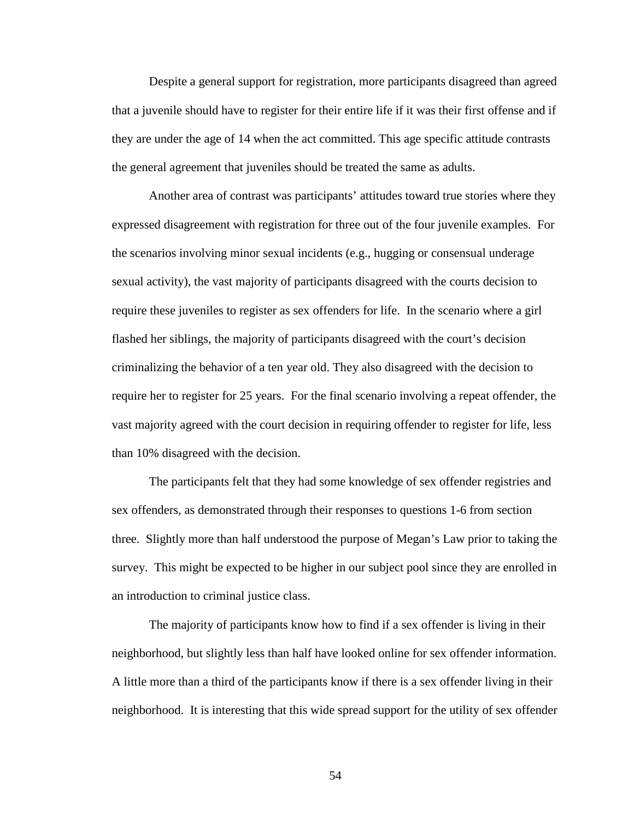Despite a general support for registration, more participants disagreed than agreed that a juvenile should have to register for their entire life if it was their first offense and if they are under the age of 14 when the act committed. This age specific attitude contrasts the general agreement that juveniles should be treated the same as adults.

Another area of contrast was participants' attitudes toward true stories where they expressed disagreement with registration for three out of the four juvenile examples. For the scenarios involving minor sexual incidents (e.g., hugging or consensual underage sexual activity), the vast majority of participants disagreed with the courts decision to require these juveniles to register as sex offenders for life. In the scenario where a girl flashed her siblings, the majority of participants disagreed with the court's decision criminalizing the behavior of a ten year old. They also disagreed with the decision to require her to register for 25 years. For the final scenario involving a repeat offender, the vast majority agreed with the court decision in requiring offender to register for life, less than 10% disagreed with the decision.

The participants felt that they had some knowledge of sex offender registries and sex offenders, as demonstrated through their responses to questions 1-6 from section three. Slightly more than half understood the purpose of Megan's Law prior to taking the survey. This might be expected to be higher in our subject pool since they are enrolled in an introduction to criminal justice class.

The majority of participants know how to find if a sex offender is living in their neighborhood, but slightly less than half have looked online for sex offender information. A little more than a third of the participants know if there is a sex offender living in their neighborhood. It is interesting that this wide spread support for the utility of sex offender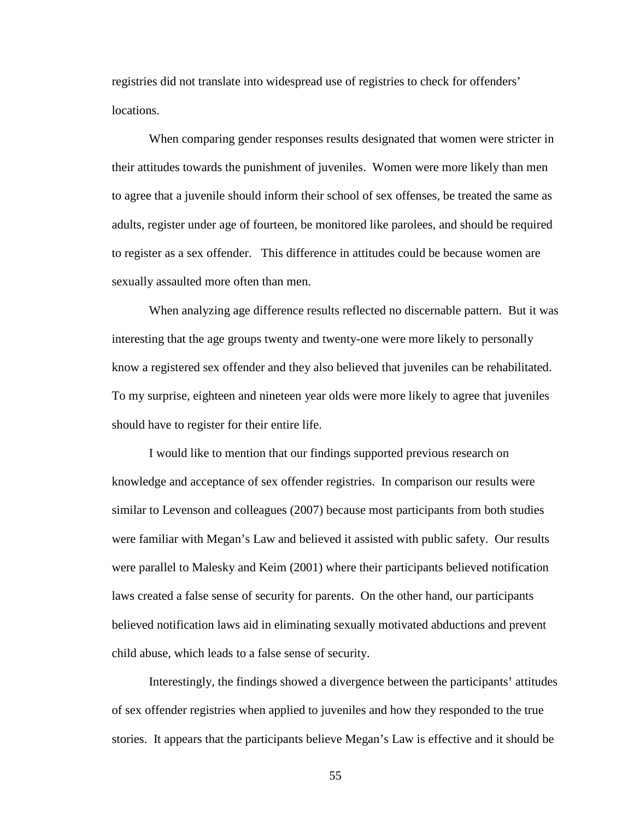registries did not translate into widespread use of registries to check for offenders' locations.

When comparing gender responses results designated that women were stricter in their attitudes towards the punishment of juveniles. Women were more likely than men to agree that a juvenile should inform their school of sex offenses, be treated the same as adults, register under age of fourteen, be monitored like parolees, and should be required to register as a sex offender. This difference in attitudes could be because women are sexually assaulted more often than men.

When analyzing age difference results reflected no discernable pattern. But it was interesting that the age groups twenty and twenty-one were more likely to personally know a registered sex offender and they also believed that juveniles can be rehabilitated. To my surprise, eighteen and nineteen year olds were more likely to agree that juveniles should have to register for their entire life.

I would like to mention that our findings supported previous research on knowledge and acceptance of sex offender registries. In comparison our results were similar to Levenson and colleagues (2007) because most participants from both studies were familiar with Megan's Law and believed it assisted with public safety. Our results were parallel to Malesky and Keim (2001) where their participants believed notification laws created a false sense of security for parents. On the other hand, our participants believed notification laws aid in eliminating sexually motivated abductions and prevent child abuse, which leads to a false sense of security.

Interestingly, the findings showed a divergence between the participants' attitudes of sex offender registries when applied to juveniles and how they responded to the true stories. It appears that the participants believe Megan's Law is effective and it should be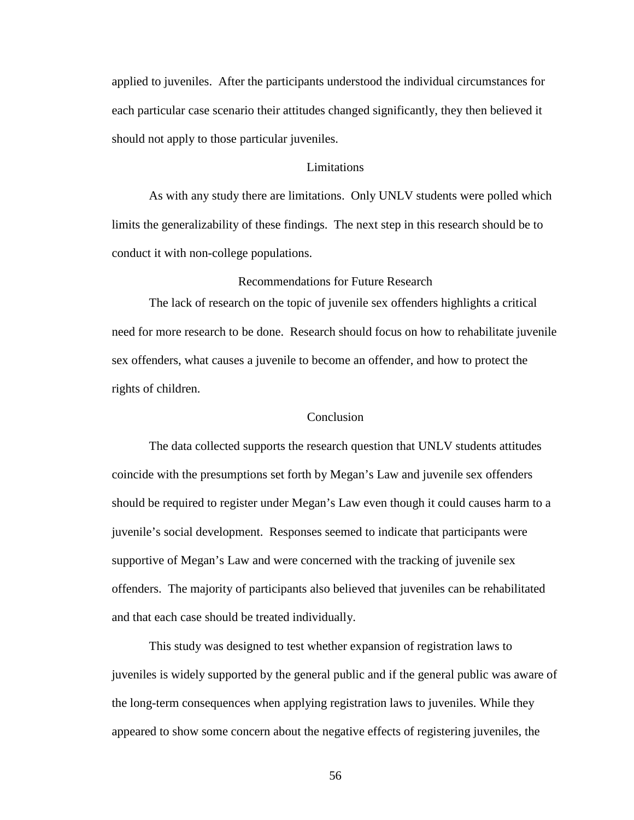applied to juveniles. After the participants understood the individual circumstances for each particular case scenario their attitudes changed significantly, they then believed it should not apply to those particular juveniles.

#### **Limitations**

As with any study there are limitations. Only UNLV students were polled which limits the generalizability of these findings. The next step in this research should be to conduct it with non-college populations.

#### Recommendations for Future Research

The lack of research on the topic of juvenile sex offenders highlights a critical need for more research to be done. Research should focus on how to rehabilitate juvenile sex offenders, what causes a juvenile to become an offender, and how to protect the rights of children.

## Conclusion

The data collected supports the research question that UNLV students attitudes coincide with the presumptions set forth by Megan's Law and juvenile sex offenders should be required to register under Megan's Law even though it could causes harm to a juvenile's social development. Responses seemed to indicate that participants were supportive of Megan's Law and were concerned with the tracking of juvenile sex offenders. The majority of participants also believed that juveniles can be rehabilitated and that each case should be treated individually.

 This study was designed to test whether expansion of registration laws to juveniles is widely supported by the general public and if the general public was aware of the long-term consequences when applying registration laws to juveniles. While they appeared to show some concern about the negative effects of registering juveniles, the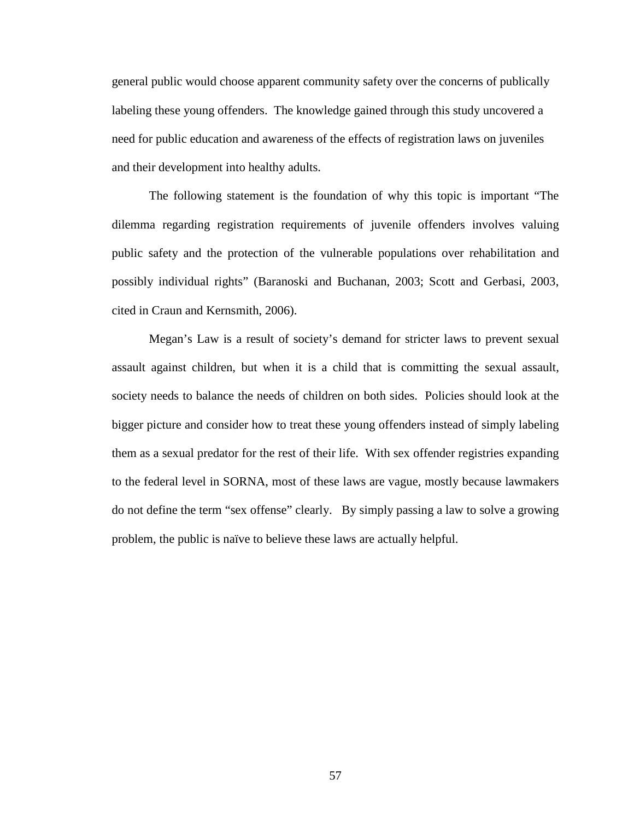general public would choose apparent community safety over the concerns of publically labeling these young offenders. The knowledge gained through this study uncovered a need for public education and awareness of the effects of registration laws on juveniles and their development into healthy adults.

 The following statement is the foundation of why this topic is important "The dilemma regarding registration requirements of juvenile offenders involves valuing public safety and the protection of the vulnerable populations over rehabilitation and possibly individual rights" (Baranoski and Buchanan, 2003; Scott and Gerbasi, 2003, cited in Craun and Kernsmith, 2006).

Megan's Law is a result of society's demand for stricter laws to prevent sexual assault against children, but when it is a child that is committing the sexual assault, society needs to balance the needs of children on both sides. Policies should look at the bigger picture and consider how to treat these young offenders instead of simply labeling them as a sexual predator for the rest of their life. With sex offender registries expanding to the federal level in SORNA, most of these laws are vague, mostly because lawmakers do not define the term "sex offense" clearly. By simply passing a law to solve a growing problem, the public is naïve to believe these laws are actually helpful.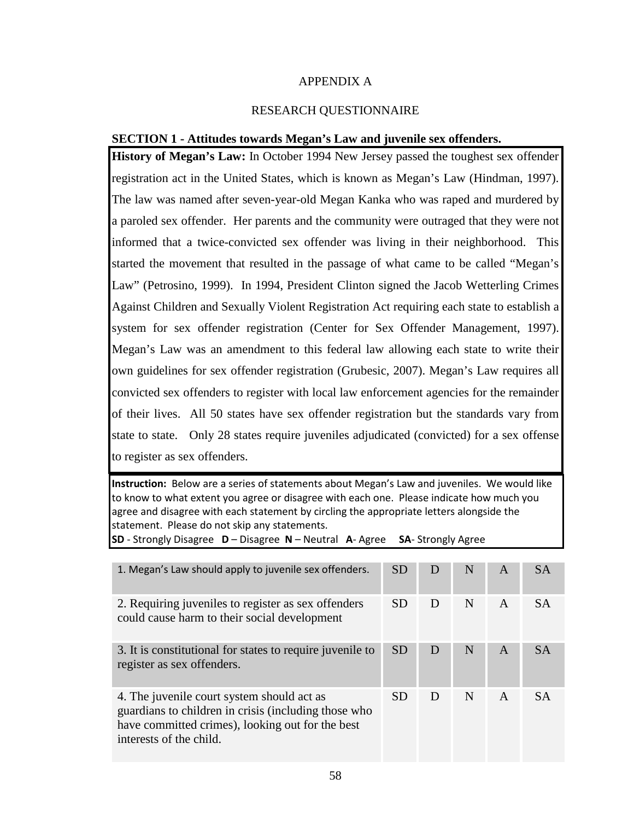## APPENDIX A

## RESEARCH QUESTIONNAIRE

## **SECTION 1 - Attitudes towards Megan's Law and juvenile sex offenders.**

**History of Megan's Law:** In October 1994 New Jersey passed the toughest sex offender registration act in the United States, which is known as Megan's Law (Hindman, 1997). The law was named after seven-year-old Megan Kanka who was raped and murdered by a paroled sex offender. Her parents and the community were outraged that they were not informed that a twice-convicted sex offender was living in their neighborhood. This started the movement that resulted in the passage of what came to be called "Megan's Law" (Petrosino, 1999). In 1994, President Clinton signed the Jacob Wetterling Crimes Against Children and Sexually Violent Registration Act requiring each state to establish a system for sex offender registration (Center for Sex Offender Management, 1997). Megan's Law was an amendment to this federal law allowing each state to write their own guidelines for sex offender registration (Grubesic, 2007). Megan's Law requires all convicted sex offenders to register with local law enforcement agencies for the remainder of their lives. All 50 states have sex offender registration but the standards vary from state to state. Only 28 states require juveniles adjudicated (convicted) for a sex offense to register as sex offenders.

Instruction: Below are a series of statements about Megan's Law and juveniles. We would like to know to what extent you agree or disagree with each one. Please indicate how much you agree and disagree with each statement by circling the appropriate letters alongside the statement. Please do not skip any statements.

SD - Strongly Disagree D – Disagree N – Neutral A- Agree SA- Strongly Agree

| 1. Megan's Law should apply to juvenile sex offenders.                                                                                                                            | <b>SD</b> | נ ו | N | A            | <b>SA</b> |
|-----------------------------------------------------------------------------------------------------------------------------------------------------------------------------------|-----------|-----|---|--------------|-----------|
| 2. Requiring juveniles to register as sex offenders<br>could cause harm to their social development                                                                               | SD.       | D   | N | $\mathsf{A}$ | <b>SA</b> |
| 3. It is constitutional for states to require juvenile to<br>register as sex offenders.                                                                                           | <b>SD</b> | Ð   | N | A            | <b>SA</b> |
| 4. The juvenile court system should act as<br>guardians to children in crisis (including those who<br>have committed crimes), looking out for the best<br>interests of the child. | SD.       | Ð   | N | $\mathsf{A}$ | <b>SA</b> |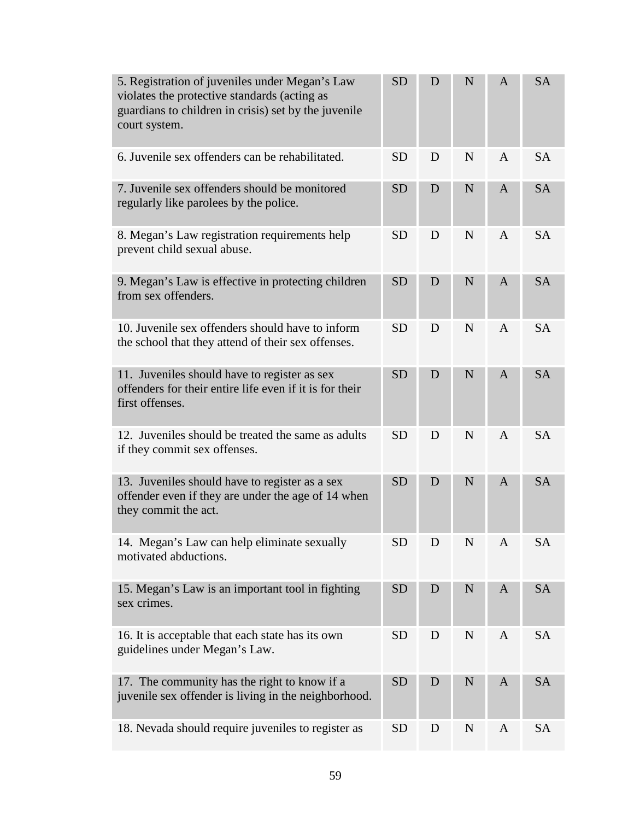| 5. Registration of juveniles under Megan's Law<br>violates the protective standards (acting as<br>guardians to children in crisis) set by the juvenile<br>court system. | <b>SD</b> | D | N           | $\mathbf{A}$   | <b>SA</b> |
|-------------------------------------------------------------------------------------------------------------------------------------------------------------------------|-----------|---|-------------|----------------|-----------|
| 6. Juvenile sex offenders can be rehabilitated.                                                                                                                         | <b>SD</b> | D | N           | $\mathbf{A}$   | <b>SA</b> |
| 7. Juvenile sex offenders should be monitored<br>regularly like parolees by the police.                                                                                 | <b>SD</b> | D | N           | $\mathbf{A}$   | <b>SA</b> |
| 8. Megan's Law registration requirements help<br>prevent child sexual abuse.                                                                                            | <b>SD</b> | D | N           | $\mathsf{A}$   | <b>SA</b> |
| 9. Megan's Law is effective in protecting children<br>from sex offenders.                                                                                               | <b>SD</b> | D | N           | A              | <b>SA</b> |
| 10. Juvenile sex offenders should have to inform<br>the school that they attend of their sex offenses.                                                                  | <b>SD</b> | D | N           | $\mathbf{A}$   | <b>SA</b> |
| 11. Juveniles should have to register as sex<br>offenders for their entire life even if it is for their<br>first offenses.                                              | <b>SD</b> | D | N           | $\mathbf{A}$   | <b>SA</b> |
| 12. Juveniles should be treated the same as adults<br>if they commit sex offenses.                                                                                      | <b>SD</b> | D | N           | $\overline{A}$ | <b>SA</b> |
| 13. Juveniles should have to register as a sex<br>offender even if they are under the age of 14 when<br>they commit the act.                                            | <b>SD</b> | D | N           | A              | <b>SA</b> |
| 14. Megan's Law can help eliminate sexually<br>motivated abductions.                                                                                                    | <b>SD</b> | D | N           | $\mathbf{A}$   | SA        |
| 15. Megan's Law is an important tool in fighting<br>sex crimes.                                                                                                         | <b>SD</b> | D | $\mathbf N$ | $\mathbf{A}$   | <b>SA</b> |
| 16. It is acceptable that each state has its own<br>guidelines under Megan's Law.                                                                                       | <b>SD</b> | D | N           | $\mathbf{A}$   | <b>SA</b> |
| 17. The community has the right to know if a<br>juvenile sex offender is living in the neighborhood.                                                                    | <b>SD</b> | D | $\mathbf N$ | A              | <b>SA</b> |
| 18. Nevada should require juveniles to register as                                                                                                                      | <b>SD</b> | D | N           | $\mathbf{A}$   | <b>SA</b> |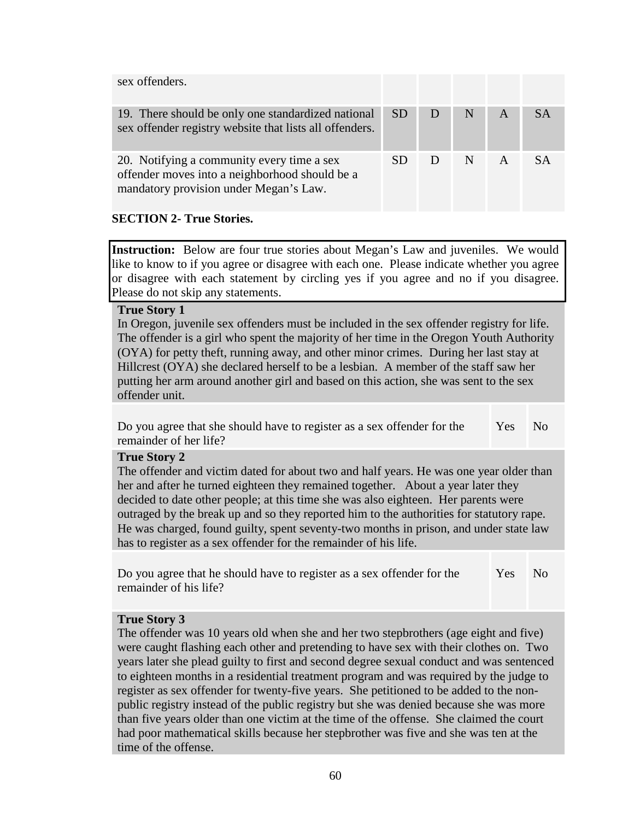| sex offenders.                                                                                                                         |     |   |   |           |
|----------------------------------------------------------------------------------------------------------------------------------------|-----|---|---|-----------|
| 19. There should be only one standardized national<br>sex offender registry website that lists all offenders.                          | SD. | N | A | <b>SA</b> |
| 20. Notifying a community every time a sex<br>offender moves into a neighborhood should be a<br>mandatory provision under Megan's Law. | SD. | N | A | S A       |

# **SECTION 2- True Stories.**

**Instruction:** Below are four true stories about Megan's Law and juveniles. We would like to know to if you agree or disagree with each one. Please indicate whether you agree or disagree with each statement by circling yes if you agree and no if you disagree. Please do not skip any statements.

## **True Story 1**

In Oregon, juvenile sex offenders must be included in the sex offender registry for life. The offender is a girl who spent the majority of her time in the Oregon Youth Authority (OYA) for petty theft, running away, and other minor crimes. During her last stay at Hillcrest (OYA) she declared herself to be a lesbian. A member of the staff saw her putting her arm around another girl and based on this action, she was sent to the sex offender unit.

Do you agree that she should have to register as a sex offender for the remainder of her life? Yes No

# **True Story 2**

The offender and victim dated for about two and half years. He was one year older than her and after he turned eighteen they remained together. About a year later they decided to date other people; at this time she was also eighteen. Her parents were outraged by the break up and so they reported him to the authorities for statutory rape. He was charged, found guilty, spent seventy-two months in prison, and under state law has to register as a sex offender for the remainder of his life.

Do you agree that he should have to register as a sex offender for the remainder of his life? Yes No

## **True Story 3**

The offender was 10 years old when she and her two stepbrothers (age eight and five) were caught flashing each other and pretending to have sex with their clothes on. Two years later she plead guilty to first and second degree sexual conduct and was sentenced to eighteen months in a residential treatment program and was required by the judge to register as sex offender for twenty-five years. She petitioned to be added to the nonpublic registry instead of the public registry but she was denied because she was more than five years older than one victim at the time of the offense. She claimed the court had poor mathematical skills because her stepbrother was five and she was ten at the time of the offense.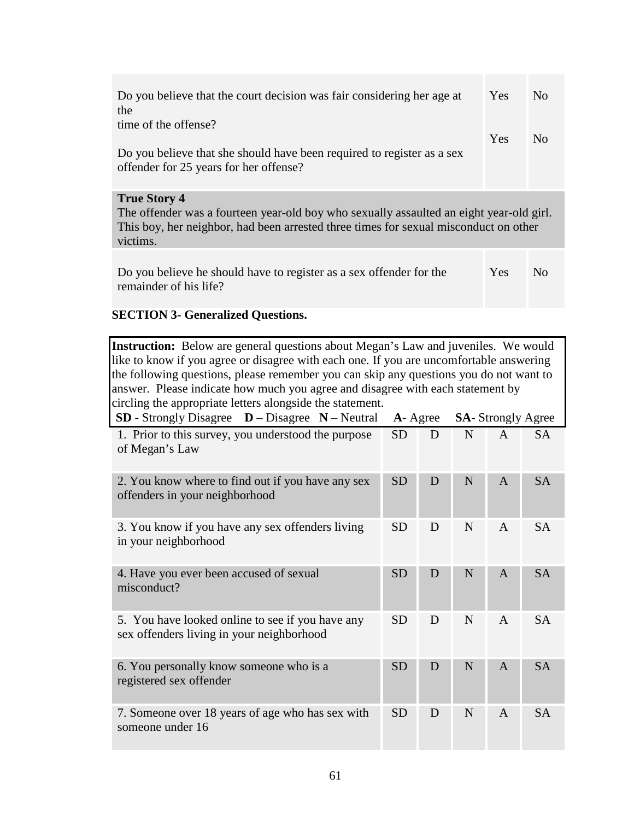| Do you believe that the court decision was fair considering her age at<br>the                                                                                                                                      | Yes        | $\overline{N}_{0}$ |  |  |
|--------------------------------------------------------------------------------------------------------------------------------------------------------------------------------------------------------------------|------------|--------------------|--|--|
| time of the offense?                                                                                                                                                                                               |            |                    |  |  |
| Do you believe that she should have been required to register as a sex<br>offender for 25 years for her offense?                                                                                                   | <b>Yes</b> | N <sub>0</sub>     |  |  |
| <b>True Story 4</b><br>The offender was a fourteen year-old boy who sexually assaulted an eight year-old girl.<br>This boy, her neighbor, had been arrested three times for sexual misconduct on other<br>victims. |            |                    |  |  |
| Do you believe he should have to register as a sex offender for the<br>remainder of his life?                                                                                                                      | <b>Yes</b> | Nο                 |  |  |

# **SECTION 3- Generalized Questions.**

| <b>Instruction:</b> Below are general questions about Megan's Law and juveniles. We would<br>like to know if you agree or disagree with each one. If you are uncomfortable answering<br>the following questions, please remember you can skip any questions you do not want to<br>answer. Please indicate how much you agree and disagree with each statement by<br>circling the appropriate letters alongside the statement. |           |   |   |                |                          |
|-------------------------------------------------------------------------------------------------------------------------------------------------------------------------------------------------------------------------------------------------------------------------------------------------------------------------------------------------------------------------------------------------------------------------------|-----------|---|---|----------------|--------------------------|
| <b>SD</b> - Strongly Disagree $D - Disagree N - Neutral$                                                                                                                                                                                                                                                                                                                                                                      | A- Agree  |   |   |                | <b>SA-Strongly Agree</b> |
| 1. Prior to this survey, you understood the purpose<br>of Megan's Law                                                                                                                                                                                                                                                                                                                                                         | <b>SD</b> | D | N | $\overline{A}$ | <b>SA</b>                |
| 2. You know where to find out if you have any sex<br>offenders in your neighborhood                                                                                                                                                                                                                                                                                                                                           | <b>SD</b> | D | N | A              | <b>SA</b>                |
| 3. You know if you have any sex offenders living<br>in your neighborhood                                                                                                                                                                                                                                                                                                                                                      | <b>SD</b> | D | N | $\mathsf{A}$   | <b>SA</b>                |
| 4. Have you ever been accused of sexual<br>misconduct?                                                                                                                                                                                                                                                                                                                                                                        | <b>SD</b> | D | N | $\overline{A}$ | <b>SA</b>                |
| 5. You have looked online to see if you have any<br>sex offenders living in your neighborhood                                                                                                                                                                                                                                                                                                                                 | <b>SD</b> | D | N | $\overline{A}$ | <b>SA</b>                |
| 6. You personally know someone who is a<br>registered sex offender                                                                                                                                                                                                                                                                                                                                                            | <b>SD</b> | D | N | A              | <b>SA</b>                |
| 7. Someone over 18 years of age who has sex with<br>someone under 16                                                                                                                                                                                                                                                                                                                                                          | <b>SD</b> | D | N | $\overline{A}$ | <b>SA</b>                |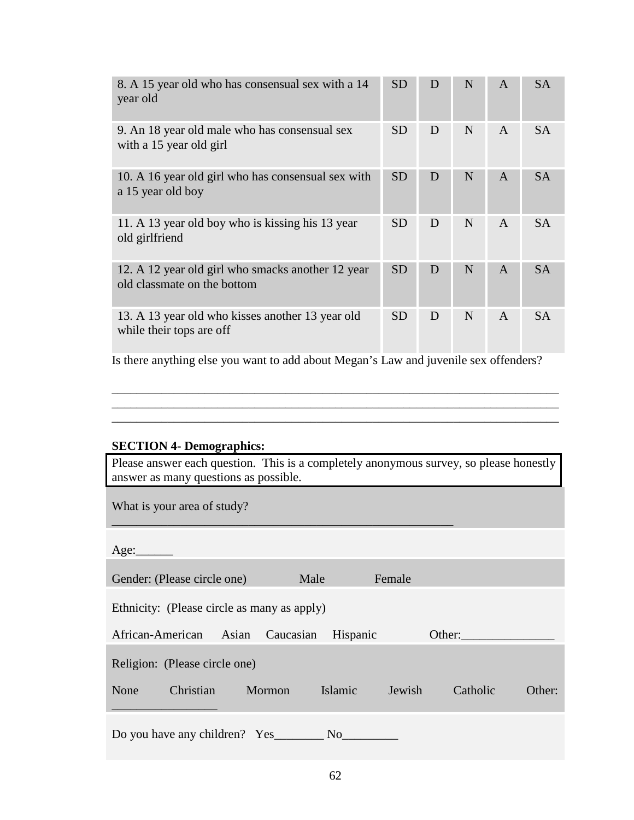| 8. A 15 year old who has consensual sex with a 14<br>year old                    | <b>SD</b> | D | N | $\mathbf{A}$ | <b>SA</b> |
|----------------------------------------------------------------------------------|-----------|---|---|--------------|-----------|
| 9. An 18 year old male who has consensual sex<br>with a 15 year old girl         | <b>SD</b> | D | N | $\mathsf{A}$ | <b>SA</b> |
| 10. A 16 year old girl who has consensual sex with<br>a 15 year old boy          | <b>SD</b> | D | N | $\mathsf{A}$ | <b>SA</b> |
| 11. A 13 year old boy who is kissing his 13 year<br>old girlfriend               | <b>SD</b> | D | N | $\mathsf{A}$ | SA.       |
| 12. A 12 year old girl who smacks another 12 year<br>old classmate on the bottom | <b>SD</b> | D | N | A            | <b>SA</b> |
| 13. A 13 year old who kisses another 13 year old<br>while their tops are off     | <b>SD</b> | D | N | $\mathsf{A}$ | <b>SA</b> |

Is there anything else you want to add about Megan's Law and juvenile sex offenders?

\_\_\_\_\_\_\_\_\_\_\_\_\_\_\_\_\_\_\_\_\_\_\_\_\_\_\_\_\_\_\_\_\_\_\_\_\_\_\_\_\_\_\_\_\_\_\_\_\_\_\_\_\_\_\_\_\_\_\_\_\_\_\_\_\_\_\_\_\_\_\_\_ \_\_\_\_\_\_\_\_\_\_\_\_\_\_\_\_\_\_\_\_\_\_\_\_\_\_\_\_\_\_\_\_\_\_\_\_\_\_\_\_\_\_\_\_\_\_\_\_\_\_\_\_\_\_\_\_\_\_\_\_\_\_\_\_\_\_\_\_\_\_\_\_ \_\_\_\_\_\_\_\_\_\_\_\_\_\_\_\_\_\_\_\_\_\_\_\_\_\_\_\_\_\_\_\_\_\_\_\_\_\_\_\_\_\_\_\_\_\_\_\_\_\_\_\_\_\_\_\_\_\_\_\_\_\_\_\_\_\_\_\_\_\_\_\_

# **SECTION 4- Demographics:**

Please answer each question. This is a completely anonymous survey, so please honestly answer as many questions as possible.

\_\_\_\_\_\_\_\_\_\_\_\_\_\_\_\_\_\_\_\_\_\_\_\_\_\_\_\_\_\_\_\_\_\_\_\_\_\_\_\_\_\_\_\_\_\_\_\_\_\_\_\_\_\_\_

What is your area of study?

| Age:                                        |                |        |          |        |
|---------------------------------------------|----------------|--------|----------|--------|
| Gender: (Please circle one)                 | Male           | Female |          |        |
| Ethnicity: (Please circle as many as apply) |                |        |          |        |
| African-American<br>Asian<br>Caucasian      | Hispanic       | Other: |          |        |
| Religion: (Please circle one)               |                |        |          |        |
| Christian<br>None<br>Mormon                 | Islamic        | Jewish | Catholic | Other: |
|                                             |                |        |          |        |
| Do you have any children? Yes               | N <sub>o</sub> |        |          |        |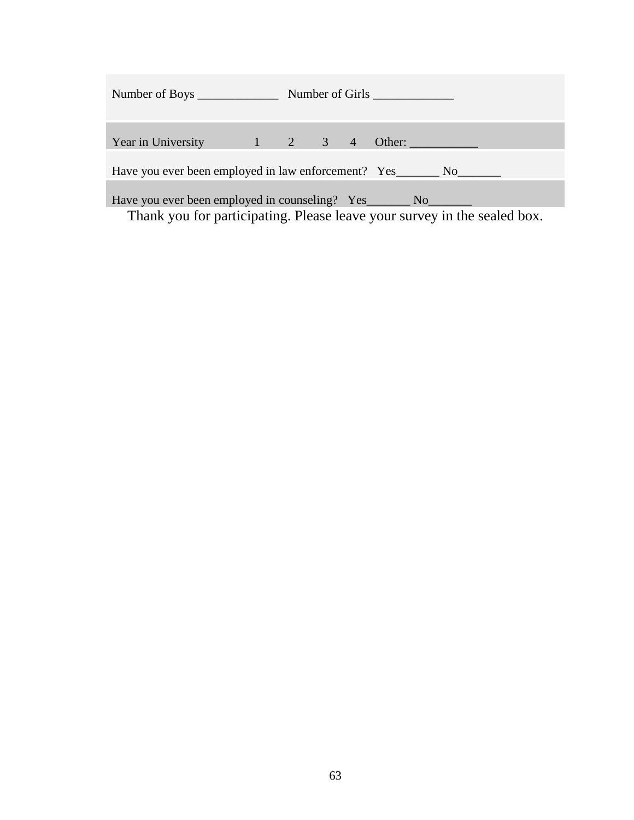| Year in University 1 2 3 4 Other:                                        |  |  |  |  |  |  |  |  |  |
|--------------------------------------------------------------------------|--|--|--|--|--|--|--|--|--|
|                                                                          |  |  |  |  |  |  |  |  |  |
|                                                                          |  |  |  |  |  |  |  |  |  |
|                                                                          |  |  |  |  |  |  |  |  |  |
|                                                                          |  |  |  |  |  |  |  |  |  |
| Thank you for participating. Please leave your survey in the sealed box. |  |  |  |  |  |  |  |  |  |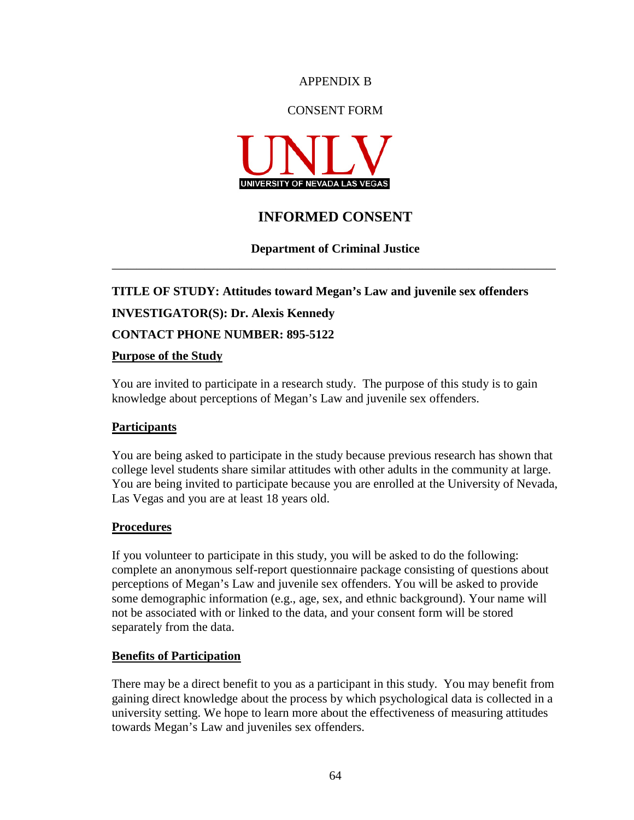### APPENDIX B

# CONSENT FORM



# **INFORMED CONSENT**

# **Department of Criminal Justice \_\_\_\_\_\_\_\_\_\_\_\_\_\_\_\_\_\_\_\_\_\_\_\_\_\_\_\_\_\_\_\_\_\_\_\_\_\_\_\_\_\_\_\_\_\_\_\_\_\_\_\_\_\_\_\_\_\_\_\_\_\_\_\_\_\_\_\_\_\_\_\_\_\_\_\_\_\_\_\_\_\_\_\_\_\_\_\_\_\_\_\_\_\_\_\_\_\_\_\_\_\_\_\_\_\_\_\_\_\_\_\_\_\_\_\_\_\_\_\_\_\_\_\_\_\_\_\_\_\_\_\_\_\_\_\_\_\_\_\_\_\_\_**

**TITLE OF STUDY: Attitudes toward Megan's Law and juvenile sex offenders INVESTIGATOR(S): Dr. Alexis Kennedy CONTACT PHONE NUMBER: 895-5122 Purpose of the Study**

You are invited to participate in a research study. The purpose of this study is to gain knowledge about perceptions of Megan's Law and juvenile sex offenders.

# **Participants**

You are being asked to participate in the study because previous research has shown that college level students share similar attitudes with other adults in the community at large. You are being invited to participate because you are enrolled at the University of Nevada, Las Vegas and you are at least 18 years old.

### **Procedures**

If you volunteer to participate in this study, you will be asked to do the following: complete an anonymous self-report questionnaire package consisting of questions about perceptions of Megan's Law and juvenile sex offenders. You will be asked to provide some demographic information (e.g., age, sex, and ethnic background). Your name will not be associated with or linked to the data, and your consent form will be stored separately from the data.

### **Benefits of Participation**

There may be a direct benefit to you as a participant in this study. You may benefit from gaining direct knowledge about the process by which psychological data is collected in a university setting. We hope to learn more about the effectiveness of measuring attitudes towards Megan's Law and juveniles sex offenders.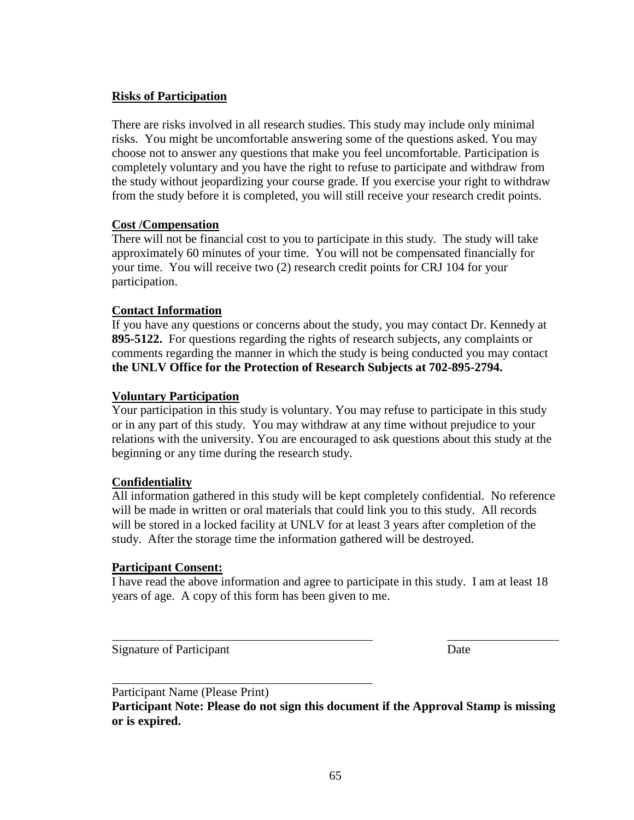# **Risks of Participation**

There are risks involved in all research studies. This study may include only minimal risks. You might be uncomfortable answering some of the questions asked. You may choose not to answer any questions that make you feel uncomfortable. Participation is completely voluntary and you have the right to refuse to participate and withdraw from the study without jeopardizing your course grade. If you exercise your right to withdraw from the study before it is completed, you will still receive your research credit points.

# **Cost /Compensation**

There will not be financial cost to you to participate in this study. The study will take approximately 60 minutes of your time. You will not be compensated financially for your time. You will receive two (2) research credit points for CRJ 104 for your participation.

# **Contact Information**

If you have any questions or concerns about the study, you may contact Dr. Kennedy at **895-5122.** For questions regarding the rights of research subjects, any complaints or comments regarding the manner in which the study is being conducted you may contact **the UNLV Office for the Protection of Research Subjects at 702-895-2794.** 

# **Voluntary Participation**

Your participation in this study is voluntary. You may refuse to participate in this study or in any part of this study. You may withdraw at any time without prejudice to your relations with the university. You are encouraged to ask questions about this study at the beginning or any time during the research study.

# **Confidentiality**

All information gathered in this study will be kept completely confidential. No reference will be made in written or oral materials that could link you to this study. All records will be stored in a locked facility at UNLV for at least 3 years after completion of the study. After the storage time the information gathered will be destroyed.

# **Participant Consent:**

I have read the above information and agree to participate in this study. I am at least 18 years of age. A copy of this form has been given to me.

Signature of Participant Date

 $\overline{a}$ 

 $\overline{a}$ Participant Name (Please Print)

**Participant Note: Please do not sign this document if the Approval Stamp is missing or is expired.**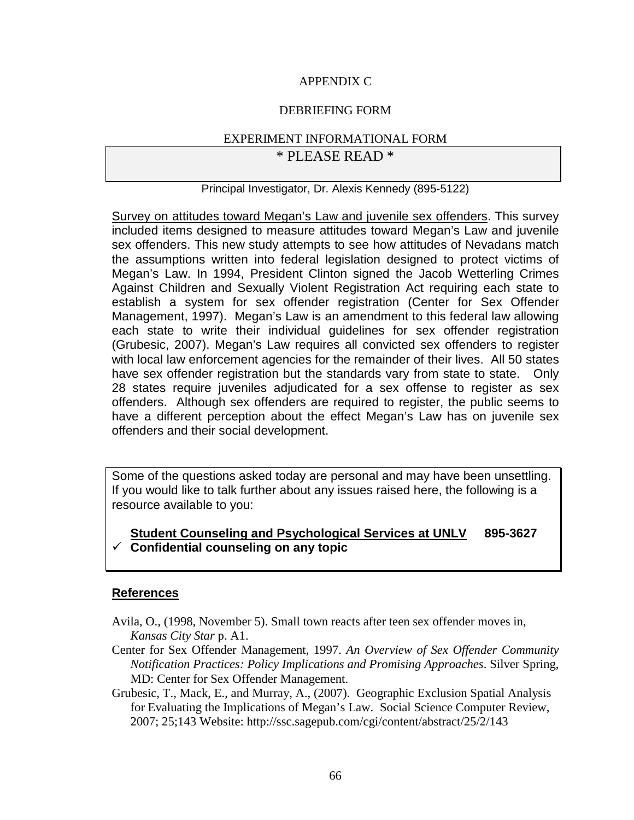# APPENDIX C

# DEBRIEFING FORM

# EXPERIMENT INFORMATIONAL FORM \* PLEASE READ \*

# Principal Investigator, Dr. Alexis Kennedy (895-5122)

Survey on attitudes toward Megan's Law and juvenile sex offenders. This survey included items designed to measure attitudes toward Megan's Law and juvenile sex offenders. This new study attempts to see how attitudes of Nevadans match the assumptions written into federal legislation designed to protect victims of Megan's Law. In 1994, President Clinton signed the Jacob Wetterling Crimes Against Children and Sexually Violent Registration Act requiring each state to establish a system for sex offender registration (Center for Sex Offender Management, 1997). Megan's Law is an amendment to this federal law allowing each state to write their individual guidelines for sex offender registration (Grubesic, 2007). Megan's Law requires all convicted sex offenders to register with local law enforcement agencies for the remainder of their lives. All 50 states have sex offender registration but the standards vary from state to state. Only 28 states require juveniles adjudicated for a sex offense to register as sex offenders. Although sex offenders are required to register, the public seems to have a different perception about the effect Megan's Law has on juvenile sex offenders and their social development.

Some of the questions asked today are personal and may have been unsettling. If you would like to talk further about any issues raised here, the following is a resource available to you:

# **Student Counseling and Psychological Services at UNLV 895-3627 Confidential counseling on any topic**

# **References**

- Avila, O., (1998, November 5). Small town reacts after teen sex offender moves in, *Kansas City Star* p. A1.
- Center for Sex Offender Management, 1997. *An Overview of Sex Offender Community Notification Practices: Policy Implications and Promising Approaches*. Silver Spring, MD: Center for Sex Offender Management.
- Grubesic, T., Mack, E., and Murray, A., (2007). Geographic Exclusion Spatial Analysis for Evaluating the Implications of Megan's Law. Social Science Computer Review, 2007; 25;143 Website: http://ssc.sagepub.com/cgi/content/abstract/25/2/143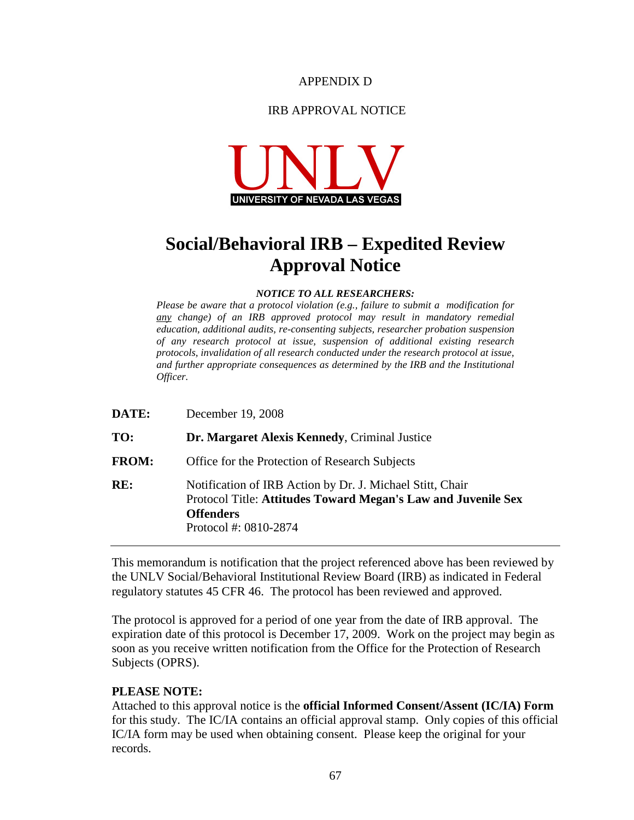### APPENDIX D

# IRB APPROVAL NOTICE



# **Social/Behavioral IRB – Expedited Review Approval Notice**

### *NOTICE TO ALL RESEARCHERS:*

*Please be aware that a protocol violation (e.g., failure to submit a modification for any change) of an IRB approved protocol may result in mandatory remedial education, additional audits, re-consenting subjects, researcher probation suspension of any research protocol at issue, suspension of additional existing research protocols, invalidation of all research conducted under the research protocol at issue, and further appropriate consequences as determined by the IRB and the Institutional Officer.* 

| DATE:        | December 19, 2008                                                                                                                                                       |
|--------------|-------------------------------------------------------------------------------------------------------------------------------------------------------------------------|
| TO:          | Dr. Margaret Alexis Kennedy, Criminal Justice                                                                                                                           |
| <b>FROM:</b> | Office for the Protection of Research Subjects                                                                                                                          |
| RE:          | Notification of IRB Action by Dr. J. Michael Stitt, Chair<br>Protocol Title: Attitudes Toward Megan's Law and Juvenile Sex<br><b>Offenders</b><br>Protocol #: 0810-2874 |

This memorandum is notification that the project referenced above has been reviewed by the UNLV Social/Behavioral Institutional Review Board (IRB) as indicated in Federal regulatory statutes 45 CFR 46. The protocol has been reviewed and approved.

The protocol is approved for a period of one year from the date of IRB approval. The expiration date of this protocol is December 17, 2009. Work on the project may begin as soon as you receive written notification from the Office for the Protection of Research Subjects (OPRS).

### **PLEASE NOTE:**

Attached to this approval notice is the **official Informed Consent/Assent (IC/IA) Form** for this study. The IC/IA contains an official approval stamp. Only copies of this official IC/IA form may be used when obtaining consent. Please keep the original for your records.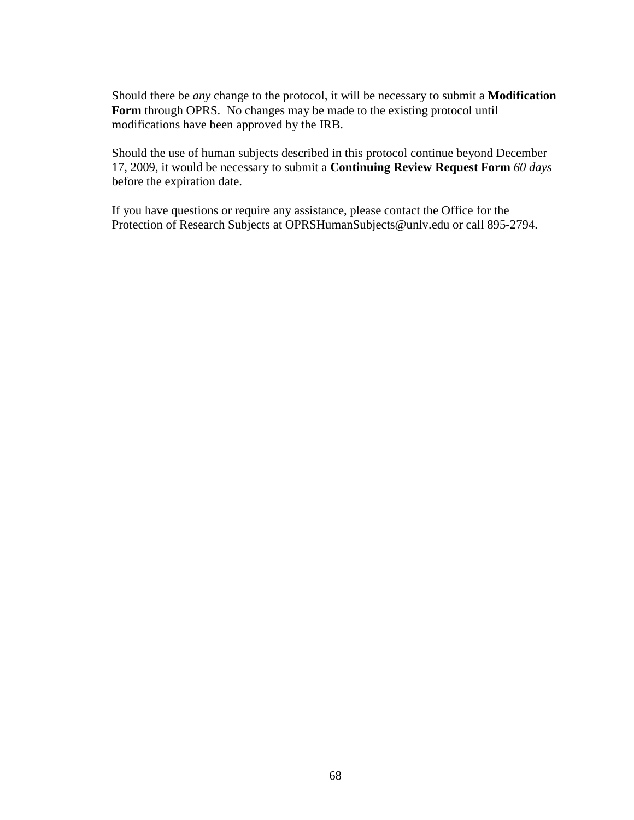Should there be *any* change to the protocol, it will be necessary to submit a **Modification**  Form through OPRS. No changes may be made to the existing protocol until modifications have been approved by the IRB.

Should the use of human subjects described in this protocol continue beyond December 17, 2009, it would be necessary to submit a **Continuing Review Request Form** *60 days* before the expiration date.

If you have questions or require any assistance, please contact the Office for the Protection of Research Subjects at OPRSHumanSubjects@unlv.edu or call 895-2794.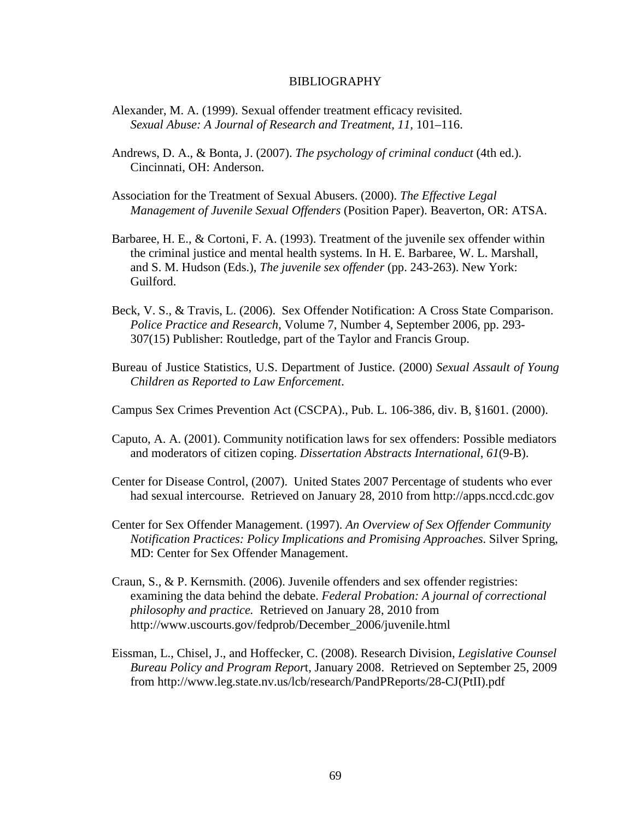### BIBLIOGRAPHY

- Alexander, M. A. (1999). Sexual offender treatment efficacy revisited. *Sexual Abuse: A Journal of Research and Treatment, 11,* 101–116.
- Andrews, D. A., & Bonta, J. (2007). *The psychology of criminal conduct* (4th ed.). Cincinnati, OH: Anderson.
- Association for the Treatment of Sexual Abusers. (2000). *The Effective Legal Management of Juvenile Sexual Offenders* (Position Paper). Beaverton, OR: ATSA.
- Barbaree, H. E., & Cortoni, F. A. (1993). Treatment of the juvenile sex offender within the criminal justice and mental health systems. In H. E. Barbaree, W. L. Marshall, and S. M. Hudson (Eds.), *The juvenile sex offender* (pp. 243-263). New York: Guilford.
- Beck, V. S., & Travis, L. (2006). Sex Offender Notification: A Cross State Comparison. *Police Practice and Research*, Volume 7, Number 4, September 2006, pp. 293- 307(15) Publisher: Routledge, part of the Taylor and Francis Group.
- Bureau of Justice Statistics, U.S. Department of Justice. (2000) *Sexual Assault of Young Children as Reported to Law Enforcement*.
- Campus Sex Crimes Prevention Act (CSCPA)., Pub. L. 106-386, div. B, §1601. (2000).
- Caputo, A. A. (2001). Community notification laws for sex offenders: Possible mediators and moderators of citizen coping. *Dissertation Abstracts International, 61*(9-B).
- Center for Disease Control, (2007). United States 2007 Percentage of students who ever had sexual intercourse. Retrieved on January 28, 2010 from http://apps.nccd.cdc.gov
- Center for Sex Offender Management. (1997). *An Overview of Sex Offender Community Notification Practices: Policy Implications and Promising Approaches*. Silver Spring, MD: Center for Sex Offender Management.
- Craun, S., & P. Kernsmith. (2006). Juvenile offenders and sex offender registries: examining the data behind the debate. *Federal Probation: A journal of correctional philosophy and practice.* Retrieved on January 28, 2010 from http://www.uscourts.gov/fedprob/December\_2006/juvenile.html
- Eissman, L., Chisel, J., and Hoffecker, C. (2008). Research Division, *Legislative Counsel Bureau Policy and Program Repor*t, January 2008. Retrieved on September 25, 2009 from http://www.leg.state.nv.us/lcb/research/PandPReports/28-CJ(PtII).pdf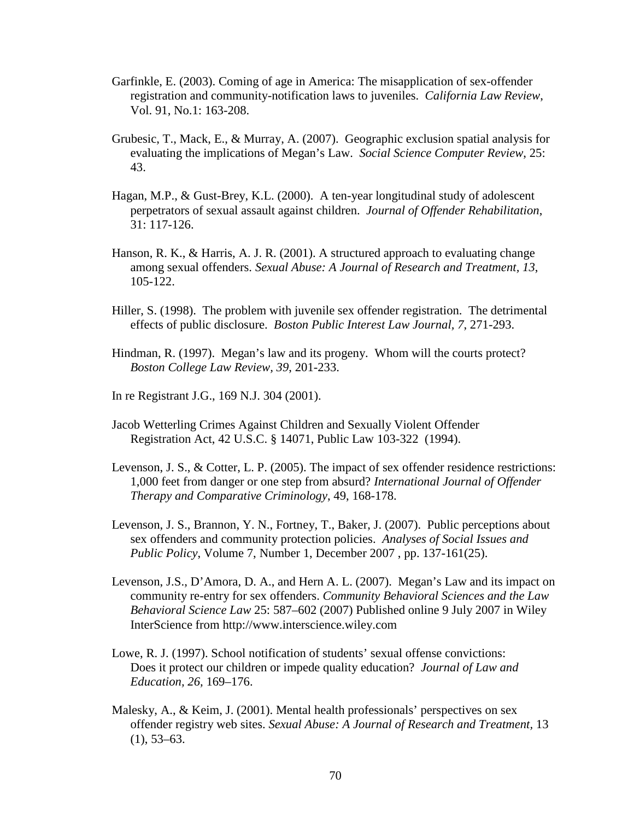- Garfinkle, E. (2003). Coming of age in America: The misapplication of sex-offender registration and community-notification laws to juveniles. *California Law Review*, Vol. 91, No.1: 163-208.
- Grubesic, T., Mack, E., & Murray, A. (2007). Geographic exclusion spatial analysis for evaluating the implications of Megan's Law. *Social Science Computer Review*, 25: 43.
- Hagan, M.P., & Gust-Brey, K.L. (2000). A ten-year longitudinal study of adolescent perpetrators of sexual assault against children. *Journal of Offender Rehabilitation*, 31: 117-126.
- Hanson, R. K., & Harris, A. J. R. (2001). A structured approach to evaluating change among sexual offenders. *Sexual Abuse: A Journal of Research and Treatment, 13*, 105-122.
- Hiller, S. (1998). The problem with juvenile sex offender registration. The detrimental effects of public disclosure. *Boston Public Interest Law Journal, 7*, 271-293.
- Hindman, R. (1997). Megan's law and its progeny. Whom will the courts protect? *Boston College Law Review, 39*, 201-233.
- In re Registrant J.G., 169 N.J. 304 (2001).
- Jacob Wetterling Crimes Against Children and Sexually Violent Offender Registration Act, 42 U.S.C. § 14071, Public Law 103-322 (1994).
- Levenson, J. S., & Cotter, L. P. (2005). The impact of sex offender residence restrictions: 1,000 feet from danger or one step from absurd? *International Journal of Offender Therapy and Comparative Criminology*, 49, 168-178.
- Levenson, J. S., Brannon, Y. N., Fortney, T., Baker, J. (2007). Public perceptions about sex offenders and community protection policies. *Analyses of Social Issues and Public Policy*, Volume 7, Number 1, December 2007 , pp. 137-161(25).
- Levenson, J.S., D'Amora, D. A., and Hern A. L. (2007). Megan's Law and its impact on community re-entry for sex offenders. *Community Behavioral Sciences and the Law Behavioral Science Law* 25: 587–602 (2007) Published online 9 July 2007 in Wiley InterScience from http://www.interscience.wiley.com
- Lowe, R. J. (1997). School notification of students' sexual offense convictions: Does it protect our children or impede quality education? *Journal of Law and Education, 26,* 169–176.
- Malesky, A., & Keim, J. (2001). Mental health professionals' perspectives on sex offender registry web sites. *Sexual Abuse: A Journal of Research and Treatment,* 13  $(1), 53-63.$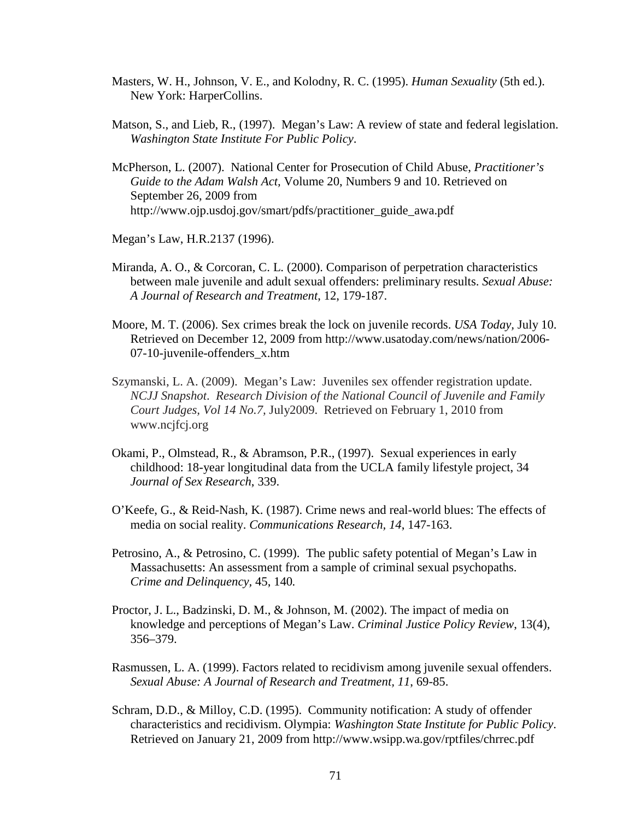- Masters, W. H., Johnson, V. E., and Kolodny, R. C. (1995). *Human Sexuality* (5th ed.). New York: HarperCollins.
- Matson, S., and Lieb, R., (1997). Megan's Law: A review of state and federal legislation. *Washington State Institute For Public Policy*.
- McPherson, L. (2007). National Center for Prosecution of Child Abuse, *Practitioner's Guide to the Adam Walsh Act,* Volume 20, Numbers 9 and 10. Retrieved on September 26, 2009 from http://www.ojp.usdoj.gov/smart/pdfs/practitioner\_guide\_awa.pdf
- Megan's Law, H.R.2137 (1996).
- Miranda, A. O., & Corcoran, C. L. (2000). Comparison of perpetration characteristics between male juvenile and adult sexual offenders: preliminary results. *Sexual Abuse: A Journal of Research and Treatment*, 12, 179-187.
- Moore, M. T. (2006). Sex crimes break the lock on juvenile records. *USA Today,* July 10. Retrieved on December 12, 2009 from http://www.usatoday.com/news/nation/2006- 07-10-juvenile-offenders\_x.htm
- Szymanski, L. A. (2009). Megan's Law: Juveniles sex offender registration update. *NCJJ Snapshot*. *Research Division of the National Council of Juvenile and Family Court Judges, Vol 14 No.7,* July2009. Retrieved on February 1, 2010 from www.ncjfcj.org
- Okami, P., Olmstead, R., & Abramson, P.R., (1997). Sexual experiences in early childhood: 18-year longitudinal data from the UCLA family lifestyle project, 34 *Journal of Sex Research*, 339.
- O'Keefe, G., & Reid-Nash, K. (1987). Crime news and real-world blues: The effects of media on social reality. *Communications Research, 14*, 147-163.
- Petrosino, A., & Petrosino, C. (1999). The public safety potential of Megan's Law in Massachusetts: An assessment from a sample of criminal sexual psychopaths.  *Crime and Delinquency,* 45, 140*.*
- Proctor, J. L., Badzinski, D. M., & Johnson, M. (2002). The impact of media on knowledge and perceptions of Megan's Law. *Criminal Justice Policy Review*, 13(4), 356–379.
- Rasmussen, L. A. (1999). Factors related to recidivism among juvenile sexual offenders. *Sexual Abuse: A Journal of Research and Treatment, 11*, 69-85.
- Schram, D.D., & Milloy, C.D. (1995). Community notification: A study of offender characteristics and recidivism. Olympia: *Washington State Institute for Public Policy*. Retrieved on January 21, 2009 from http://www.wsipp.wa.gov/rptfiles/chrrec.pdf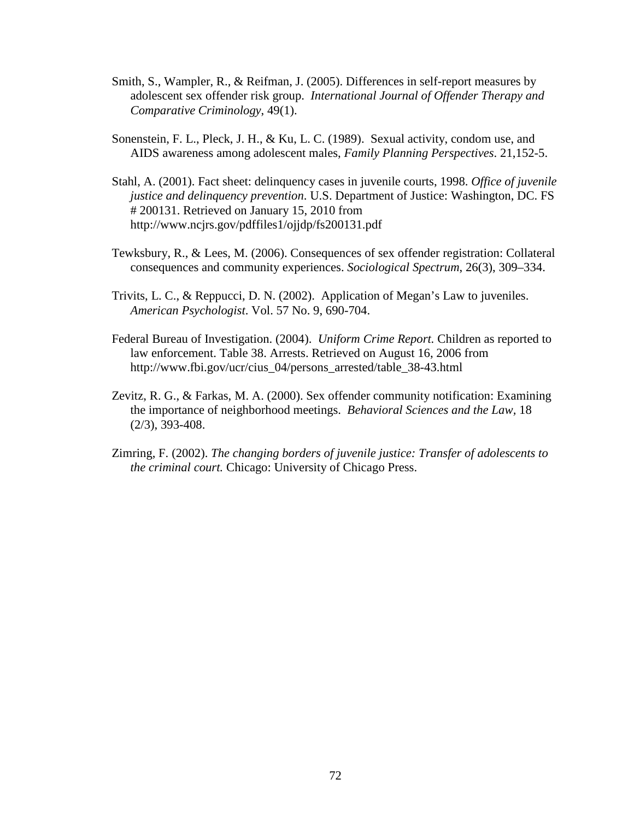- Smith, S., Wampler, R., & Reifman, J. (2005). Differences in self-report measures by adolescent sex offender risk group. *International Journal of Offender Therapy and Comparative Criminology*, 49(1).
- Sonenstein, F. L., Pleck, J. H., & Ku, L. C. (1989). Sexual activity, condom use, and AIDS awareness among adolescent males, *Family Planning Perspectives*. 21,152-5.
- Stahl, A. (2001). Fact sheet: delinquency cases in juvenile courts, 1998. *Office of juvenile justice and delinquency prevention*. U.S. Department of Justice: Washington, DC. FS # 200131. Retrieved on January 15, 2010 from http://www.ncjrs.gov/pdffiles1/ojjdp/fs200131.pdf
- Tewksbury, R., & Lees, M. (2006). Consequences of sex offender registration: Collateral consequences and community experiences. *Sociological Spectrum*, 26(3), 309–334.
- Trivits, L. C., & Reppucci, D. N. (2002). Application of Megan's Law to juveniles. *American Psychologist*. Vol. 57 No. 9, 690-704.
- Federal Bureau of Investigation. (2004). *Uniform Crime Report.* Children as reported to law enforcement. Table 38. Arrests. Retrieved on August 16, 2006 from http://www.fbi.gov/ucr/cius\_04/persons\_arrested/table\_38-43.html
- Zevitz, R. G., & Farkas, M. A. (2000). Sex offender community notification: Examining the importance of neighborhood meetings. *Behavioral Sciences and the Law,* 18 (2/3), 393-408.
- Zimring, F. (2002). *The changing borders of juvenile justice: Transfer of adolescents to the criminal court.* Chicago: University of Chicago Press.